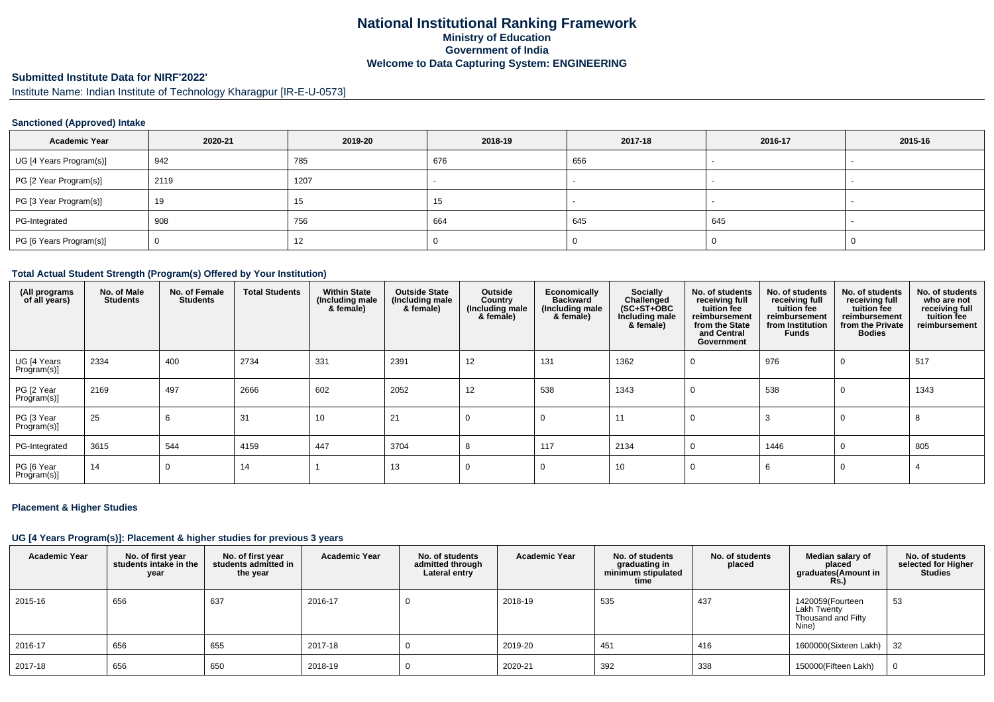## **National Institutional Ranking FrameworkMinistry of Education Government of IndiaWelcome to Data Capturing System: ENGINEERING**

# **Submitted Institute Data for NIRF'2022'**

Institute Name: Indian Institute of Technology Kharagpur [IR-E-U-0573]

### **Sanctioned (Approved) Intake**

| <b>Academic Year</b>    | 2020-21 | 2019-20 | 2018-19 | 2017-18 | 2016-17 | 2015-16 |
|-------------------------|---------|---------|---------|---------|---------|---------|
| UG [4 Years Program(s)] | 942     | 785     | 676     | 656     |         |         |
| PG [2 Year Program(s)]  | 2119    | 1207    |         |         |         |         |
| PG [3 Year Program(s)]  | 19      | 15      | 15      |         |         |         |
| PG-Integrated           | 908     | 756     | 664     | 645     | 645     |         |
| PG [6 Years Program(s)] |         | 12      |         |         |         |         |

#### **Total Actual Student Strength (Program(s) Offered by Your Institution)**

| (All programs<br>of all years) | No. of Male<br><b>Students</b> | No. of Female<br><b>Students</b> | <b>Total Students</b> | <b>Within State</b><br>(Including male<br>& female) | <b>Outside State</b><br>(Including male<br>& female) | Outside<br>Country<br>(Including male<br>& female) | <b>Economically</b><br><b>Backward</b><br>(Including male<br>& female) | Socially<br>Challenged<br>$(SC+ST+OBC)$<br>Including male<br>& female) | No. of students<br>receiving full<br>tuition fee<br>reimbursement<br>from the State<br>and Central<br>Government | No. of students<br>receiving full<br>tuition fee<br>reimbursement<br>from Institution<br><b>Funds</b> | No. of students<br>receiving full<br>tuition fee<br>reimbursement<br>from the Private<br><b>Bodies</b> | No. of students<br>who are not<br>receiving full<br>tuition fee<br>reimbursement |
|--------------------------------|--------------------------------|----------------------------------|-----------------------|-----------------------------------------------------|------------------------------------------------------|----------------------------------------------------|------------------------------------------------------------------------|------------------------------------------------------------------------|------------------------------------------------------------------------------------------------------------------|-------------------------------------------------------------------------------------------------------|--------------------------------------------------------------------------------------------------------|----------------------------------------------------------------------------------|
| UG [4 Years<br>Program(s)]     | 2334                           | 400                              | 2734                  | 331                                                 | 2391                                                 | 12                                                 | 131                                                                    | 1362                                                                   | 0                                                                                                                | 976                                                                                                   |                                                                                                        | 517                                                                              |
| PG [2 Year<br>Program(s)]      | 2169                           | 497                              | 2666                  | 602                                                 | 2052                                                 | 12                                                 | 538                                                                    | 1343                                                                   | $\Omega$                                                                                                         | 538                                                                                                   |                                                                                                        | 1343                                                                             |
| PG [3 Year<br>Program(s)]      | 25                             | 6                                | 31                    | 10                                                  | 21                                                   | $\Omega$                                           | $\Omega$                                                               | 11                                                                     | $\Omega$                                                                                                         |                                                                                                       |                                                                                                        |                                                                                  |
| PG-Integrated                  | 3615                           | 544                              | 4159                  | 447                                                 | 3704                                                 |                                                    | 117                                                                    | 2134                                                                   | $\Omega$                                                                                                         | 1446                                                                                                  |                                                                                                        | 805                                                                              |
| PG [6 Year<br>Program(s)]      | 14                             |                                  | 14                    |                                                     | 13                                                   | 0                                                  | $\Omega$                                                               | 10                                                                     | $\Omega$                                                                                                         | 6                                                                                                     |                                                                                                        |                                                                                  |

#### **Placement & Higher Studies**

#### **UG [4 Years Program(s)]: Placement & higher studies for previous 3 years**

| <b>Academic Year</b> | No. of first year<br>students intake in the<br>year | No. of first vear<br>students admitted in<br>the year | <b>Academic Year</b> | No. of students<br>admitted through<br>Lateral entry | <b>Academic Year</b> | No. of students<br>graduating in<br>minimum stipulated<br>time | No. of students<br>placed | Median salary of<br>placed<br>graduates(Amount in<br><b>Rs.)</b> | No. of students<br>selected for Higher<br>Studies |
|----------------------|-----------------------------------------------------|-------------------------------------------------------|----------------------|------------------------------------------------------|----------------------|----------------------------------------------------------------|---------------------------|------------------------------------------------------------------|---------------------------------------------------|
| 2015-16              | 656                                                 | 637                                                   | 2016-17              |                                                      | 2018-19              | 535                                                            | 437                       | 1420059(Fourteen<br>Lakh Twenty<br>Thousand and Fifty<br>Nine)   | 53                                                |
| 2016-17              | 656                                                 | 655                                                   | 2017-18              |                                                      | 2019-20              | 451                                                            | 416                       | 1600000(Sixteen Lakh)                                            | 32                                                |
| 2017-18              | 656                                                 | 650                                                   | 2018-19              |                                                      | 2020-21              | 392                                                            | 338                       | 150000(Fifteen Lakh)                                             |                                                   |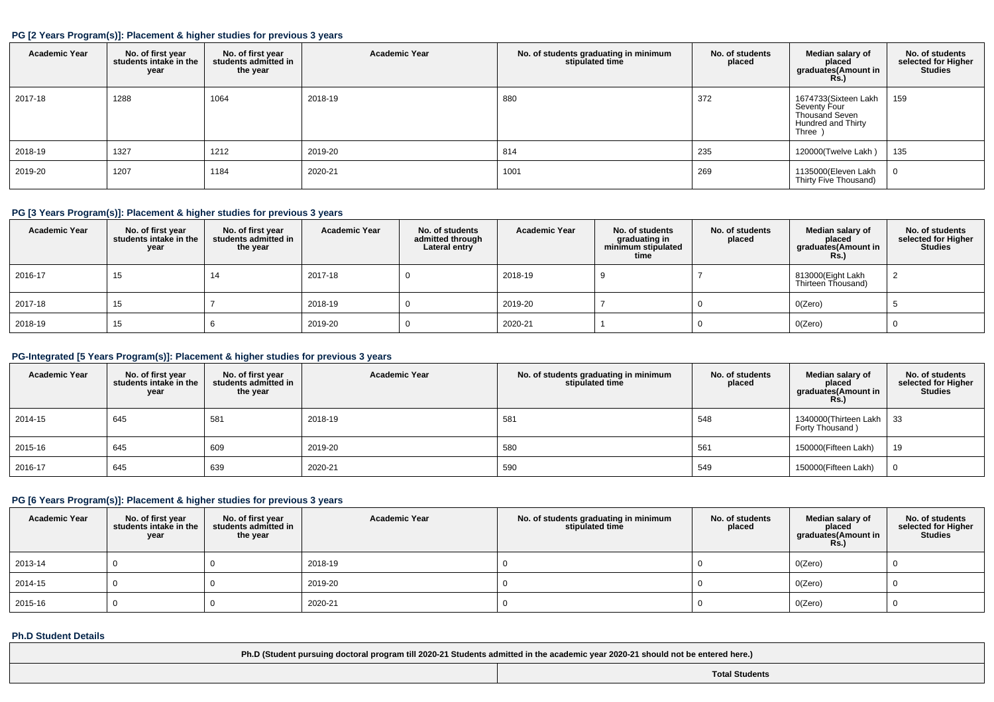#### **PG [2 Years Program(s)]: Placement & higher studies for previous 3 years**

| <b>Academic Year</b> | No. of first year<br>students intake in the<br>year | No. of first year<br>students admitted in<br>the year | <b>Academic Year</b> | No. of students graduating in minimum<br>stipulated time | No. of students<br>placed | Median salary of<br>placed<br>graduates(Amount in<br><b>Rs.</b> )                            | No. of students<br>selected for Higher<br>Studies |
|----------------------|-----------------------------------------------------|-------------------------------------------------------|----------------------|----------------------------------------------------------|---------------------------|----------------------------------------------------------------------------------------------|---------------------------------------------------|
| 2017-18              | 1288                                                | 1064                                                  | 2018-19              | 880                                                      | 372                       | 1674733(Sixteen Lakh<br>Seventy Four<br><b>Thousand Seven</b><br>Hundred and Thirty<br>Three | 159                                               |
| 2018-19              | 1327                                                | 1212                                                  | 2019-20              | 814                                                      | 235                       | 120000(Twelve Lakh)                                                                          | 135                                               |
| 2019-20              | 1207                                                | 1184                                                  | 2020-21              | 1001                                                     | 269                       | 1135000(Eleven Lakh<br>Thirty Five Thousand)                                                 |                                                   |

#### **PG [3 Years Program(s)]: Placement & higher studies for previous 3 years**

| <b>Academic Year</b> | No. of first year<br>students intake in the<br>year | No. of first year<br>students admitted in<br>the year | <b>Academic Year</b> | No. of students<br>admitted through<br>Lateral entry | <b>Academic Year</b> | No. of students<br>graduating in<br>minimum stipulated<br>time | No. of students<br>placed | Median salary of<br>placed<br>graduates(Amount in<br><b>Rs.)</b> | No. of students<br>selected for Higher<br>Studies |
|----------------------|-----------------------------------------------------|-------------------------------------------------------|----------------------|------------------------------------------------------|----------------------|----------------------------------------------------------------|---------------------------|------------------------------------------------------------------|---------------------------------------------------|
| 2016-17              | 15                                                  |                                                       | 2017-18              |                                                      | 2018-19              |                                                                |                           | 813000(Eight Lakh<br>Thirteen Thousand)                          |                                                   |
| 2017-18              | 15                                                  |                                                       | 2018-19              |                                                      | 2019-20              |                                                                |                           | O(Zero)                                                          |                                                   |
| 2018-19              | 15                                                  |                                                       | 2019-20              |                                                      | 2020-21              |                                                                |                           | O(Zero)                                                          |                                                   |

#### **PG-Integrated [5 Years Program(s)]: Placement & higher studies for previous 3 years**

| <b>Academic Year</b> | No. of first year<br>students intake in the<br>year | No. of first year<br>students admitted in<br>the year | <b>Academic Year</b> | No. of students graduating in minimum<br>stipulated time | No. of students<br>placed | Median salary of<br>placed<br>graduates(Amount in<br><b>Rs.)</b> | No. of students<br>selected for Higher<br><b>Studies</b> |
|----------------------|-----------------------------------------------------|-------------------------------------------------------|----------------------|----------------------------------------------------------|---------------------------|------------------------------------------------------------------|----------------------------------------------------------|
| 2014-15              | 645                                                 | 581                                                   | 2018-19              | 581                                                      | 548                       | 1340000 (Thirteen Lakh   33<br>Forty Thousand)                   |                                                          |
| 2015-16              | 645                                                 | 609                                                   | 2019-20              | 580                                                      | 561                       | 150000(Fifteen Lakh)                                             | 19                                                       |
| 2016-17              | 645                                                 | 639                                                   | 2020-21              | 590                                                      | 549                       | 150000(Fifteen Lakh)                                             |                                                          |

### **PG [6 Years Program(s)]: Placement & higher studies for previous 3 years**

| <b>Academic Year</b> | No. of first year<br>students intake in the<br>year | No. of first year<br>students admitted in<br>the year | <b>Academic Year</b> | No. of students graduating in minimum<br>stipulated time | No. of students<br>placed | Median salary of<br>placed<br>graduates(Amount in<br><b>Rs.)</b> | No. of students<br>selected for Higher<br><b>Studies</b> |
|----------------------|-----------------------------------------------------|-------------------------------------------------------|----------------------|----------------------------------------------------------|---------------------------|------------------------------------------------------------------|----------------------------------------------------------|
| 2013-14              |                                                     |                                                       | 2018-19              |                                                          |                           | O(Zero)                                                          |                                                          |
| 2014-15              |                                                     |                                                       | 2019-20              |                                                          |                           | O(Zero)                                                          |                                                          |
| 2015-16              |                                                     |                                                       | 2020-21              |                                                          |                           | 0(Zero)                                                          |                                                          |

### **Ph.D Student Details**

**Ph.D (Student pursuing doctoral program till 2020-21 Students admitted in the academic year 2020-21 should not be entered here.)**

**Total Students**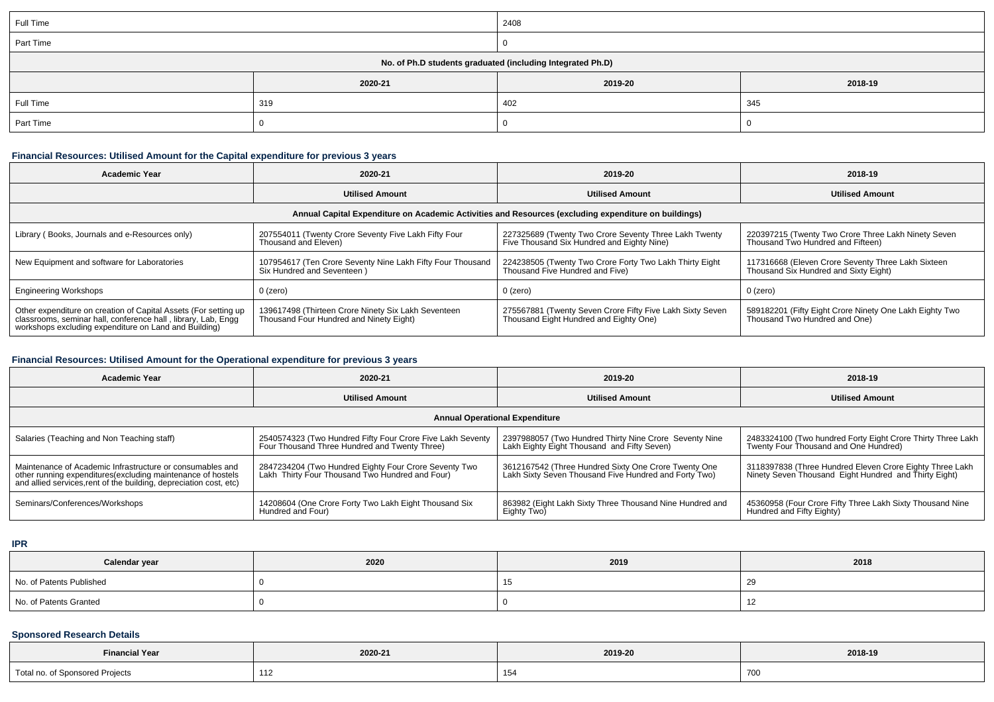| Full Time                                                  |         | 2408    |         |  |  |
|------------------------------------------------------------|---------|---------|---------|--|--|
| Part Time                                                  |         |         |         |  |  |
| No. of Ph.D students graduated (including Integrated Ph.D) |         |         |         |  |  |
|                                                            | 2020-21 | 2019-20 | 2018-19 |  |  |
| Full Time                                                  | 319     | 402     | 345     |  |  |
| Part Time                                                  |         |         |         |  |  |

### **Financial Resources: Utilised Amount for the Capital expenditure for previous 3 years**

| <b>Academic Year</b>                                                                                                                                                                      | 2020-21                                                                                        | 2019-20                                                                                             | 2018-19                                                                                     |  |  |  |  |
|-------------------------------------------------------------------------------------------------------------------------------------------------------------------------------------------|------------------------------------------------------------------------------------------------|-----------------------------------------------------------------------------------------------------|---------------------------------------------------------------------------------------------|--|--|--|--|
|                                                                                                                                                                                           | <b>Utilised Amount</b>                                                                         | <b>Utilised Amount</b>                                                                              | <b>Utilised Amount</b>                                                                      |  |  |  |  |
| Annual Capital Expenditure on Academic Activities and Resources (excluding expenditure on buildings)                                                                                      |                                                                                                |                                                                                                     |                                                                                             |  |  |  |  |
| Library (Books, Journals and e-Resources only)                                                                                                                                            | 207554011 (Twenty Crore Seventy Five Lakh Fifty Four<br>Thousand and Eleven)                   | 227325689 (Twenty Two Crore Seventy Three Lakh Twenty<br>Five Thousand Six Hundred and Eighty Nine) | 220397215 (Twenty Two Crore Three Lakh Ninety Seven<br>Thousand Two Hundred and Fifteen)    |  |  |  |  |
| New Equipment and software for Laboratories                                                                                                                                               | 107954617 (Ten Crore Seventy Nine Lakh Fifty Four Thousand<br>Six Hundred and Seventeen)       | 224238505 (Twenty Two Crore Forty Two Lakh Thirty Eight<br>Thousand Five Hundred and Five)          | 117316668 (Eleven Crore Seventy Three Lakh Sixteen<br>Thousand Six Hundred and Sixty Eight) |  |  |  |  |
| <b>Engineering Workshops</b>                                                                                                                                                              | 0 (zero)                                                                                       | $0$ (zero)                                                                                          | 0 (zero)                                                                                    |  |  |  |  |
| Other expenditure on creation of Capital Assets (For setting up<br>classrooms, seminar hall, conference hall, library, Lab, Engg<br>workshops excluding expenditure on Land and Building) | 139617498 (Thirteen Crore Ninety Six Lakh Seventeen<br>Thousand Four Hundred and Ninety Eight) | 275567881 (Twenty Seven Crore Fifty Five Lakh Sixty Seven<br>Thousand Eight Hundred and Eighty One) | 589182201 (Fifty Eight Crore Ninety One Lakh Eighty Two<br>Thousand Two Hundred and One)    |  |  |  |  |

### **Financial Resources: Utilised Amount for the Operational expenditure for previous 3 years**

| <b>Academic Year</b>                                                                                                                                                                            | 2020-21                                                                                                     | 2019-20                                                                                                       | 2018-19                                                                                                           |  |  |  |  |
|-------------------------------------------------------------------------------------------------------------------------------------------------------------------------------------------------|-------------------------------------------------------------------------------------------------------------|---------------------------------------------------------------------------------------------------------------|-------------------------------------------------------------------------------------------------------------------|--|--|--|--|
|                                                                                                                                                                                                 | <b>Utilised Amount</b>                                                                                      | <b>Utilised Amount</b>                                                                                        | <b>Utilised Amount</b>                                                                                            |  |  |  |  |
| <b>Annual Operational Expenditure</b>                                                                                                                                                           |                                                                                                             |                                                                                                               |                                                                                                                   |  |  |  |  |
| Salaries (Teaching and Non Teaching staff)                                                                                                                                                      | 2540574323 (Two Hundred Fifty Four Crore Five Lakh Seventy<br>Four Thousand Three Hundred and Twenty Three) | 2397988057 (Two Hundred Thirty Nine Crore Seventy Nine<br>Lakh Eighty Eight Thousand and Fifty Seven)         | 2483324100 (Two hundred Forty Eight Crore Thirty Three Lakh<br>Twenty Four Thousand and One Hundred)              |  |  |  |  |
| Maintenance of Academic Infrastructure or consumables and<br>other running expenditures (excluding maintenance of hostels<br>and allied services, rent of the building, depreciation cost, etc) | 2847234204 (Two Hundred Eighty Four Crore Seventy Two<br>Lakh Thirty Four Thousand Two Hundred and Four)    | 3612167542 (Three Hundred Sixty One Crore Twenty One<br>Lakh Sixty Seven Thousand Five Hundred and Forty Two) | 3118397838 (Three Hundred Eleven Crore Eighty Three Lakh<br>Ninety Seven Thousand Eight Hundred and Thirty Eight) |  |  |  |  |
| Seminars/Conferences/Workshops                                                                                                                                                                  | 14208604 (One Crore Forty Two Lakh Eight Thousand Six<br>Hundred and Four)                                  | 863982 (Eight Lakh Sixty Three Thousand Nine Hundred and<br>Eighty Two)                                       | 45360958 (Four Crore Fifty Three Lakh Sixty Thousand Nine<br>Hundred and Fifty Eighty)                            |  |  |  |  |

**IPR**

| Calendar year            | 2020 | 2019 | 2018 |
|--------------------------|------|------|------|
| No. of Patents Published |      |      | -40  |
| No. of Patents Granted   |      |      |      |

### **Sponsored Research Details**

| <b>Financial Year</b> | 2020-21     | 2019-20 | 2018-19 |
|-----------------------|-------------|---------|---------|
| Total                 | . .<br>11 L | 154     |         |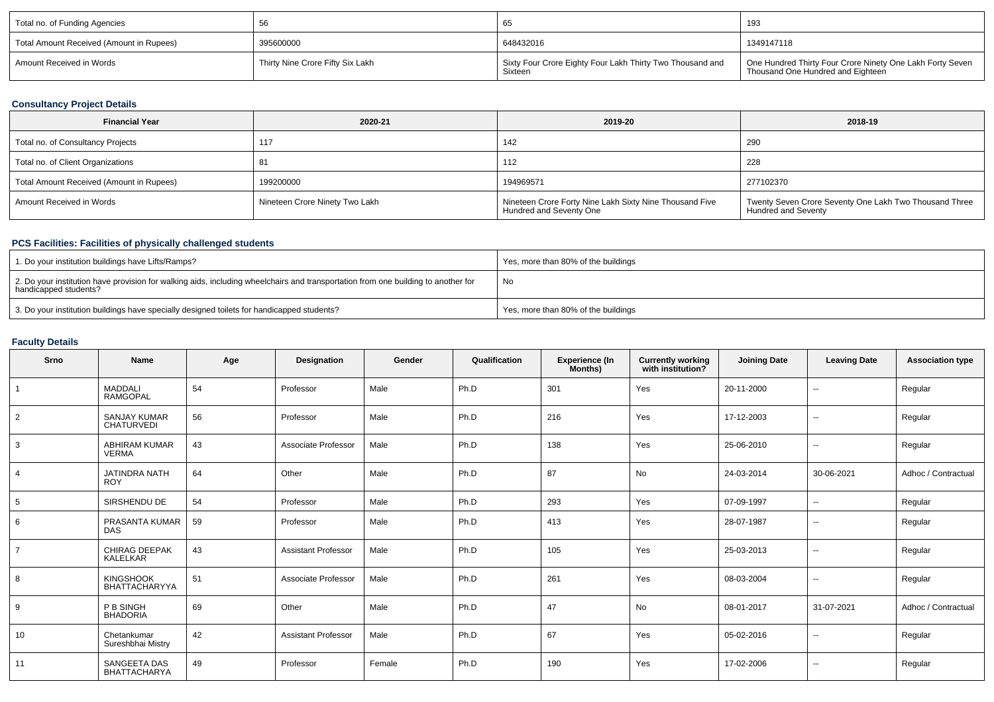| Total no. of Funding Agencies            |                                               | ხა                                                                   | 193                                                                                            |
|------------------------------------------|-----------------------------------------------|----------------------------------------------------------------------|------------------------------------------------------------------------------------------------|
| Total Amount Received (Amount in Rupees) | 395600000                                     | 648432016                                                            | 1349147118                                                                                     |
| Amount Received in Words                 | <sup>1</sup> Thirty Nine Crore Fifty Six Lakh | Sixty Four Crore Eighty Four Lakh Thirty Two Thousand and<br>Sixteen | One Hundred Thirty Four Crore Ninety One Lakh Forty Seven<br>Thousand One Hundred and Eighteen |

## **Consultancy Project Details**

| <b>Financial Year</b>                    | 2020-21                        | 2019-20                                                                            | 2018-19                                                                              |
|------------------------------------------|--------------------------------|------------------------------------------------------------------------------------|--------------------------------------------------------------------------------------|
| Total no. of Consultancy Projects        | 117                            | 142                                                                                | 290                                                                                  |
| Total no. of Client Organizations        | 81                             | 112                                                                                | 228                                                                                  |
| Total Amount Received (Amount in Rupees) | 199200000                      | 194969571                                                                          | 277102370                                                                            |
| Amount Received in Words                 | Nineteen Crore Ninety Two Lakh | Nineteen Crore Forty Nine Lakh Sixty Nine Thousand Five<br>Hundred and Seventy One | Twenty Seven Crore Seventy One Lakh Two Thousand Three<br><b>Hundred and Seventy</b> |

# **PCS Facilities: Facilities of physically challenged students**

| 1. Do your institution buildings have Lifts/Ramps?                                                                                                         | Yes, more than 80% of the buildings |
|------------------------------------------------------------------------------------------------------------------------------------------------------------|-------------------------------------|
| 2. Do your institution have provision for walking aids, including wheelchairs and transportation from one building to another for<br>handicapped students? | No                                  |
| 3. Do your institution buildings have specially designed toilets for handicapped students?                                                                 | Yes, more than 80% of the buildings |

# **Faculty Details**

| Srno           | Name                                       | Age | Designation                | Gender | Qualification | <b>Experience (In</b><br>Months) | <b>Currently working</b><br>with institution? | <b>Joining Date</b> | <b>Leaving Date</b>      | <b>Association type</b> |
|----------------|--------------------------------------------|-----|----------------------------|--------|---------------|----------------------------------|-----------------------------------------------|---------------------|--------------------------|-------------------------|
|                | <b>MADDALI</b><br><b>RAMGOPAL</b>          | 54  | Professor                  | Male   | Ph.D          | 301                              | Yes                                           | 20-11-2000          | $\sim$                   | Regular                 |
| $\overline{2}$ | <b>SANJAY KUMAR</b><br><b>CHATURVEDI</b>   | 56  | Professor                  | Male   | Ph.D          | 216                              | Yes                                           | 17-12-2003          | $\sim$                   | Regular                 |
| 3              | <b>ABHIRAM KUMAR</b><br><b>VERMA</b>       | 43  | Associate Professor        | Male   | Ph.D          | 138                              | Yes                                           | 25-06-2010          | $\overline{\phantom{a}}$ | Regular                 |
| $\overline{4}$ | <b>JATINDRA NATH</b><br><b>ROY</b>         | 64  | Other                      | Male   | Ph.D          | 87                               | No                                            | 24-03-2014          | 30-06-2021               | Adhoc / Contractual     |
| 5              | SIRSHENDU DE                               | 54  | Professor                  | Male   | Ph.D          | 293                              | Yes                                           | 07-09-1997          | $\sim$                   | Regular                 |
| 6              | PRASANTA KUMAR<br>DAS                      | 59  | Professor                  | Male   | Ph.D          | 413                              | Yes                                           | 28-07-1987          | $\sim$                   | Regular                 |
| $\overline{7}$ | <b>CHIRAG DEEPAK</b><br><b>KALELKAR</b>    | 43  | <b>Assistant Professor</b> | Male   | Ph.D          | 105                              | Yes                                           | 25-03-2013          | $\sim$                   | Regular                 |
| 8              | <b>KINGSHOOK</b><br>BHATTACHARYYA          | 51  | Associate Professor        | Male   | Ph.D          | 261                              | Yes                                           | 08-03-2004          | $\sim$                   | Regular                 |
| 9              | P B SINGH<br><b>BHADORIA</b>               | 69  | Other                      | Male   | Ph.D          | 47                               | No                                            | 08-01-2017          | 31-07-2021               | Adhoc / Contractual     |
| 10             | Chetankumar<br>Sureshbhai Mistry           | 42  | <b>Assistant Professor</b> | Male   | Ph.D          | 67                               | Yes                                           | 05-02-2016          | $\sim$                   | Regular                 |
| 11             | <b>SANGEETA DAS</b><br><b>BHATTACHARYA</b> | 49  | Professor                  | Female | Ph.D          | 190                              | Yes                                           | 17-02-2006          | $\sim$                   | Regular                 |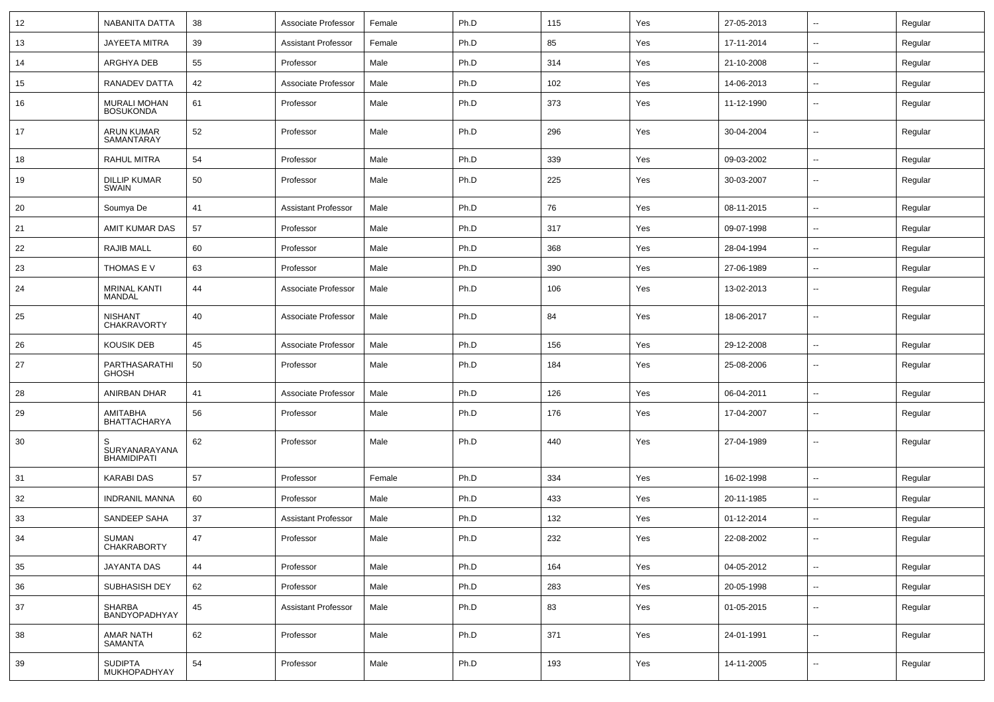| 12 | NABANITA DATTA                            | 38 | Associate Professor        | Female | Ph.D | 115 | Yes | 27-05-2013 | $\sim$                   | Regular |
|----|-------------------------------------------|----|----------------------------|--------|------|-----|-----|------------|--------------------------|---------|
| 13 | <b>JAYEETA MITRA</b>                      | 39 | <b>Assistant Professor</b> | Female | Ph.D | 85  | Yes | 17-11-2014 | Ξ.                       | Regular |
| 14 | ARGHYA DEB                                | 55 | Professor                  | Male   | Ph.D | 314 | Yes | 21-10-2008 | $\sim$                   | Regular |
| 15 | RANADEV DATTA                             | 42 | Associate Professor        | Male   | Ph.D | 102 | Yes | 14-06-2013 | --                       | Regular |
| 16 | MURALI MOHAN<br><b>BOSUKONDA</b>          | 61 | Professor                  | Male   | Ph.D | 373 | Yes | 11-12-1990 | Ξ.                       | Regular |
| 17 | <b>ARUN KUMAR</b><br>SAMANTARAY           | 52 | Professor                  | Male   | Ph.D | 296 | Yes | 30-04-2004 | Ξ.                       | Regular |
| 18 | <b>RAHUL MITRA</b>                        | 54 | Professor                  | Male   | Ph.D | 339 | Yes | 09-03-2002 | $\sim$                   | Regular |
| 19 | <b>DILLIP KUMAR</b><br>SWAIN              | 50 | Professor                  | Male   | Ph.D | 225 | Yes | 30-03-2007 | $\sim$                   | Regular |
| 20 | Soumya De                                 | 41 | <b>Assistant Professor</b> | Male   | Ph.D | 76  | Yes | 08-11-2015 | $\sim$                   | Regular |
| 21 | AMIT KUMAR DAS                            | 57 | Professor                  | Male   | Ph.D | 317 | Yes | 09-07-1998 | $\sim$                   | Regular |
| 22 | <b>RAJIB MALL</b>                         | 60 | Professor                  | Male   | Ph.D | 368 | Yes | 28-04-1994 | Ξ.                       | Regular |
| 23 | THOMAS E V                                | 63 | Professor                  | Male   | Ph.D | 390 | Yes | 27-06-1989 | $\sim$                   | Regular |
| 24 | <b>MRINAL KANTI</b><br><b>MANDAL</b>      | 44 | Associate Professor        | Male   | Ph.D | 106 | Yes | 13-02-2013 | --                       | Regular |
| 25 | <b>NISHANT</b><br><b>CHAKRAVORTY</b>      | 40 | Associate Professor        | Male   | Ph.D | 84  | Yes | 18-06-2017 | $\overline{\phantom{a}}$ | Regular |
| 26 | <b>KOUSIK DEB</b>                         | 45 | Associate Professor        | Male   | Ph.D | 156 | Yes | 29-12-2008 | $\sim$                   | Regular |
| 27 | PARTHASARATHI<br><b>GHOSH</b>             | 50 | Professor                  | Male   | Ph.D | 184 | Yes | 25-08-2006 | Ξ.                       | Regular |
| 28 | ANIRBAN DHAR                              | 41 | Associate Professor        | Male   | Ph.D | 126 | Yes | 06-04-2011 | Ξ.                       | Regular |
| 29 | AMITABHA<br><b>BHATTACHARYA</b>           | 56 | Professor                  | Male   | Ph.D | 176 | Yes | 17-04-2007 | $\sim$                   | Regular |
| 30 | S.<br>SURYANARAYANA<br><b>BHAMIDIPATI</b> | 62 | Professor                  | Male   | Ph.D | 440 | Yes | 27-04-1989 | $\sim$                   | Regular |
| 31 | <b>KARABI DAS</b>                         | 57 | Professor                  | Female | Ph.D | 334 | Yes | 16-02-1998 | $\overline{\phantom{a}}$ | Regular |
| 32 | <b>INDRANIL MANNA</b>                     | 60 | Professor                  | Male   | Ph.D | 433 | Yes | 20-11-1985 | $\sim$                   | Regular |
| 33 | SANDEEP SAHA                              | 37 | <b>Assistant Professor</b> | Male   | Ph.D | 132 | Yes | 01-12-2014 | $\sim$                   | Regular |
| 34 | SUMAN<br><b>CHAKRABORTY</b>               | 47 | Professor                  | Male   | Ph.D | 232 | Yes | 22-08-2002 | $\sim$                   | Regular |
| 35 | JAYANTA DAS                               | 44 | Professor                  | Male   | Ph.D | 164 | Yes | 04-05-2012 | $\overline{\phantom{a}}$ | Regular |
| 36 | SUBHASISH DEY                             | 62 | Professor                  | Male   | Ph.D | 283 | Yes | 20-05-1998 | $\sim$                   | Regular |
| 37 | SHARBA<br><b>BANDYOPADHYAY</b>            | 45 | <b>Assistant Professor</b> | Male   | Ph.D | 83  | Yes | 01-05-2015 | $\sim$                   | Regular |
| 38 | <b>AMAR NATH</b><br>SAMANTA               | 62 | Professor                  | Male   | Ph.D | 371 | Yes | 24-01-1991 | $\sim$                   | Regular |
| 39 | <b>SUDIPTA</b><br>MUKHOPADHYAY            | 54 | Professor                  | Male   | Ph.D | 193 | Yes | 14-11-2005 | $\sim$                   | Regular |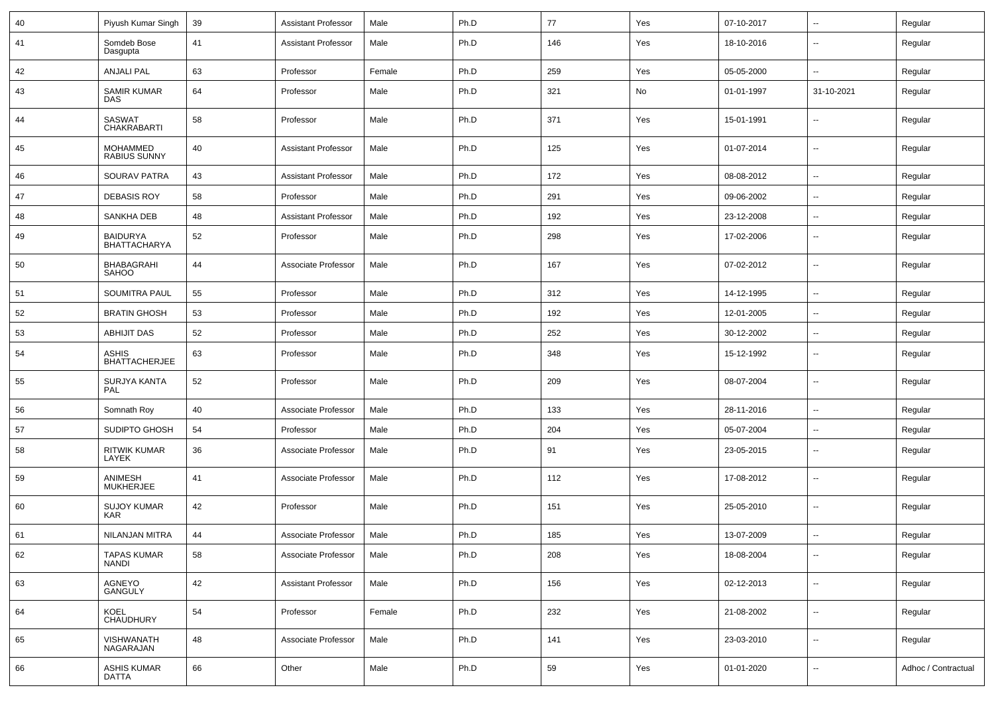| 40 | Piyush Kumar Singh                     | 39 | <b>Assistant Professor</b> | Male   | Ph.D | 77  | Yes | 07-10-2017 | ⊷.                       | Regular             |
|----|----------------------------------------|----|----------------------------|--------|------|-----|-----|------------|--------------------------|---------------------|
| 41 | Somdeb Bose<br>Dasgupta                | 41 | <b>Assistant Professor</b> | Male   | Ph.D | 146 | Yes | 18-10-2016 | −−                       | Regular             |
| 42 | <b>ANJALI PAL</b>                      | 63 | Professor                  | Female | Ph.D | 259 | Yes | 05-05-2000 | ⊷.                       | Regular             |
| 43 | <b>SAMIR KUMAR</b><br><b>DAS</b>       | 64 | Professor                  | Male   | Ph.D | 321 | No  | 01-01-1997 | 31-10-2021               | Regular             |
| 44 | SASWAT<br>CHAKRABARTI                  | 58 | Professor                  | Male   | Ph.D | 371 | Yes | 15-01-1991 | ⊷.                       | Regular             |
| 45 | MOHAMMED<br><b>RABIUS SUNNY</b>        | 40 | <b>Assistant Professor</b> | Male   | Ph.D | 125 | Yes | 01-07-2014 | $\sim$                   | Regular             |
| 46 | SOURAV PATRA                           | 43 | <b>Assistant Professor</b> | Male   | Ph.D | 172 | Yes | 08-08-2012 | $\overline{\phantom{a}}$ | Regular             |
| 47 | <b>DEBASIS ROY</b>                     | 58 | Professor                  | Male   | Ph.D | 291 | Yes | 09-06-2002 | --                       | Regular             |
| 48 | SANKHA DEB                             | 48 | <b>Assistant Professor</b> | Male   | Ph.D | 192 | Yes | 23-12-2008 | --                       | Regular             |
| 49 | <b>BAIDURYA</b><br><b>BHATTACHARYA</b> | 52 | Professor                  | Male   | Ph.D | 298 | Yes | 17-02-2006 | ⊷.                       | Regular             |
| 50 | BHABAGRAHI<br><b>SAHOO</b>             | 44 | Associate Professor        | Male   | Ph.D | 167 | Yes | 07-02-2012 | $\mathbf{u}$             | Regular             |
| 51 | <b>SOUMITRA PAUL</b>                   | 55 | Professor                  | Male   | Ph.D | 312 | Yes | 14-12-1995 | $\sim$                   | Regular             |
| 52 | <b>BRATIN GHOSH</b>                    | 53 | Professor                  | Male   | Ph.D | 192 | Yes | 12-01-2005 | $\sim$                   | Regular             |
| 53 | <b>ABHIJIT DAS</b>                     | 52 | Professor                  | Male   | Ph.D | 252 | Yes | 30-12-2002 | ⊷.                       | Regular             |
| 54 | <b>ASHIS</b><br><b>BHATTACHERJEE</b>   | 63 | Professor                  | Male   | Ph.D | 348 | Yes | 15-12-1992 | --                       | Regular             |
| 55 | SURJYA KANTA<br>PAL                    | 52 | Professor                  | Male   | Ph.D | 209 | Yes | 08-07-2004 | $\overline{\phantom{a}}$ | Regular             |
| 56 | Somnath Roy                            | 40 | Associate Professor        | Male   | Ph.D | 133 | Yes | 28-11-2016 | ⊷.                       | Regular             |
| 57 | SUDIPTO GHOSH                          | 54 | Professor                  | Male   | Ph.D | 204 | Yes | 05-07-2004 | --                       | Regular             |
| 58 | <b>RITWIK KUMAR</b><br>LAYEK           | 36 | Associate Professor        | Male   | Ph.D | 91  | Yes | 23-05-2015 | -−                       | Regular             |
| 59 | ANIMESH<br><b>MUKHERJEE</b>            | 41 | Associate Professor        | Male   | Ph.D | 112 | Yes | 17-08-2012 | --                       | Regular             |
| 60 | <b>SUJOY KUMAR</b><br><b>KAR</b>       | 42 | Professor                  | Male   | Ph.D | 151 | Yes | 25-05-2010 | -−                       | Regular             |
| 61 | NILANJAN MITRA                         | 44 | Associate Professor        | Male   | Ph.D | 185 | Yes | 13-07-2009 | --                       | Regular             |
| 62 | <b>TAPAS KUMAR</b><br><b>NANDI</b>     | 58 | Associate Professor        | Male   | Ph.D | 208 | Yes | 18-08-2004 | $\overline{\phantom{a}}$ | Regular             |
| 63 | AGNEYO<br>GANGULY                      | 42 | <b>Assistant Professor</b> | Male   | Ph.D | 156 | Yes | 02-12-2013 | Щ,                       | Regular             |
| 64 | KOEL<br>CHAUDHURY                      | 54 | Professor                  | Female | Ph.D | 232 | Yes | 21-08-2002 | Ξ.                       | Regular             |
| 65 | VISHWANATH<br>NAGARAJAN                | 48 | Associate Professor        | Male   | Ph.D | 141 | Yes | 23-03-2010 | Щ,                       | Regular             |
| 66 | <b>ASHIS KUMAR</b><br><b>DATTA</b>     | 66 | Other                      | Male   | Ph.D | 59  | Yes | 01-01-2020 | $\overline{\phantom{a}}$ | Adhoc / Contractual |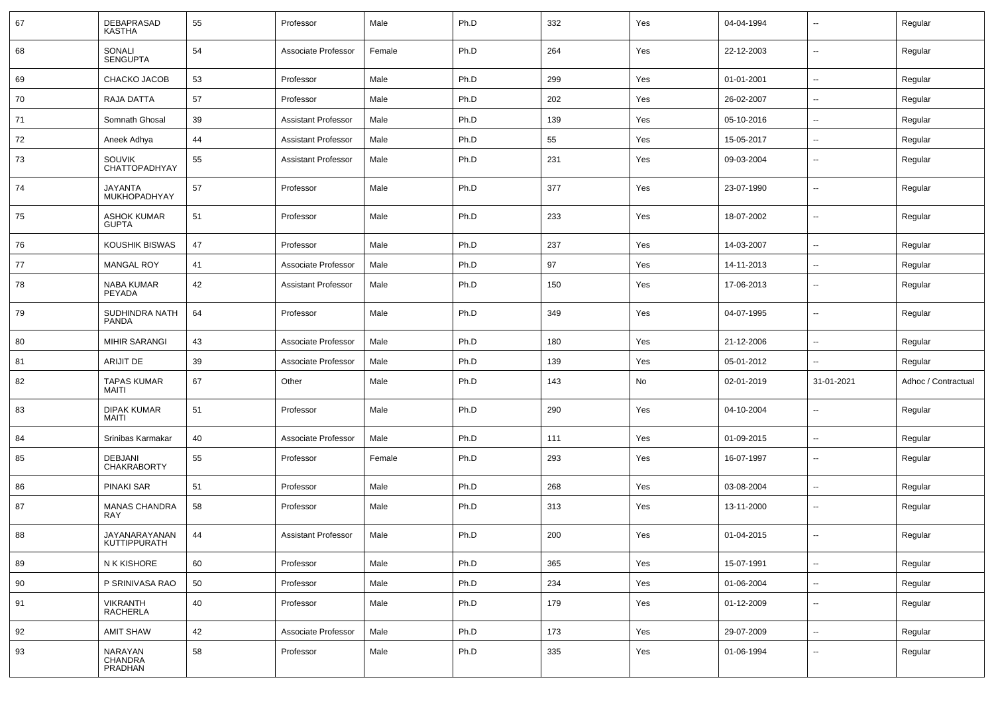| 67 | <b>DEBAPRASAD</b><br><b>KASTHA</b>    | 55 | Professor                  | Male   | Ph.D | 332 | Yes | 04-04-1994 | $\overline{\phantom{a}}$ | Regular             |
|----|---------------------------------------|----|----------------------------|--------|------|-----|-----|------------|--------------------------|---------------------|
| 68 | SONALI<br><b>SENGUPTA</b>             | 54 | Associate Professor        | Female | Ph.D | 264 | Yes | 22-12-2003 | $\overline{\phantom{a}}$ | Regular             |
| 69 | CHACKO JACOB                          | 53 | Professor                  | Male   | Ph.D | 299 | Yes | 01-01-2001 | $\overline{\phantom{a}}$ | Regular             |
| 70 | RAJA DATTA                            | 57 | Professor                  | Male   | Ph.D | 202 | Yes | 26-02-2007 | $\overline{\phantom{a}}$ | Regular             |
| 71 | Somnath Ghosal                        | 39 | <b>Assistant Professor</b> | Male   | Ph.D | 139 | Yes | 05-10-2016 | $\sim$                   | Regular             |
| 72 | Aneek Adhya                           | 44 | <b>Assistant Professor</b> | Male   | Ph.D | 55  | Yes | 15-05-2017 | $\overline{a}$           | Regular             |
| 73 | <b>SOUVIK</b><br><b>CHATTOPADHYAY</b> | 55 | <b>Assistant Professor</b> | Male   | Ph.D | 231 | Yes | 09-03-2004 | $\overline{\phantom{a}}$ | Regular             |
| 74 | <b>JAYANTA</b><br>MUKHOPADHYAY        | 57 | Professor                  | Male   | Ph.D | 377 | Yes | 23-07-1990 | $\overline{\phantom{a}}$ | Regular             |
| 75 | <b>ASHOK KUMAR</b><br><b>GUPTA</b>    | 51 | Professor                  | Male   | Ph.D | 233 | Yes | 18-07-2002 | $\overline{\phantom{a}}$ | Regular             |
| 76 | <b>KOUSHIK BISWAS</b>                 | 47 | Professor                  | Male   | Ph.D | 237 | Yes | 14-03-2007 | $\overline{\phantom{a}}$ | Regular             |
| 77 | <b>MANGAL ROY</b>                     | 41 | Associate Professor        | Male   | Ph.D | 97  | Yes | 14-11-2013 | $\sim$                   | Regular             |
| 78 | NABA KUMAR<br>PEYADA                  | 42 | <b>Assistant Professor</b> | Male   | Ph.D | 150 | Yes | 17-06-2013 | $\overline{\phantom{a}}$ | Regular             |
| 79 | SUDHINDRA NATH<br><b>PANDA</b>        | 64 | Professor                  | Male   | Ph.D | 349 | Yes | 04-07-1995 | $\sim$                   | Regular             |
| 80 | <b>MIHIR SARANGI</b>                  | 43 | Associate Professor        | Male   | Ph.D | 180 | Yes | 21-12-2006 | $\overline{\phantom{a}}$ | Regular             |
| 81 | <b>ARIJIT DE</b>                      | 39 | Associate Professor        | Male   | Ph.D | 139 | Yes | 05-01-2012 | $\overline{\phantom{a}}$ | Regular             |
| 82 | <b>TAPAS KUMAR</b><br>MAITI           | 67 | Other                      | Male   | Ph.D | 143 | No  | 02-01-2019 | 31-01-2021               | Adhoc / Contractual |
| 83 | <b>DIPAK KUMAR</b><br><b>MAITI</b>    | 51 | Professor                  | Male   | Ph.D | 290 | Yes | 04-10-2004 | $\overline{\phantom{a}}$ | Regular             |
| 84 | Srinibas Karmakar                     | 40 | Associate Professor        | Male   | Ph.D | 111 | Yes | 01-09-2015 | $\overline{\phantom{a}}$ | Regular             |
| 85 | <b>DEBJANI</b><br><b>CHAKRABORTY</b>  | 55 | Professor                  | Female | Ph.D | 293 | Yes | 16-07-1997 | $\sim$                   | Regular             |
| 86 | <b>PINAKI SAR</b>                     | 51 | Professor                  | Male   | Ph.D | 268 | Yes | 03-08-2004 | $\sim$                   | Regular             |
| 87 | <b>MANAS CHANDRA</b><br><b>RAY</b>    | 58 | Professor                  | Male   | Ph.D | 313 | Yes | 13-11-2000 | $\overline{\phantom{a}}$ | Regular             |
| 88 | JAYANARAYANAN<br>KUTTIPPURATH         | 44 | <b>Assistant Professor</b> | Male   | Ph.D | 200 | Yes | 01-04-2015 | $\overline{\phantom{a}}$ | Regular             |
| 89 | N K KISHORE                           | 60 | Professor                  | Male   | Ph.D | 365 | Yes | 15-07-1991 | $\overline{\phantom{a}}$ | Regular             |
| 90 | P SRINIVASA RAO                       | 50 | Professor                  | Male   | Ph.D | 234 | Yes | 01-06-2004 | $\overline{\phantom{a}}$ | Regular             |
| 91 | <b>VIKRANTH</b><br><b>RACHERLA</b>    | 40 | Professor                  | Male   | Ph.D | 179 | Yes | 01-12-2009 | $\overline{\phantom{a}}$ | Regular             |
| 92 | AMIT SHAW                             | 42 | Associate Professor        | Male   | Ph.D | 173 | Yes | 29-07-2009 | $\sim$                   | Regular             |
| 93 | NARAYAN<br>CHANDRA<br>PRADHAN         | 58 | Professor                  | Male   | Ph.D | 335 | Yes | 01-06-1994 | $\overline{\phantom{a}}$ | Regular             |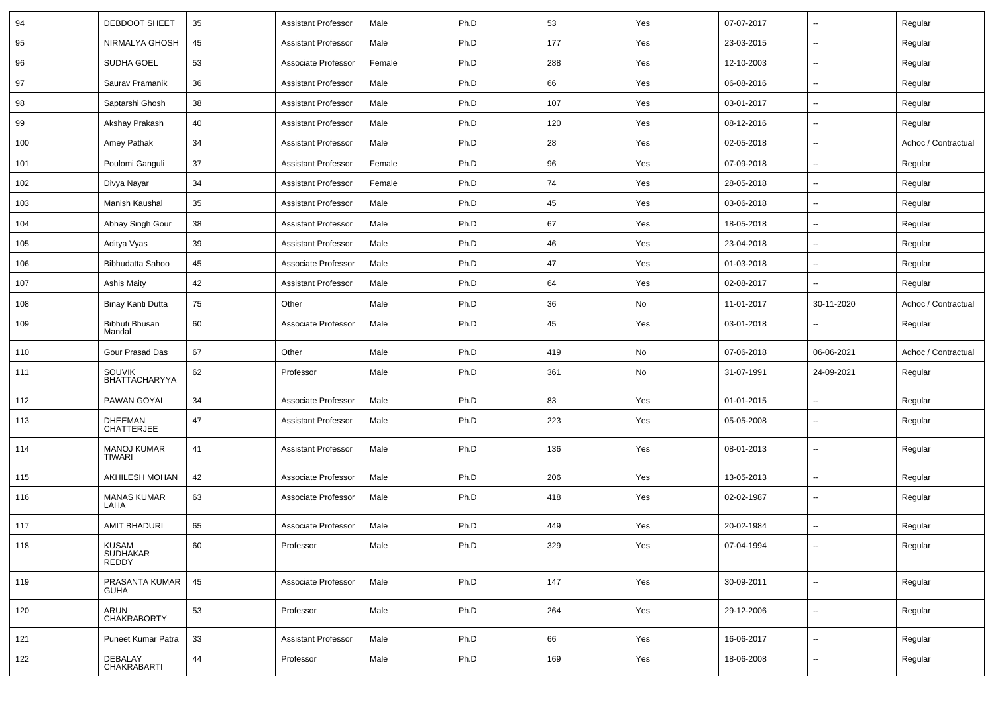| 94  | <b>DEBDOOT SHEET</b>                     | 35 | <b>Assistant Professor</b> | Male   | Ph.D | 53  | Yes | 07-07-2017 | ⊶.                       | Regular             |
|-----|------------------------------------------|----|----------------------------|--------|------|-----|-----|------------|--------------------------|---------------------|
| 95  | NIRMALYA GHOSH                           | 45 | <b>Assistant Professor</b> | Male   | Ph.D | 177 | Yes | 23-03-2015 | н.                       | Regular             |
| 96  | SUDHA GOEL                               | 53 | Associate Professor        | Female | Ph.D | 288 | Yes | 12-10-2003 | ⊷.                       | Regular             |
| 97  | Saurav Pramanik                          | 36 | <b>Assistant Professor</b> | Male   | Ph.D | 66  | Yes | 06-08-2016 | --                       | Regular             |
| 98  | Saptarshi Ghosh                          | 38 | <b>Assistant Professor</b> | Male   | Ph.D | 107 | Yes | 03-01-2017 | --                       | Regular             |
| 99  | Akshay Prakash                           | 40 | <b>Assistant Professor</b> | Male   | Ph.D | 120 | Yes | 08-12-2016 | $\overline{\phantom{a}}$ | Regular             |
| 100 | Amey Pathak                              | 34 | <b>Assistant Professor</b> | Male   | Ph.D | 28  | Yes | 02-05-2018 | ⊷.                       | Adhoc / Contractual |
| 101 | Poulomi Ganguli                          | 37 | <b>Assistant Professor</b> | Female | Ph.D | 96  | Yes | 07-09-2018 | -−                       | Regular             |
| 102 | Divya Nayar                              | 34 | <b>Assistant Professor</b> | Female | Ph.D | 74  | Yes | 28-05-2018 | ⊷.                       | Regular             |
| 103 | Manish Kaushal                           | 35 | <b>Assistant Professor</b> | Male   | Ph.D | 45  | Yes | 03-06-2018 | $\overline{\phantom{a}}$ | Regular             |
| 104 | Abhay Singh Gour                         | 38 | <b>Assistant Professor</b> | Male   | Ph.D | 67  | Yes | 18-05-2018 |                          | Regular             |
| 105 | Aditya Vyas                              | 39 | <b>Assistant Professor</b> | Male   | Ph.D | 46  | Yes | 23-04-2018 | ⊷.                       | Regular             |
| 106 | <b>Bibhudatta Sahoo</b>                  | 45 | Associate Professor        | Male   | Ph.D | 47  | Yes | 01-03-2018 | −−                       | Regular             |
| 107 | <b>Ashis Maity</b>                       | 42 | <b>Assistant Professor</b> | Male   | Ph.D | 64  | Yes | 02-08-2017 | н.                       | Regular             |
| 108 | Binay Kanti Dutta                        | 75 | Other                      | Male   | Ph.D | 36  | No  | 11-01-2017 | 30-11-2020               | Adhoc / Contractual |
| 109 | Bibhuti Bhusan<br>Mandal                 | 60 | Associate Professor        | Male   | Ph.D | 45  | Yes | 03-01-2018 | -−                       | Regular             |
| 110 | Gour Prasad Das                          | 67 | Other                      | Male   | Ph.D | 419 | No  | 07-06-2018 | 06-06-2021               | Adhoc / Contractual |
| 111 | <b>SOUVIK</b><br>BHATTACHARYYA           | 62 | Professor                  | Male   | Ph.D | 361 | No  | 31-07-1991 | 24-09-2021               | Regular             |
| 112 | PAWAN GOYAL                              | 34 | Associate Professor        | Male   | Ph.D | 83  | Yes | 01-01-2015 | -−                       | Regular             |
| 113 | <b>DHEEMAN</b><br><b>CHATTERJEE</b>      | 47 | <b>Assistant Professor</b> | Male   | Ph.D | 223 | Yes | 05-05-2008 | $\sim$                   | Regular             |
| 114 | <b>MANOJ KUMAR</b><br><b>TIWARI</b>      | 41 | <b>Assistant Professor</b> | Male   | Ph.D | 136 | Yes | 08-01-2013 | $\overline{\phantom{a}}$ | Regular             |
| 115 | AKHILESH MOHAN                           | 42 | Associate Professor        | Male   | Ph.D | 206 | Yes | 13-05-2013 | $\mathbf{u}$             | Regular             |
| 116 | <b>MANAS KUMAR</b><br>LAHA               | 63 | Associate Professor        | Male   | Ph.D | 418 | Yes | 02-02-1987 | −−                       | Regular             |
| 117 | <b>AMIT BHADURI</b>                      | 65 | Associate Professor        | Male   | Ph.D | 449 | Yes | 20-02-1984 | $\overline{\phantom{a}}$ | Regular             |
| 118 | <b>KUSAM</b><br>SUDHAKAR<br><b>REDDY</b> | 60 | Professor                  | Male   | Ph.D | 329 | Yes | 07-04-1994 | −−                       | Regular             |
| 119 | PRASANTA KUMAR<br><b>GUHA</b>            | 45 | Associate Professor        | Male   | Ph.D | 147 | Yes | 30-09-2011 | Щ,                       | Regular             |
| 120 | ARUN<br><b>CHAKRABORTY</b>               | 53 | Professor                  | Male   | Ph.D | 264 | Yes | 29-12-2006 | Щ,                       | Regular             |
| 121 | Puneet Kumar Patra                       | 33 | <b>Assistant Professor</b> | Male   | Ph.D | 66  | Yes | 16-06-2017 | Щ,                       | Regular             |
| 122 | DEBALAY<br>CHAKRABARTI                   | 44 | Professor                  | Male   | Ph.D | 169 | Yes | 18-06-2008 | -−                       | Regular             |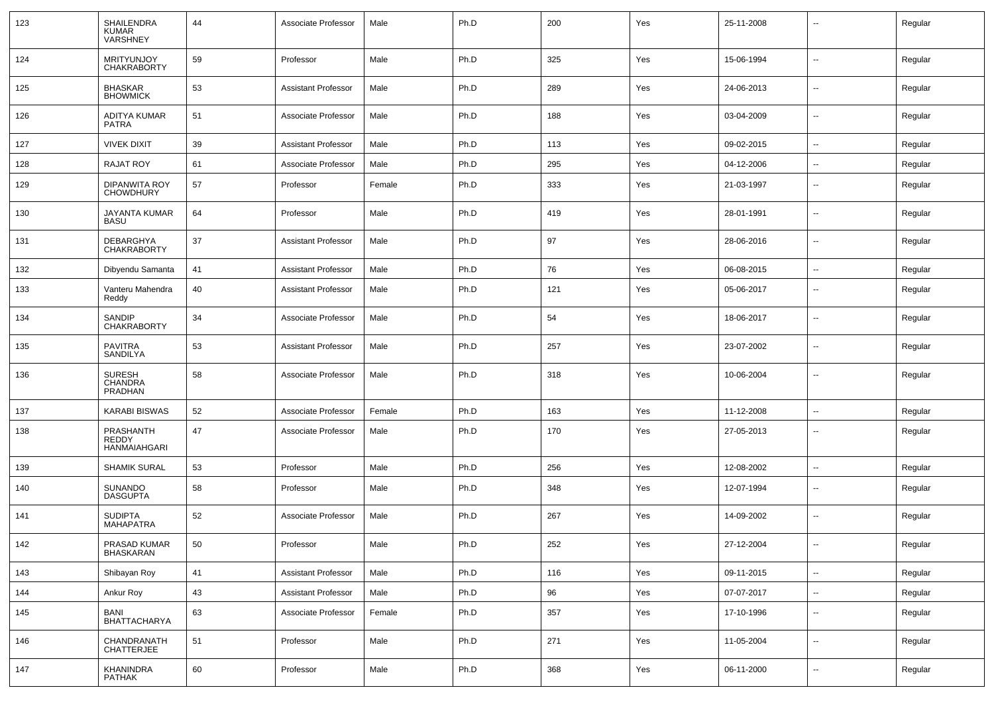| 123 | <b>SHAILENDRA</b><br><b>KUMAR</b><br>VARSHNEY | 44 | Associate Professor        | Male   | Ph.D | 200 | Yes | 25-11-2008 | $\overline{\phantom{a}}$ | Regular |
|-----|-----------------------------------------------|----|----------------------------|--------|------|-----|-----|------------|--------------------------|---------|
| 124 | MRITYUNJOY<br><b>CHAKRABORTY</b>              | 59 | Professor                  | Male   | Ph.D | 325 | Yes | 15-06-1994 | $\overline{a}$           | Regular |
| 125 | <b>BHASKAR</b><br><b>BHOWMICK</b>             | 53 | <b>Assistant Professor</b> | Male   | Ph.D | 289 | Yes | 24-06-2013 | $\mathbf{u}$             | Regular |
| 126 | ADITYA KUMAR<br>PATRA                         | 51 | Associate Professor        | Male   | Ph.D | 188 | Yes | 03-04-2009 | $\sim$                   | Regular |
| 127 | <b>VIVEK DIXIT</b>                            | 39 | <b>Assistant Professor</b> | Male   | Ph.D | 113 | Yes | 09-02-2015 | $\sim$                   | Regular |
| 128 | <b>RAJAT ROY</b>                              | 61 | Associate Professor        | Male   | Ph.D | 295 | Yes | 04-12-2006 | $\sim$                   | Regular |
| 129 | <b>DIPANWITA ROY</b><br><b>CHOWDHURY</b>      | 57 | Professor                  | Female | Ph.D | 333 | Yes | 21-03-1997 | $\overline{\phantom{a}}$ | Regular |
| 130 | JAYANTA KUMAR<br><b>BASU</b>                  | 64 | Professor                  | Male   | Ph.D | 419 | Yes | 28-01-1991 | --                       | Regular |
| 131 | DEBARGHYA<br><b>CHAKRABORTY</b>               | 37 | <b>Assistant Professor</b> | Male   | Ph.D | 97  | Yes | 28-06-2016 | $\mathbf{u}$             | Regular |
| 132 | Dibyendu Samanta                              | 41 | <b>Assistant Professor</b> | Male   | Ph.D | 76  | Yes | 06-08-2015 | $\sim$                   | Regular |
| 133 | Vanteru Mahendra<br>Reddy                     | 40 | <b>Assistant Professor</b> | Male   | Ph.D | 121 | Yes | 05-06-2017 | $\mathbf{u}$             | Regular |
| 134 | SANDIP<br><b>CHAKRABORTY</b>                  | 34 | Associate Professor        | Male   | Ph.D | 54  | Yes | 18-06-2017 | $\overline{\phantom{a}}$ | Regular |
| 135 | <b>PAVITRA</b><br>SANDILYA                    | 53 | <b>Assistant Professor</b> | Male   | Ph.D | 257 | Yes | 23-07-2002 | $\mathbf{u}$             | Regular |
| 136 | <b>SURESH</b><br><b>CHANDRA</b><br>PRADHAN    | 58 | Associate Professor        | Male   | Ph.D | 318 | Yes | 10-06-2004 | $\overline{\phantom{a}}$ | Regular |
| 137 | <b>KARABI BISWAS</b>                          | 52 | Associate Professor        | Female | Ph.D | 163 | Yes | 11-12-2008 | $\overline{\phantom{a}}$ | Regular |
| 138 | PRASHANTH<br><b>REDDY</b><br>HANMAIAHGARI     | 47 | Associate Professor        | Male   | Ph.D | 170 | Yes | 27-05-2013 | $\overline{\phantom{a}}$ | Regular |
| 139 | <b>SHAMIK SURAL</b>                           | 53 | Professor                  | Male   | Ph.D | 256 | Yes | 12-08-2002 | $\overline{\phantom{a}}$ | Regular |
| 140 | SUNANDO<br><b>DASGUPTA</b>                    | 58 | Professor                  | Male   | Ph.D | 348 | Yes | 12-07-1994 | $\overline{\phantom{a}}$ | Regular |
| 141 | <b>SUDIPTA</b><br><b>MAHAPATRA</b>            | 52 | Associate Professor        | Male   | Ph.D | 267 | Yes | 14-09-2002 | $\mathbf{u}$             | Regular |
| 142 | PRASAD KUMAR<br><b>BHASKARAN</b>              | 50 | Professor                  | Male   | Ph.D | 252 | Yes | 27-12-2004 | $\sim$                   | Regular |
| 143 | Shibayan Roy                                  | 41 | <b>Assistant Professor</b> | Male   | Ph.D | 116 | Yes | 09-11-2015 | $\sim$                   | Regular |
| 144 | Ankur Roy                                     | 43 | <b>Assistant Professor</b> | Male   | Ph.D | 96  | Yes | 07-07-2017 | $\sim$                   | Regular |
| 145 | BANI<br><b>BHATTACHARYA</b>                   | 63 | Associate Professor        | Female | Ph.D | 357 | Yes | 17-10-1996 | $\sim$                   | Regular |
| 146 | CHANDRANATH<br><b>CHATTERJEE</b>              | 51 | Professor                  | Male   | Ph.D | 271 | Yes | 11-05-2004 | $\mathbf{u}$             | Regular |
| 147 | KHANINDRA<br>PATHAK                           | 60 | Professor                  | Male   | Ph.D | 368 | Yes | 06-11-2000 | $\sim$                   | Regular |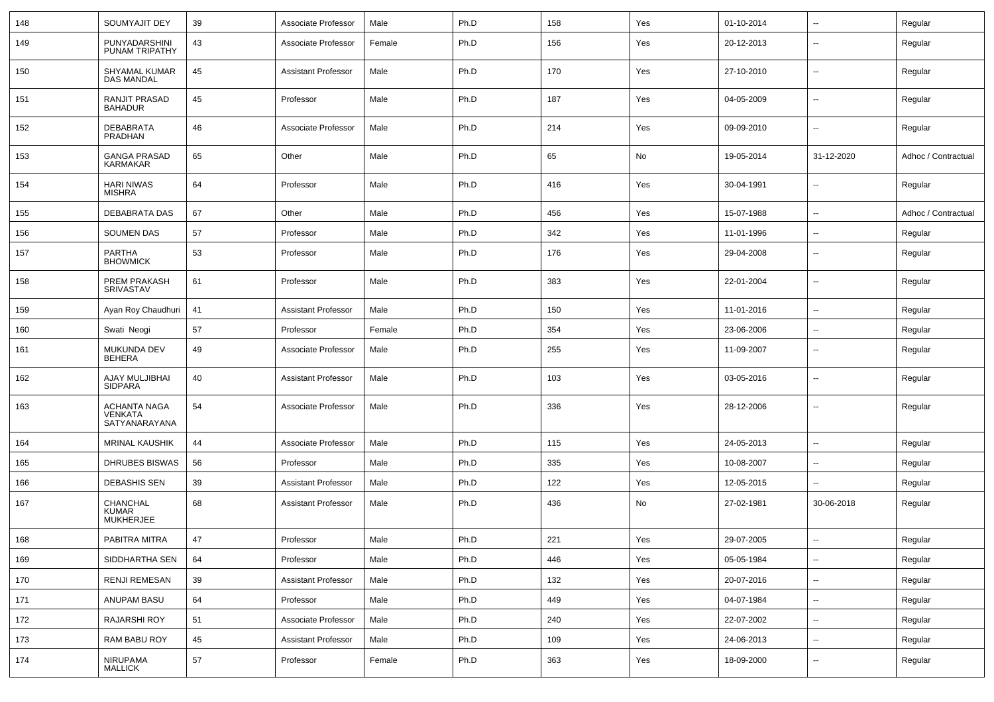| 148 | SOUMYAJIT DEY                                   | 39 | Associate Professor        | Male   | Ph.D | 158 | Yes | 01-10-2014 | $\overline{\phantom{a}}$ | Regular             |
|-----|-------------------------------------------------|----|----------------------------|--------|------|-----|-----|------------|--------------------------|---------------------|
| 149 | PUNYADARSHINI<br>PUNAM TRIPATHY                 | 43 | Associate Professor        | Female | Ph.D | 156 | Yes | 20-12-2013 | $\overline{\phantom{a}}$ | Regular             |
| 150 | SHYAMAL KUMAR<br><b>DAS MANDAL</b>              | 45 | <b>Assistant Professor</b> | Male   | Ph.D | 170 | Yes | 27-10-2010 | $\overline{\phantom{a}}$ | Regular             |
| 151 | RANJIT PRASAD<br><b>BAHADUR</b>                 | 45 | Professor                  | Male   | Ph.D | 187 | Yes | 04-05-2009 | ⊷.                       | Regular             |
| 152 | DEBABRATA<br>PRADHAN                            | 46 | Associate Professor        | Male   | Ph.D | 214 | Yes | 09-09-2010 | $\overline{\phantom{a}}$ | Regular             |
| 153 | <b>GANGA PRASAD</b><br><b>KARMAKAR</b>          | 65 | Other                      | Male   | Ph.D | 65  | No  | 19-05-2014 | 31-12-2020               | Adhoc / Contractual |
| 154 | <b>HARI NIWAS</b><br><b>MISHRA</b>              | 64 | Professor                  | Male   | Ph.D | 416 | Yes | 30-04-1991 | ⊷.                       | Regular             |
| 155 | DEBABRATA DAS                                   | 67 | Other                      | Male   | Ph.D | 456 | Yes | 15-07-1988 | $\overline{\phantom{a}}$ | Adhoc / Contractual |
| 156 | <b>SOUMEN DAS</b>                               | 57 | Professor                  | Male   | Ph.D | 342 | Yes | 11-01-1996 | $\overline{a}$           | Regular             |
| 157 | PARTHA<br><b>BHOWMICK</b>                       | 53 | Professor                  | Male   | Ph.D | 176 | Yes | 29-04-2008 | --                       | Regular             |
| 158 | PREM PRAKASH<br>SRIVASTAV                       | 61 | Professor                  | Male   | Ph.D | 383 | Yes | 22-01-2004 | --                       | Regular             |
| 159 | Ayan Roy Chaudhuri                              | 41 | <b>Assistant Professor</b> | Male   | Ph.D | 150 | Yes | 11-01-2016 |                          | Regular             |
| 160 | Swati Neogi                                     | 57 | Professor                  | Female | Ph.D | 354 | Yes | 23-06-2006 | ⊷.                       | Regular             |
| 161 | <b>MUKUNDA DEV</b><br>BEHERA                    | 49 | Associate Professor        | Male   | Ph.D | 255 | Yes | 11-09-2007 | −−                       | Regular             |
| 162 | AJAY MULJIBHAI<br>SIDPARA                       | 40 | <b>Assistant Professor</b> | Male   | Ph.D | 103 | Yes | 03-05-2016 | $\overline{\phantom{a}}$ | Regular             |
| 163 | <b>ACHANTA NAGA</b><br>VENKATA<br>SATYANARAYANA | 54 | Associate Professor        | Male   | Ph.D | 336 | Yes | 28-12-2006 | $\overline{\phantom{a}}$ | Regular             |
| 164 | <b>MRINAL KAUSHIK</b>                           | 44 | Associate Professor        | Male   | Ph.D | 115 | Yes | 24-05-2013 | $\overline{\phantom{a}}$ | Regular             |
| 165 | DHRUBES BISWAS                                  | 56 | Professor                  | Male   | Ph.D | 335 | Yes | 10-08-2007 | $\overline{a}$           | Regular             |
| 166 | <b>DEBASHIS SEN</b>                             | 39 | <b>Assistant Professor</b> | Male   | Ph.D | 122 | Yes | 12-05-2015 | н.                       | Regular             |
| 167 | CHANCHAL<br><b>KUMAR</b><br>MUKHERJEE           | 68 | <b>Assistant Professor</b> | Male   | Ph.D | 436 | No  | 27-02-1981 | 30-06-2018               | Regular             |
| 168 | PABITRA MITRA                                   | 47 | Professor                  | Male   | Ph.D | 221 | Yes | 29-07-2005 | $\overline{\phantom{a}}$ | Regular             |
| 169 | SIDDHARTHA SEN                                  | 64 | Professor                  | Male   | Ph.D | 446 | Yes | 05-05-1984 | $\sim$                   | Regular             |
| 170 | <b>RENJI REMESAN</b>                            | 39 | <b>Assistant Professor</b> | Male   | Ph.D | 132 | Yes | 20-07-2016 | $\overline{\phantom{a}}$ | Regular             |
| 171 | ANUPAM BASU                                     | 64 | Professor                  | Male   | Ph.D | 449 | Yes | 04-07-1984 | н.                       | Regular             |
| 172 | RAJARSHI ROY                                    | 51 | Associate Professor        | Male   | Ph.D | 240 | Yes | 22-07-2002 | $\sim$                   | Regular             |
| 173 | RAM BABU ROY                                    | 45 | <b>Assistant Professor</b> | Male   | Ph.D | 109 | Yes | 24-06-2013 | $\overline{\phantom{a}}$ | Regular             |
| 174 | NIRUPAMA<br><b>MALLICK</b>                      | 57 | Professor                  | Female | Ph.D | 363 | Yes | 18-09-2000 | -−                       | Regular             |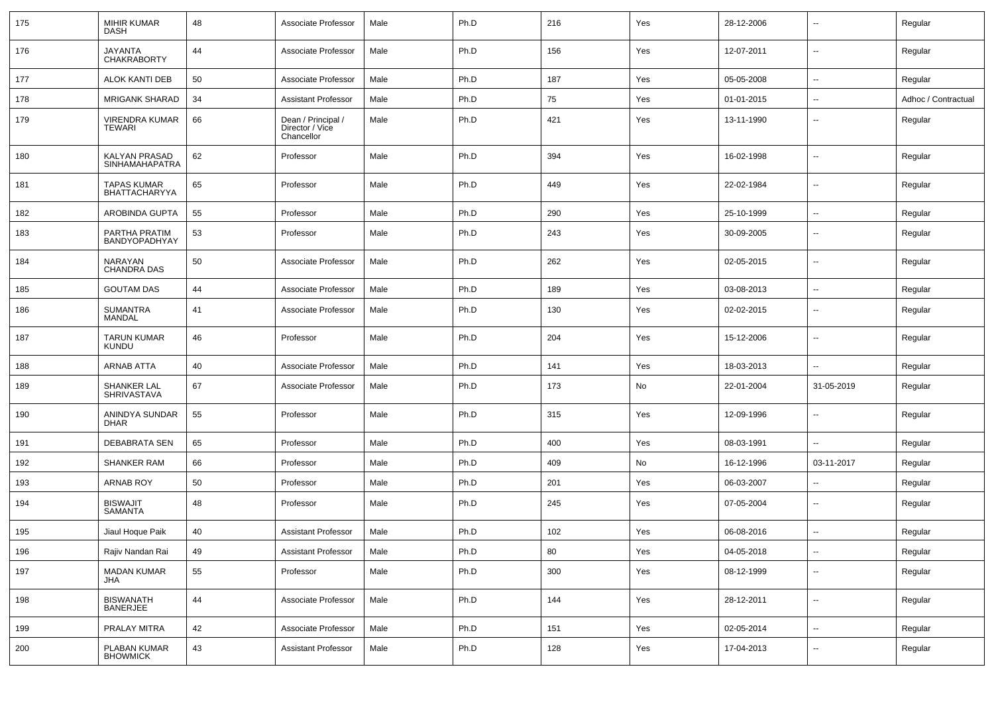| 175 | <b>MIHIR KUMAR</b><br><b>DASH</b>      | 48 | Associate Professor                                 | Male | Ph.D | 216 | Yes | 28-12-2006 | --                       | Regular             |
|-----|----------------------------------------|----|-----------------------------------------------------|------|------|-----|-----|------------|--------------------------|---------------------|
| 176 | JAYANTA<br><b>CHAKRABORTY</b>          | 44 | Associate Professor                                 | Male | Ph.D | 156 | Yes | 12-07-2011 | ⊶.                       | Regular             |
| 177 | <b>ALOK KANTI DEB</b>                  | 50 | Associate Professor                                 | Male | Ph.D | 187 | Yes | 05-05-2008 | -−                       | Regular             |
| 178 | <b>MRIGANK SHARAD</b>                  | 34 | <b>Assistant Professor</b>                          | Male | Ph.D | 75  | Yes | 01-01-2015 | ⊷.                       | Adhoc / Contractual |
| 179 | VIRENDRA KUMAR<br>TEWARI               | 66 | Dean / Principal /<br>Director / Vice<br>Chancellor | Male | Ph.D | 421 | Yes | 13-11-1990 | --                       | Regular             |
| 180 | KALYAN PRASAD<br><b>SINHAMAHAPATRA</b> | 62 | Professor                                           | Male | Ph.D | 394 | Yes | 16-02-1998 | $\overline{\phantom{a}}$ | Regular             |
| 181 | TAPAS KUMAR<br><b>BHATTACHARYYA</b>    | 65 | Professor                                           | Male | Ph.D | 449 | Yes | 22-02-1984 | ⊷.                       | Regular             |
| 182 | AROBINDA GUPTA                         | 55 | Professor                                           | Male | Ph.D | 290 | Yes | 25-10-1999 | ⊷.                       | Regular             |
| 183 | PARTHA PRATIM<br><b>BANDYOPADHYAY</b>  | 53 | Professor                                           | Male | Ph.D | 243 | Yes | 30-09-2005 | $\overline{\phantom{a}}$ | Regular             |
| 184 | NARAYAN<br><b>CHANDRA DAS</b>          | 50 | Associate Professor                                 | Male | Ph.D | 262 | Yes | 02-05-2015 | $\overline{\phantom{a}}$ | Regular             |
| 185 | <b>GOUTAM DAS</b>                      | 44 | Associate Professor                                 | Male | Ph.D | 189 | Yes | 03-08-2013 | --                       | Regular             |
| 186 | <b>SUMANTRA</b><br>MANDAL              | 41 | Associate Professor                                 | Male | Ph.D | 130 | Yes | 02-02-2015 | --                       | Regular             |
| 187 | <b>TARUN KUMAR</b><br><b>KUNDU</b>     | 46 | Professor                                           | Male | Ph.D | 204 | Yes | 15-12-2006 | н.                       | Regular             |
| 188 | <b>ARNAB ATTA</b>                      | 40 | Associate Professor                                 | Male | Ph.D | 141 | Yes | 18-03-2013 | --                       | Regular             |
| 189 | SHANKER LAL<br>SHRIVASTAVA             | 67 | Associate Professor                                 | Male | Ph.D | 173 | No  | 22-01-2004 | 31-05-2019               | Regular             |
| 190 | ANINDYA SUNDAR<br><b>DHAR</b>          | 55 | Professor                                           | Male | Ph.D | 315 | Yes | 12-09-1996 | ⊷.                       | Regular             |
| 191 | <b>DEBABRATA SEN</b>                   | 65 | Professor                                           | Male | Ph.D | 400 | Yes | 08-03-1991 | Ш.                       | Regular             |
| 192 | <b>SHANKER RAM</b>                     | 66 | Professor                                           | Male | Ph.D | 409 | No  | 16-12-1996 | 03-11-2017               | Regular             |
| 193 | <b>ARNAB ROY</b>                       | 50 | Professor                                           | Male | Ph.D | 201 | Yes | 06-03-2007 | -−                       | Regular             |
| 194 | <b>BISWAJIT</b><br><b>SAMANTA</b>      | 48 | Professor                                           | Male | Ph.D | 245 | Yes | 07-05-2004 | ⊷.                       | Regular             |
| 195 | Jiaul Hoque Paik                       | 40 | <b>Assistant Professor</b>                          | Male | Ph.D | 102 | Yes | 06-08-2016 | -−                       | Regular             |
| 196 | Rajiv Nandan Rai                       | 49 | <b>Assistant Professor</b>                          | Male | Ph.D | 80  | Yes | 04-05-2018 | $\overline{\phantom{a}}$ | Regular             |
| 197 | <b>MADAN KUMAR</b><br>JHA              | 55 | Professor                                           | Male | Ph.D | 300 | Yes | 08-12-1999 | $\sim$                   | Regular             |
| 198 | <b>BISWANATH</b><br><b>BANERJEE</b>    | 44 | Associate Professor                                 | Male | Ph.D | 144 | Yes | 28-12-2011 | Щ,                       | Regular             |
| 199 | PRALAY MITRA                           | 42 | Associate Professor                                 | Male | Ph.D | 151 | Yes | 02-05-2014 | ш.                       | Regular             |
| 200 | PLABAN KUMAR<br><b>BHOWMICK</b>        | 43 | <b>Assistant Professor</b>                          | Male | Ph.D | 128 | Yes | 17-04-2013 | н,                       | Regular             |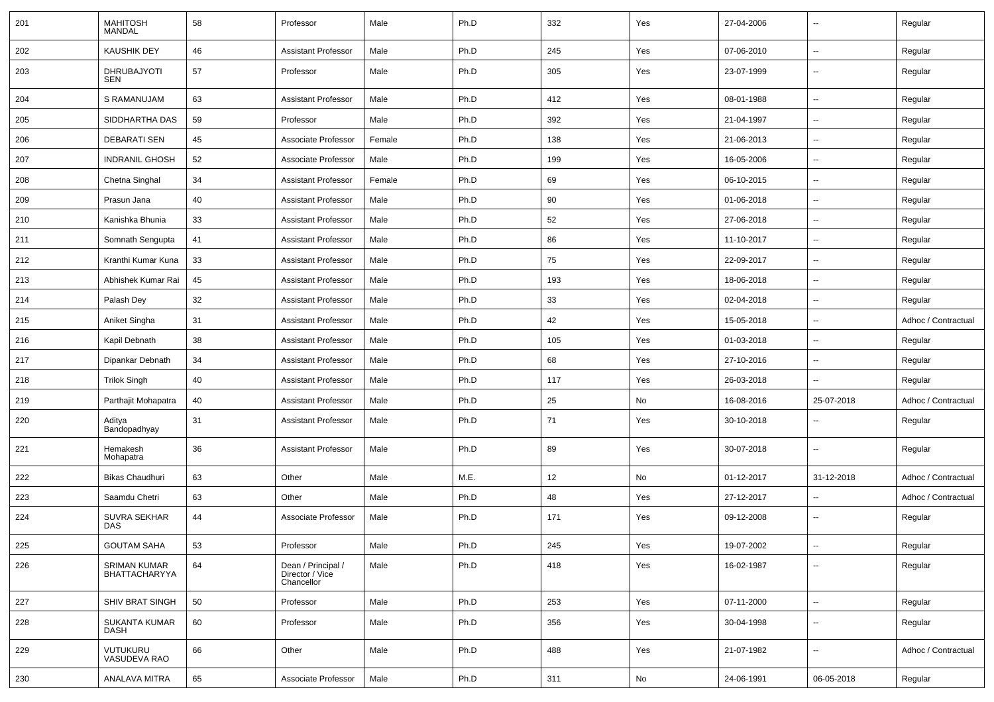| 201 | <b>MAHITOSH</b><br><b>MANDAL</b> | 58 | Professor                                           | Male   | Ph.D | 332 | Yes | 27-04-2006 | $\overline{\phantom{a}}$ | Regular             |
|-----|----------------------------------|----|-----------------------------------------------------|--------|------|-----|-----|------------|--------------------------|---------------------|
| 202 | <b>KAUSHIK DEY</b>               | 46 | <b>Assistant Professor</b>                          | Male   | Ph.D | 245 | Yes | 07-06-2010 | $\overline{\phantom{a}}$ | Regular             |
| 203 | DHRUBAJYOTI<br>SEN               | 57 | Professor                                           | Male   | Ph.D | 305 | Yes | 23-07-1999 | $\overline{\phantom{a}}$ | Regular             |
| 204 | S RAMANUJAM                      | 63 | <b>Assistant Professor</b>                          | Male   | Ph.D | 412 | Yes | 08-01-1988 | Ξ.                       | Regular             |
| 205 | SIDDHARTHA DAS                   | 59 | Professor                                           | Male   | Ph.D | 392 | Yes | 21-04-1997 | $\overline{\phantom{a}}$ | Regular             |
| 206 | <b>DEBARATI SEN</b>              | 45 | Associate Professor                                 | Female | Ph.D | 138 | Yes | 21-06-2013 | $\overline{\phantom{a}}$ | Regular             |
| 207 | <b>INDRANIL GHOSH</b>            | 52 | Associate Professor                                 | Male   | Ph.D | 199 | Yes | 16-05-2006 | $\overline{\phantom{a}}$ | Regular             |
| 208 | Chetna Singhal                   | 34 | <b>Assistant Professor</b>                          | Female | Ph.D | 69  | Yes | 06-10-2015 | $\overline{a}$           | Regular             |
| 209 | Prasun Jana                      | 40 | <b>Assistant Professor</b>                          | Male   | Ph.D | 90  | Yes | 01-06-2018 | $\overline{\phantom{a}}$ | Regular             |
| 210 | Kanishka Bhunia                  | 33 | <b>Assistant Professor</b>                          | Male   | Ph.D | 52  | Yes | 27-06-2018 | ⊷.                       | Regular             |
| 211 | Somnath Sengupta                 | 41 | <b>Assistant Professor</b>                          | Male   | Ph.D | 86  | Yes | 11-10-2017 | $\overline{\phantom{a}}$ | Regular             |
| 212 | Kranthi Kumar Kuna               | 33 | <b>Assistant Professor</b>                          | Male   | Ph.D | 75  | Yes | 22-09-2017 | $\overline{\phantom{a}}$ | Regular             |
| 213 | Abhishek Kumar Rai               | 45 | <b>Assistant Professor</b>                          | Male   | Ph.D | 193 | Yes | 18-06-2018 | --                       | Regular             |
| 214 | Palash Dev                       | 32 | <b>Assistant Professor</b>                          | Male   | Ph.D | 33  | Yes | 02-04-2018 | --                       | Regular             |
| 215 | Aniket Singha                    | 31 | <b>Assistant Professor</b>                          | Male   | Ph.D | 42  | Yes | 15-05-2018 | $\overline{\phantom{a}}$ | Adhoc / Contractual |
| 216 | Kapil Debnath                    | 38 | <b>Assistant Professor</b>                          | Male   | Ph.D | 105 | Yes | 01-03-2018 | ⊷.                       | Regular             |
| 217 | Dipankar Debnath                 | 34 | <b>Assistant Professor</b>                          | Male   | Ph.D | 68  | Yes | 27-10-2016 | --                       | Regular             |
| 218 | <b>Trilok Singh</b>              | 40 | <b>Assistant Professor</b>                          | Male   | Ph.D | 117 | Yes | 26-03-2018 | $\overline{\phantom{a}}$ | Regular             |
| 219 | Parthajit Mohapatra              | 40 | <b>Assistant Professor</b>                          | Male   | Ph.D | 25  | No  | 16-08-2016 | 25-07-2018               | Adhoc / Contractual |
| 220 | Aditya<br>Bandopadhyay           | 31 | <b>Assistant Professor</b>                          | Male   | Ph.D | 71  | Yes | 30-10-2018 |                          | Regular             |
| 221 | Hemakesh<br>Mohapatra            | 36 | <b>Assistant Professor</b>                          | Male   | Ph.D | 89  | Yes | 30-07-2018 | --                       | Regular             |
| 222 | <b>Bikas Chaudhuri</b>           | 63 | Other                                               | Male   | M.E. | 12  | No  | 01-12-2017 | 31-12-2018               | Adhoc / Contractual |
| 223 | Saamdu Chetri                    | 63 | Other                                               | Male   | Ph.D | 48  | Yes | 27-12-2017 | $\overline{\phantom{a}}$ | Adhoc / Contractual |
| 224 | <b>SUVRA SEKHAR</b><br>DAS       | 44 | Associate Professor                                 | Male   | Ph.D | 171 | Yes | 09-12-2008 | $\overline{\phantom{a}}$ | Regular             |
| 225 | <b>GOUTAM SAHA</b>               | 53 | Professor                                           | Male   | Ph.D | 245 | Yes | 19-07-2002 | $\sim$                   | Regular             |
| 226 | SRIMAN KUMAR<br>BHATTACHARYYA    | 64 | Dean / Principal /<br>Director / Vice<br>Chancellor | Male   | Ph.D | 418 | Yes | 16-02-1987 | --                       | Regular             |
| 227 | <b>SHIV BRAT SINGH</b>           | 50 | Professor                                           | Male   | Ph.D | 253 | Yes | 07-11-2000 | $\sim$                   | Regular             |
| 228 | SUKANTA KUMAR<br><b>DASH</b>     | 60 | Professor                                           | Male   | Ph.D | 356 | Yes | 30-04-1998 | ⊷.                       | Regular             |
| 229 | VUTUKURU<br>VASUDEVA RAO         | 66 | Other                                               | Male   | Ph.D | 488 | Yes | 21-07-1982 | ⊷.                       | Adhoc / Contractual |
| 230 | ANALAVA MITRA                    | 65 | Associate Professor                                 | Male   | Ph.D | 311 | No  | 24-06-1991 | 06-05-2018               | Regular             |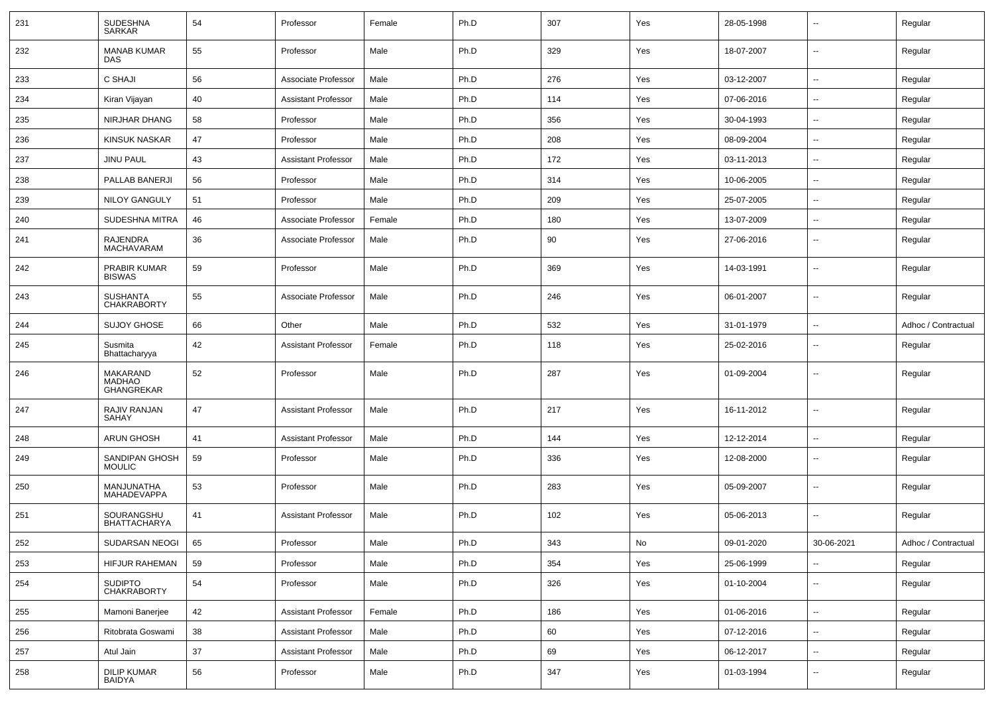| 231 | <b>SUDESHNA</b><br><b>SARKAR</b>               | 54         | Professor                  | Female | Ph.D | 307 | Yes           | 28-05-1998 | $\overline{\phantom{a}}$ | Regular             |
|-----|------------------------------------------------|------------|----------------------------|--------|------|-----|---------------|------------|--------------------------|---------------------|
| 232 | <b>MANAB KUMAR</b><br><b>DAS</b>               | 55         | Professor                  | Male   | Ph.D | 329 | Yes           | 18-07-2007 | $\sim$                   | Regular             |
| 233 | <b>C SHAJI</b>                                 | 56         | Associate Professor        | Male   | Ph.D | 276 | Yes           | 03-12-2007 | $\sim$                   | Regular             |
| 234 | Kiran Vijayan                                  | 40         | <b>Assistant Professor</b> | Male   | Ph.D | 114 | Yes           | 07-06-2016 | -−                       | Regular             |
| 235 | NIRJHAR DHANG                                  | 58         | Professor                  | Male   | Ph.D | 356 | Yes           | 30-04-1993 | $\overline{\phantom{a}}$ | Regular             |
| 236 | <b>KINSUK NASKAR</b>                           | 47         | Professor                  | Male   | Ph.D | 208 | Yes           | 08-09-2004 | --                       | Regular             |
| 237 | <b>JINU PAUL</b>                               | 43         | <b>Assistant Professor</b> | Male   | Ph.D | 172 | Yes           | 03-11-2013 | $\overline{\phantom{a}}$ | Regular             |
| 238 | PALLAB BANERJI                                 | 56         | Professor                  | Male   | Ph.D | 314 | Yes           | 10-06-2005 | $\overline{a}$           | Regular             |
| 239 | <b>NILOY GANGULY</b>                           | 51         | Professor                  | Male   | Ph.D | 209 | Yes           | 25-07-2005 | $\sim$                   | Regular             |
| 240 | SUDESHNA MITRA                                 | 46         | Associate Professor        | Female | Ph.D | 180 | Yes           | 13-07-2009 | --                       | Regular             |
| 241 | RAJENDRA<br><b>MACHAVARAM</b>                  | 36         | Associate Professor        | Male   | Ph.D | 90  | Yes           | 27-06-2016 | $\overline{\phantom{a}}$ | Regular             |
| 242 | PRABIR KUMAR<br><b>BISWAS</b>                  | 59         | Professor                  | Male   | Ph.D | 369 | Yes           | 14-03-1991 | $\overline{a}$           | Regular             |
| 243 | <b>SUSHANTA</b><br><b>CHAKRABORTY</b>          | 55         | Associate Professor        | Male   | Ph.D | 246 | Yes           | 06-01-2007 | ۵.                       | Regular             |
| 244 | <b>SUJOY GHOSE</b>                             | 66         | Other                      | Male   | Ph.D | 532 | Yes           | 31-01-1979 | $\overline{\phantom{a}}$ | Adhoc / Contractual |
| 245 | Susmita<br>Bhattacharyya                       | 42         | <b>Assistant Professor</b> | Female | Ph.D | 118 | Yes           | 25-02-2016 | --                       | Regular             |
| 246 | MAKARAND<br><b>MADHAO</b><br><b>GHANGREKAR</b> | 52         | Professor                  | Male   | Ph.D | 287 | Yes           | 01-09-2004 | $\overline{\phantom{a}}$ | Regular             |
| 247 | RAJIV RANJAN<br>SAHAY                          | 47         | <b>Assistant Professor</b> | Male   | Ph.D | 217 | Yes           | 16-11-2012 | $\overline{a}$           | Regular             |
| 248 | <b>ARUN GHOSH</b>                              | 41         | <b>Assistant Professor</b> | Male   | Ph.D | 144 | Yes           | 12-12-2014 | -−                       | Regular             |
| 249 | SANDIPAN GHOSH<br><b>MOULIC</b>                | 59         | Professor                  | Male   | Ph.D | 336 | Yes           | 12-08-2000 | $\overline{\phantom{a}}$ | Regular             |
| 250 | MANJUNATHA<br>MAHADEVAPPA                      | 53         | Professor                  | Male   | Ph.D | 283 | Yes           | 05-09-2007 | ⊷.                       | Regular             |
| 251 | SOURANGSHU<br>BHATTACHARYA                     | 41         | <b>Assistant Professor</b> | Male   | Ph.D | 102 | Yes           | 05-06-2013 | $\overline{\phantom{a}}$ | Regular             |
| 252 | SUDARSAN NEOGI                                 | $\vert$ 65 | Professor                  | Male   | Ph.D | 343 | $\mathsf{No}$ | 09-01-2020 | 30-06-2021               | Adhoc / Contractual |
| 253 | HIFJUR RAHEMAN                                 | 59         | Professor                  | Male   | Ph.D | 354 | Yes           | 25-06-1999 | $\sim$                   | Regular             |
| 254 | SUDIPTO<br>CHAKRABORTY                         | 54         | Professor                  | Male   | Ph.D | 326 | Yes           | 01-10-2004 | $\sim$                   | Regular             |
| 255 | Mamoni Banerjee                                | 42         | Assistant Professor        | Female | Ph.D | 186 | Yes           | 01-06-2016 | $\sim$                   | Regular             |
| 256 | Ritobrata Goswami                              | 38         | Assistant Professor        | Male   | Ph.D | 60  | Yes           | 07-12-2016 | $\sim$                   | Regular             |
| 257 | Atul Jain                                      | 37         | Assistant Professor        | Male   | Ph.D | 69  | Yes           | 06-12-2017 | $\sim$                   | Regular             |
| 258 | DILIP KUMAR<br>BAIDYA                          | 56         | Professor                  | Male   | Ph.D | 347 | Yes           | 01-03-1994 | $\sim$                   | Regular             |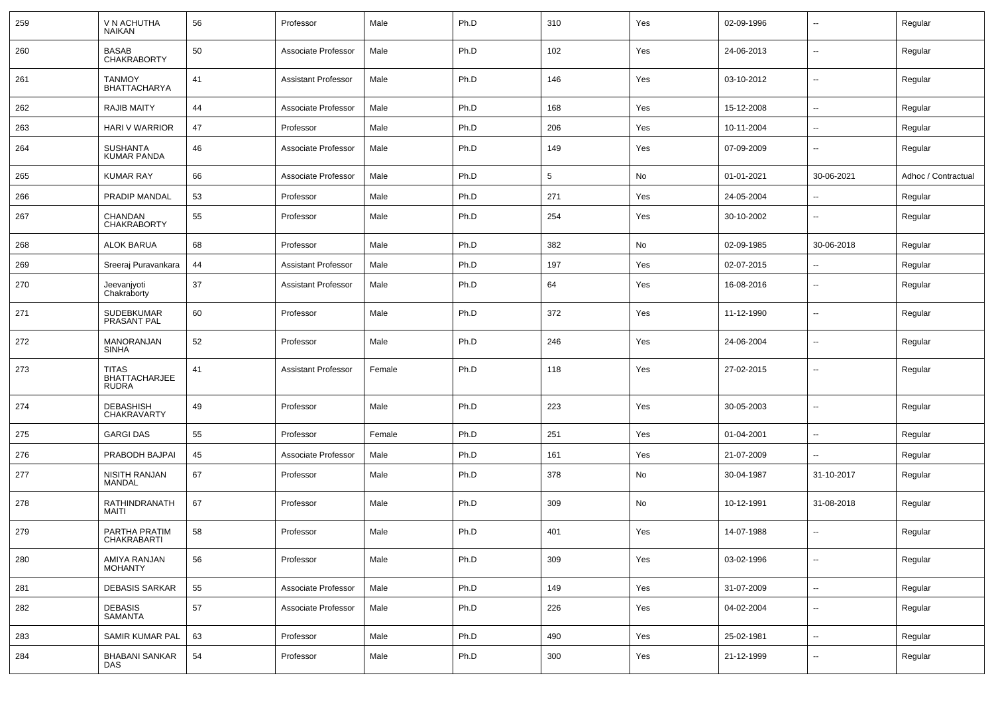| 259 | V N ACHUTHA<br><b>NAIKAN</b>                  | 56 | Professor                  | Male   | Ph.D | 310             | Yes | 02-09-1996 | $\overline{\phantom{a}}$ | Regular             |
|-----|-----------------------------------------------|----|----------------------------|--------|------|-----------------|-----|------------|--------------------------|---------------------|
| 260 | <b>BASAB</b><br><b>CHAKRABORTY</b>            | 50 | Associate Professor        | Male   | Ph.D | 102             | Yes | 24-06-2013 | $\sim$                   | Regular             |
| 261 | <b>TANMOY</b><br><b>BHATTACHARYA</b>          | 41 | <b>Assistant Professor</b> | Male   | Ph.D | 146             | Yes | 03-10-2012 | $\sim$                   | Regular             |
| 262 | <b>RAJIB MAITY</b>                            | 44 | Associate Professor        | Male   | Ph.D | 168             | Yes | 15-12-2008 | $\sim$                   | Regular             |
| 263 | HARI V WARRIOR                                | 47 | Professor                  | Male   | Ph.D | 206             | Yes | 10-11-2004 | --                       | Regular             |
| 264 | <b>SUSHANTA</b><br><b>KUMAR PANDA</b>         | 46 | Associate Professor        | Male   | Ph.D | 149             | Yes | 07-09-2009 | $\overline{\phantom{a}}$ | Regular             |
| 265 | <b>KUMAR RAY</b>                              | 66 | Associate Professor        | Male   | Ph.D | $5\phantom{.0}$ | No  | 01-01-2021 | 30-06-2021               | Adhoc / Contractual |
| 266 | PRADIP MANDAL                                 | 53 | Professor                  | Male   | Ph.D | 271             | Yes | 24-05-2004 | --                       | Regular             |
| 267 | CHANDAN<br><b>CHAKRABORTY</b>                 | 55 | Professor                  | Male   | Ph.D | 254             | Yes | 30-10-2002 |                          | Regular             |
| 268 | <b>ALOK BARUA</b>                             | 68 | Professor                  | Male   | Ph.D | 382             | No  | 02-09-1985 | 30-06-2018               | Regular             |
| 269 | Sreeraj Puravankara                           | 44 | <b>Assistant Professor</b> | Male   | Ph.D | 197             | Yes | 02-07-2015 |                          | Regular             |
| 270 | Jeevanjyoti<br>Chakraborty                    | 37 | <b>Assistant Professor</b> | Male   | Ph.D | 64              | Yes | 16-08-2016 | ⊷.                       | Regular             |
| 271 | SUDEBKUMAR<br>PRASANT PAL                     | 60 | Professor                  | Male   | Ph.D | 372             | Yes | 11-12-1990 | ⊷.                       | Regular             |
| 272 | MANORANJAN<br><b>SINHA</b>                    | 52 | Professor                  | Male   | Ph.D | 246             | Yes | 24-06-2004 | ⊷.                       | Regular             |
| 273 | TITAS<br><b>BHATTACHARJEE</b><br><b>RUDRA</b> | 41 | <b>Assistant Professor</b> | Female | Ph.D | 118             | Yes | 27-02-2015 | ⊷.                       | Regular             |
| 274 | <b>DEBASHISH</b><br>CHAKRAVARTY               | 49 | Professor                  | Male   | Ph.D | 223             | Yes | 30-05-2003 | ۵.                       | Regular             |
| 275 | <b>GARGI DAS</b>                              | 55 | Professor                  | Female | Ph.D | 251             | Yes | 01-04-2001 | $\sim$                   | Regular             |
| 276 | PRABODH BAJPAI                                | 45 | Associate Professor        | Male   | Ph.D | 161             | Yes | 21-07-2009 | $\sim$                   | Regular             |
| 277 | <b>NISITH RANJAN</b><br>MANDAL                | 67 | Professor                  | Male   | Ph.D | 378             | No  | 30-04-1987 | 31-10-2017               | Regular             |
| 278 | RATHINDRANATH<br>MAITI                        | 67 | Professor                  | Male   | Ph.D | 309             | No  | 10-12-1991 | 31-08-2018               | Regular             |
| 279 | PARTHA PRATIM<br>CHAKRABARTI                  | 58 | Professor                  | Male   | Ph.D | 401             | Yes | 14-07-1988 | --                       | Regular             |
| 280 | AMIYA RANJAN<br><b>MOHANTY</b>                | 56 | Professor                  | Male   | Ph.D | 309             | Yes | 03-02-1996 | -−                       | Regular             |
| 281 | <b>DEBASIS SARKAR</b>                         | 55 | Associate Professor        | Male   | Ph.D | 149             | Yes | 31-07-2009 | $\sim$                   | Regular             |
| 282 | DEBASIS<br><b>SAMANTA</b>                     | 57 | Associate Professor        | Male   | Ph.D | 226             | Yes | 04-02-2004 | $\overline{\phantom{a}}$ | Regular             |
| 283 | SAMIR KUMAR PAL                               | 63 | Professor                  | Male   | Ph.D | 490             | Yes | 25-02-1981 | --                       | Regular             |
| 284 | <b>BHABANI SANKAR</b><br>DAS                  | 54 | Professor                  | Male   | Ph.D | 300             | Yes | 21-12-1999 | ⊷.                       | Regular             |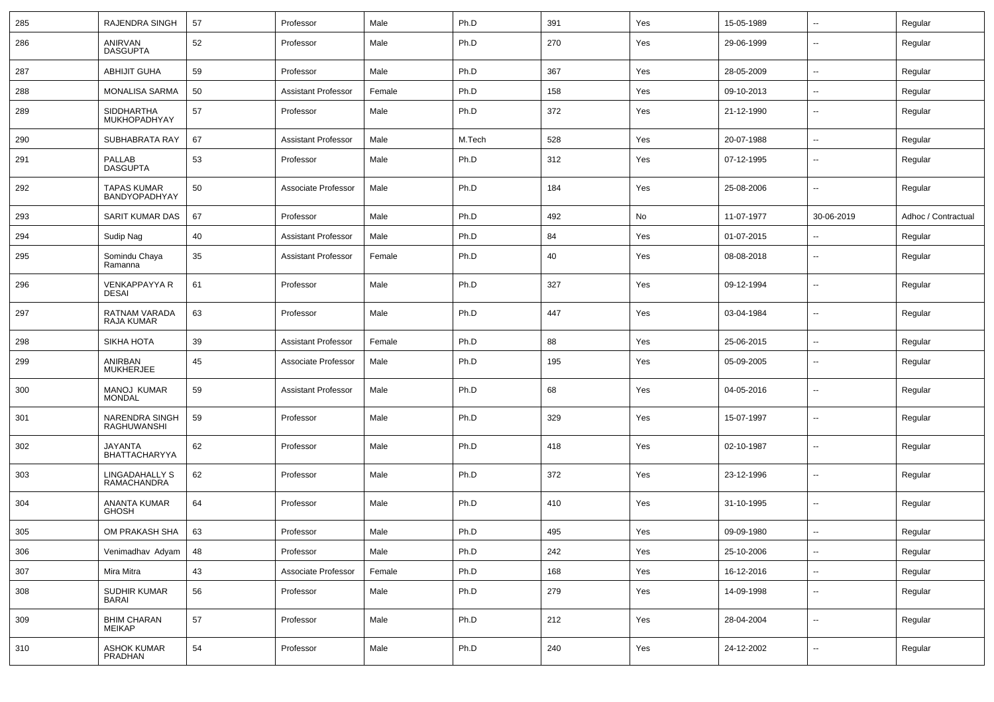| 285 | RAJENDRA SINGH                       | 57 | Professor                  | Male   | Ph.D   | 391 | Yes | 15-05-1989 | $\sim$                   | Regular             |
|-----|--------------------------------------|----|----------------------------|--------|--------|-----|-----|------------|--------------------------|---------------------|
| 286 | ANIRVAN<br><b>DASGUPTA</b>           | 52 | Professor                  | Male   | Ph.D   | 270 | Yes | 29-06-1999 | $\overline{a}$           | Regular             |
| 287 | <b>ABHIJIT GUHA</b>                  | 59 | Professor                  | Male   | Ph.D   | 367 | Yes | 28-05-2009 | --                       | Regular             |
| 288 | <b>MONALISA SARMA</b>                | 50 | <b>Assistant Professor</b> | Female | Ph.D   | 158 | Yes | 09-10-2013 | $\overline{\phantom{a}}$ | Regular             |
| 289 | <b>SIDDHARTHA</b><br>MUKHOPADHYAY    | 57 | Professor                  | Male   | Ph.D   | 372 | Yes | 21-12-1990 | $\overline{\phantom{a}}$ | Regular             |
| 290 | SUBHABRATA RAY                       | 67 | <b>Assistant Professor</b> | Male   | M.Tech | 528 | Yes | 20-07-1988 | $\overline{\phantom{a}}$ | Regular             |
| 291 | PALLAB<br><b>DASGUPTA</b>            | 53 | Professor                  | Male   | Ph.D   | 312 | Yes | 07-12-1995 | --                       | Regular             |
| 292 | <b>TAPAS KUMAR</b><br>BANDYOPADHYAY  | 50 | Associate Professor        | Male   | Ph.D   | 184 | Yes | 25-08-2006 | $\overline{a}$           | Regular             |
| 293 | SARIT KUMAR DAS                      | 67 | Professor                  | Male   | Ph.D   | 492 | No  | 11-07-1977 | 30-06-2019               | Adhoc / Contractual |
| 294 | Sudip Nag                            | 40 | <b>Assistant Professor</b> | Male   | Ph.D   | 84  | Yes | 01-07-2015 | $\overline{\phantom{a}}$ | Regular             |
| 295 | Somindu Chaya<br>Ramanna             | 35 | Assistant Professor        | Female | Ph.D   | 40  | Yes | 08-08-2018 | $\sim$                   | Regular             |
| 296 | <b>VENKAPPAYYA R</b><br><b>DESAI</b> | 61 | Professor                  | Male   | Ph.D   | 327 | Yes | 09-12-1994 | $\overline{\phantom{a}}$ | Regular             |
| 297 | RATNAM VARADA<br><b>RAJA KUMAR</b>   | 63 | Professor                  | Male   | Ph.D   | 447 | Yes | 03-04-1984 | $\mathbf{u}$             | Regular             |
| 298 | SIKHA HOTA                           | 39 | <b>Assistant Professor</b> | Female | Ph.D   | 88  | Yes | 25-06-2015 | $\sim$                   | Regular             |
| 299 | ANIRBAN<br><b>MUKHERJEE</b>          | 45 | Associate Professor        | Male   | Ph.D   | 195 | Yes | 05-09-2005 | $\overline{\phantom{a}}$ | Regular             |
| 300 | <b>MANOJ KUMAR</b><br><b>MONDAL</b>  | 59 | <b>Assistant Professor</b> | Male   | Ph.D   | 68  | Yes | 04-05-2016 | $\overline{\phantom{a}}$ | Regular             |
| 301 | NARENDRA SINGH<br><b>RAGHUWANSHI</b> | 59 | Professor                  | Male   | Ph.D   | 329 | Yes | 15-07-1997 | $\overline{\phantom{a}}$ | Regular             |
| 302 | <b>JAYANTA</b><br>BHATTACHARYYA      | 62 | Professor                  | Male   | Ph.D   | 418 | Yes | 02-10-1987 | --                       | Regular             |
| 303 | LINGADAHALLY S<br><b>RAMACHANDRA</b> | 62 | Professor                  | Male   | Ph.D   | 372 | Yes | 23-12-1996 | $\overline{\phantom{a}}$ | Regular             |
| 304 | ANANTA KUMAR<br><b>GHOSH</b>         | 64 | Professor                  | Male   | Ph.D   | 410 | Yes | 31-10-1995 | $\overline{\phantom{a}}$ | Regular             |
| 305 | OM PRAKASH SHA                       | 63 | Professor                  | Male   | Ph.D   | 495 | Yes | 09-09-1980 |                          | Regular             |
| 306 | Venimadhav Adyam                     | 48 | Professor                  | Male   | Ph.D   | 242 | Yes | 25-10-2006 | $\sim$                   | Regular             |
| 307 | Mira Mitra                           | 43 | Associate Professor        | Female | Ph.D   | 168 | Yes | 16-12-2016 | $\sim$                   | Regular             |
| 308 | SUDHIR KUMAR<br><b>BARAI</b>         | 56 | Professor                  | Male   | Ph.D   | 279 | Yes | 14-09-1998 | $\sim$                   | Regular             |
| 309 | <b>BHIM CHARAN</b><br><b>MEIKAP</b>  | 57 | Professor                  | Male   | Ph.D   | 212 | Yes | 28-04-2004 | $\sim$                   | Regular             |
| 310 | <b>ASHOK KUMAR</b><br>PRADHAN        | 54 | Professor                  | Male   | Ph.D   | 240 | Yes | 24-12-2002 | $\overline{\phantom{a}}$ | Regular             |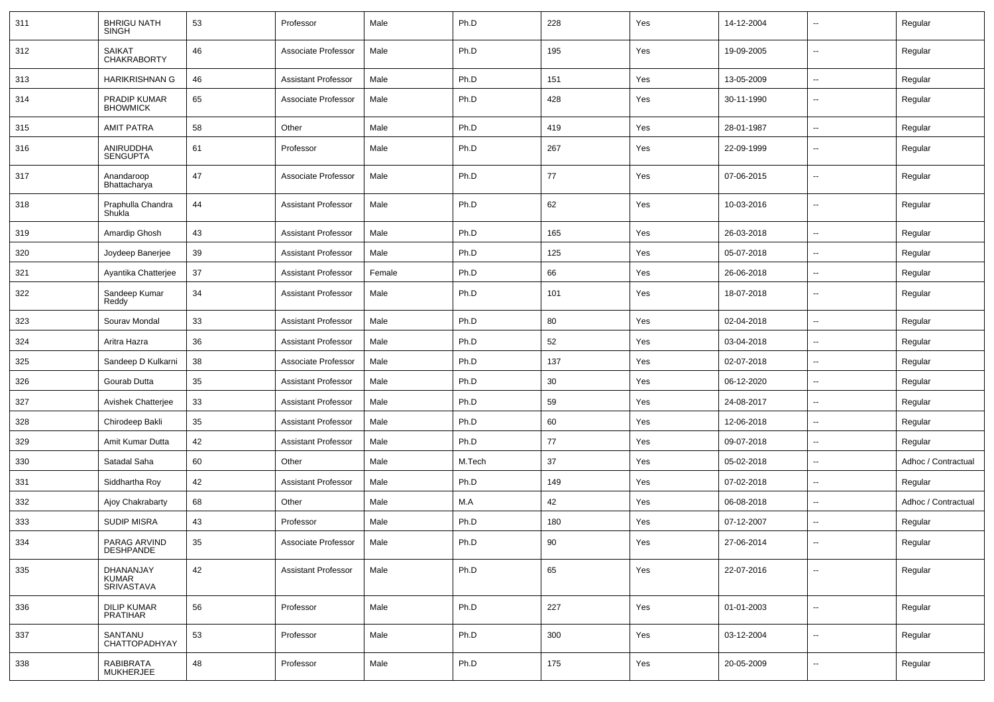| 311 | <b>BHRIGU NATH</b><br><b>SINGH</b>  | 53 | Professor                  | Male   | Ph.D   | 228 | Yes | 14-12-2004 | $\overline{\phantom{a}}$ | Regular             |
|-----|-------------------------------------|----|----------------------------|--------|--------|-----|-----|------------|--------------------------|---------------------|
| 312 | <b>SAIKAT</b><br><b>CHAKRABORTY</b> | 46 | Associate Professor        | Male   | Ph.D   | 195 | Yes | 19-09-2005 | $\sim$                   | Regular             |
| 313 | <b>HARIKRISHNAN G</b>               | 46 | <b>Assistant Professor</b> | Male   | Ph.D   | 151 | Yes | 13-05-2009 | $\sim$                   | Regular             |
| 314 | PRADIP KUMAR<br><b>BHOWMICK</b>     | 65 | Associate Professor        | Male   | Ph.D   | 428 | Yes | 30-11-1990 | $\overline{\phantom{a}}$ | Regular             |
| 315 | <b>AMIT PATRA</b>                   | 58 | Other                      | Male   | Ph.D   | 419 | Yes | 28-01-1987 | $\sim$                   | Regular             |
| 316 | ANIRUDDHA<br><b>SENGUPTA</b>        | 61 | Professor                  | Male   | Ph.D   | 267 | Yes | 22-09-1999 | $\overline{\phantom{a}}$ | Regular             |
| 317 | Anandaroop<br>Bhattacharya          | 47 | Associate Professor        | Male   | Ph.D   | 77  | Yes | 07-06-2015 | $\mathbf{u}$             | Regular             |
| 318 | Praphulla Chandra<br>Shukla         | 44 | <b>Assistant Professor</b> | Male   | Ph.D   | 62  | Yes | 10-03-2016 | $\mathbf{u}$             | Regular             |
| 319 | Amardip Ghosh                       | 43 | <b>Assistant Professor</b> | Male   | Ph.D   | 165 | Yes | 26-03-2018 | $\mathbf{u}$             | Regular             |
| 320 | Joydeep Banerjee                    | 39 | <b>Assistant Professor</b> | Male   | Ph.D   | 125 | Yes | 05-07-2018 | $\overline{\phantom{a}}$ | Regular             |
| 321 | Ayantika Chatterjee                 | 37 | <b>Assistant Professor</b> | Female | Ph.D   | 66  | Yes | 26-06-2018 | $\mathbf{u}$             | Regular             |
| 322 | Sandeep Kumar<br>Reddy              | 34 | <b>Assistant Professor</b> | Male   | Ph.D   | 101 | Yes | 18-07-2018 | $\mathbf{u}$             | Regular             |
| 323 | Sourav Mondal                       | 33 | <b>Assistant Professor</b> | Male   | Ph.D   | 80  | Yes | 02-04-2018 | $\sim$                   | Regular             |
| 324 | Aritra Hazra                        | 36 | <b>Assistant Professor</b> | Male   | Ph.D   | 52  | Yes | 03-04-2018 | $\sim$                   | Regular             |
| 325 | Sandeep D Kulkarni                  | 38 | Associate Professor        | Male   | Ph.D   | 137 | Yes | 02-07-2018 | $\sim$                   | Regular             |
| 326 | Gourab Dutta                        | 35 | <b>Assistant Professor</b> | Male   | Ph.D   | 30  | Yes | 06-12-2020 | $\mathbf{u}$             | Regular             |
| 327 | Avishek Chatterjee                  | 33 | <b>Assistant Professor</b> | Male   | Ph.D   | 59  | Yes | 24-08-2017 | $\overline{\phantom{a}}$ | Regular             |
| 328 | Chirodeep Bakli                     | 35 | <b>Assistant Professor</b> | Male   | Ph.D   | 60  | Yes | 12-06-2018 | $\mathbf{u}$             | Regular             |
| 329 | Amit Kumar Dutta                    | 42 | <b>Assistant Professor</b> | Male   | Ph.D   | 77  | Yes | 09-07-2018 |                          | Regular             |
| 330 | Satadal Saha                        | 60 | Other                      | Male   | M.Tech | 37  | Yes | 05-02-2018 | $\sim$                   | Adhoc / Contractual |
| 331 | Siddhartha Roy                      | 42 | <b>Assistant Professor</b> | Male   | Ph.D   | 149 | Yes | 07-02-2018 | $\sim$                   | Regular             |
| 332 | Ajoy Chakrabarty                    | 68 | Other                      | Male   | M.A    | 42  | Yes | 06-08-2018 |                          | Adhoc / Contractual |
| 333 | <b>SUDIP MISRA</b>                  | 43 | Professor                  | Male   | Ph.D   | 180 | Yes | 07-12-2007 | $\overline{\phantom{a}}$ | Regular             |
| 334 | PARAG ARVIND<br><b>DESHPANDE</b>    | 35 | Associate Professor        | Male   | Ph.D   | 90  | Yes | 27-06-2014 |                          | Regular             |
| 335 | DHANANJAY<br>KUMAR<br>SRIVASTAVA    | 42 | <b>Assistant Professor</b> | Male   | Ph.D   | 65  | Yes | 22-07-2016 | $\sim$                   | Regular             |
| 336 | DILIP KUMAR<br><b>PRATIHAR</b>      | 56 | Professor                  | Male   | Ph.D   | 227 | Yes | 01-01-2003 | $\sim$                   | Regular             |
| 337 | SANTANU<br>CHATTOPADHYAY            | 53 | Professor                  | Male   | Ph.D   | 300 | Yes | 03-12-2004 | $\sim$                   | Regular             |
| 338 | RABIBRATA<br>MUKHERJEE              | 48 | Professor                  | Male   | Ph.D   | 175 | Yes | 20-05-2009 | $\sim$                   | Regular             |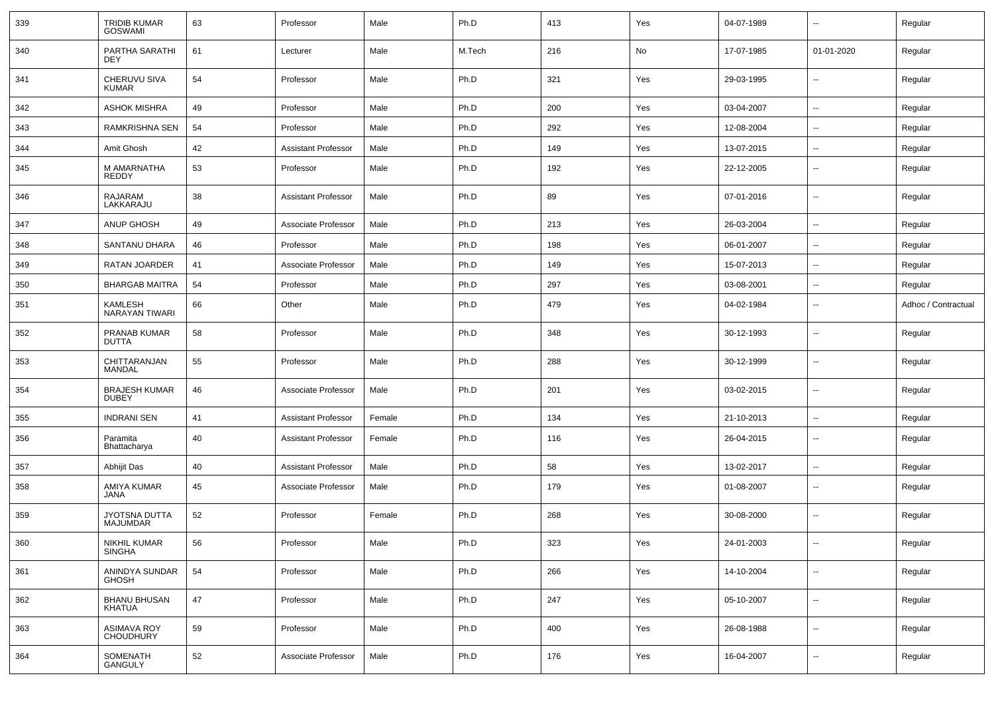| 339 | <b>TRIDIB KUMAR</b><br><b>GOSWAMI</b> | 63 | Professor                  | Male   | Ph.D   | 413 | Yes | 04-07-1989 | $\overline{\phantom{a}}$ | Regular             |
|-----|---------------------------------------|----|----------------------------|--------|--------|-----|-----|------------|--------------------------|---------------------|
| 340 | PARTHA SARATHI<br><b>DEY</b>          | 61 | Lecturer                   | Male   | M.Tech | 216 | No  | 17-07-1985 | 01-01-2020               | Regular             |
| 341 | CHERUVU SIVA<br><b>KUMAR</b>          | 54 | Professor                  | Male   | Ph.D   | 321 | Yes | 29-03-1995 | $\sim$                   | Regular             |
| 342 | <b>ASHOK MISHRA</b>                   | 49 | Professor                  | Male   | Ph.D   | 200 | Yes | 03-04-2007 | $\sim$                   | Regular             |
| 343 | RAMKRISHNA SEN                        | 54 | Professor                  | Male   | Ph.D   | 292 | Yes | 12-08-2004 | $\overline{\phantom{a}}$ | Regular             |
| 344 | Amit Ghosh                            | 42 | <b>Assistant Professor</b> | Male   | Ph.D   | 149 | Yes | 13-07-2015 | $\mathbf{u}$             | Regular             |
| 345 | M AMARNATHA<br><b>REDDY</b>           | 53 | Professor                  | Male   | Ph.D   | 192 | Yes | 22-12-2005 | $\overline{\phantom{a}}$ | Regular             |
| 346 | RAJARAM<br>LAKKARAJU                  | 38 | <b>Assistant Professor</b> | Male   | Ph.D   | 89  | Yes | 07-01-2016 | $\overline{\phantom{a}}$ | Regular             |
| 347 | <b>ANUP GHOSH</b>                     | 49 | Associate Professor        | Male   | Ph.D   | 213 | Yes | 26-03-2004 | $\overline{\phantom{a}}$ | Regular             |
| 348 | SANTANU DHARA                         | 46 | Professor                  | Male   | Ph.D   | 198 | Yes | 06-01-2007 | $\overline{\phantom{a}}$ | Regular             |
| 349 | RATAN JOARDER                         | 41 | Associate Professor        | Male   | Ph.D   | 149 | Yes | 15-07-2013 | $\mathbf{u}$             | Regular             |
| 350 | <b>BHARGAB MAITRA</b>                 | 54 | Professor                  | Male   | Ph.D   | 297 | Yes | 03-08-2001 | $\sim$                   | Regular             |
| 351 | <b>KAMLESH</b><br>NARAYAN TIWARI      | 66 | Other                      | Male   | Ph.D   | 479 | Yes | 04-02-1984 | $\sim$                   | Adhoc / Contractual |
| 352 | PRANAB KUMAR<br><b>DUTTA</b>          | 58 | Professor                  | Male   | Ph.D   | 348 | Yes | 30-12-1993 | $\mathbf{u}$             | Regular             |
| 353 | CHITTARANJAN<br><b>MANDAL</b>         | 55 | Professor                  | Male   | Ph.D   | 288 | Yes | 30-12-1999 | $\sim$                   | Regular             |
| 354 | <b>BRAJESH KUMAR</b><br><b>DUBEY</b>  | 46 | Associate Professor        | Male   | Ph.D   | 201 | Yes | 03-02-2015 | $\sim$                   | Regular             |
| 355 | <b>INDRANI SEN</b>                    | 41 | <b>Assistant Professor</b> | Female | Ph.D   | 134 | Yes | 21-10-2013 | $\sim$                   | Regular             |
| 356 | Paramita<br>Bhattacharya              | 40 | <b>Assistant Professor</b> | Female | Ph.D   | 116 | Yes | 26-04-2015 | $\mathbf{u}$             | Regular             |
| 357 | Abhijit Das                           | 40 | Assistant Professor        | Male   | Ph.D   | 58  | Yes | 13-02-2017 | $\overline{a}$           | Regular             |
| 358 | AMIYA KUMAR<br>JANA                   | 45 | Associate Professor        | Male   | Ph.D   | 179 | Yes | 01-08-2007 | $\overline{\phantom{a}}$ | Regular             |
| 359 | JYOTSNA DUTTA<br>MAJUMDAR             | 52 | Professor                  | Female | Ph.D   | 268 | Yes | 30-08-2000 | $\overline{\phantom{a}}$ | Regular             |
| 360 | NIKHIL KUMAR<br><b>SINGHA</b>         | 56 | Professor                  | Male   | Ph.D   | 323 | Yes | 24-01-2003 | $\overline{\phantom{a}}$ | Regular             |
| 361 | ANINDYA SUNDAR<br><b>GHOSH</b>        | 54 | Professor                  | Male   | Ph.D   | 266 | Yes | 14-10-2004 | $\overline{\phantom{a}}$ | Regular             |
| 362 | <b>BHANU BHUSAN</b><br>KHATUA         | 47 | Professor                  | Male   | Ph.D   | 247 | Yes | 05-10-2007 | $\overline{\phantom{a}}$ | Regular             |
| 363 | <b>ASIMAVA ROY</b><br>CHOUDHURY       | 59 | Professor                  | Male   | Ph.D   | 400 | Yes | 26-08-1988 | $\overline{\phantom{a}}$ | Regular             |
| 364 | <b>SOMENATH</b><br>GANGULY            | 52 | Associate Professor        | Male   | Ph.D   | 176 | Yes | 16-04-2007 | $\overline{\phantom{a}}$ | Regular             |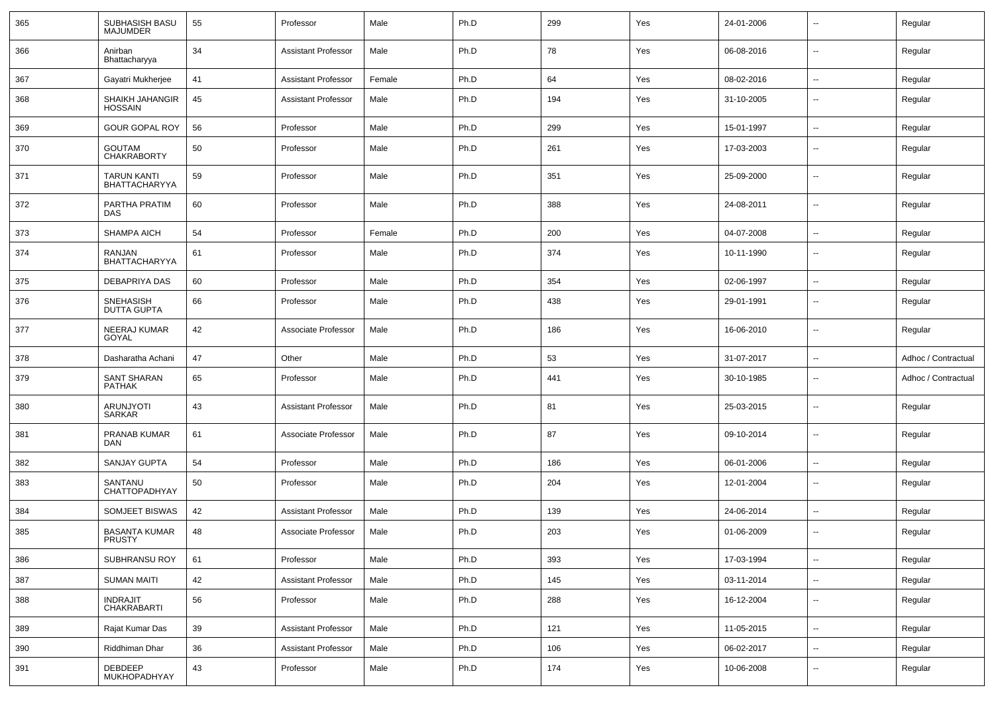| 365 | SUBHASISH BASU<br><b>MAJUMDER</b>          | 55 | Professor                  | Male   | Ph.D | 299 | Yes | 24-01-2006 | $\overline{\phantom{a}}$ | Regular             |
|-----|--------------------------------------------|----|----------------------------|--------|------|-----|-----|------------|--------------------------|---------------------|
| 366 | Anirban<br>Bhattacharyya                   | 34 | <b>Assistant Professor</b> | Male   | Ph.D | 78  | Yes | 06-08-2016 | $\sim$                   | Regular             |
| 367 | Gayatri Mukherjee                          | 41 | <b>Assistant Professor</b> | Female | Ph.D | 64  | Yes | 08-02-2016 | $\sim$                   | Regular             |
| 368 | SHAIKH JAHANGIR<br><b>HOSSAIN</b>          | 45 | <b>Assistant Professor</b> | Male   | Ph.D | 194 | Yes | 31-10-2005 | --                       | Regular             |
| 369 | <b>GOUR GOPAL ROY</b>                      | 56 | Professor                  | Male   | Ph.D | 299 | Yes | 15-01-1997 | $\overline{\phantom{a}}$ | Regular             |
| 370 | <b>GOUTAM</b><br><b>CHAKRABORTY</b>        | 50 | Professor                  | Male   | Ph.D | 261 | Yes | 17-03-2003 | --                       | Regular             |
| 371 | <b>TARUN KANTI</b><br><b>BHATTACHARYYA</b> | 59 | Professor                  | Male   | Ph.D | 351 | Yes | 25-09-2000 | $\overline{\phantom{a}}$ | Regular             |
| 372 | PARTHA PRATIM<br><b>DAS</b>                | 60 | Professor                  | Male   | Ph.D | 388 | Yes | 24-08-2011 | $\overline{\phantom{a}}$ | Regular             |
| 373 | <b>SHAMPA AICH</b>                         | 54 | Professor                  | Female | Ph.D | 200 | Yes | 04-07-2008 | ۵.                       | Regular             |
| 374 | RANJAN<br><b>BHATTACHARYYA</b>             | 61 | Professor                  | Male   | Ph.D | 374 | Yes | 10-11-1990 | --                       | Regular             |
| 375 | DEBAPRIYA DAS                              | 60 | Professor                  | Male   | Ph.D | 354 | Yes | 02-06-1997 | --                       | Regular             |
| 376 | SNEHASISH<br><b>DUTTA GUPTA</b>            | 66 | Professor                  | Male   | Ph.D | 438 | Yes | 29-01-1991 | --                       | Regular             |
| 377 | NEERAJ KUMAR<br>GOYAL                      | 42 | Associate Professor        | Male   | Ph.D | 186 | Yes | 16-06-2010 | --                       | Regular             |
| 378 | Dasharatha Achani                          | 47 | Other                      | Male   | Ph.D | 53  | Yes | 31-07-2017 | --                       | Adhoc / Contractual |
| 379 | <b>SANT SHARAN</b><br><b>PATHAK</b>        | 65 | Professor                  | Male   | Ph.D | 441 | Yes | 30-10-1985 | ۵.                       | Adhoc / Contractual |
| 380 | ARUNJYOTI<br>SARKAR                        | 43 | <b>Assistant Professor</b> | Male   | Ph.D | 81  | Yes | 25-03-2015 | $\overline{\phantom{a}}$ | Regular             |
| 381 | PRANAB KUMAR<br><b>DAN</b>                 | 61 | Associate Professor        | Male   | Ph.D | 87  | Yes | 09-10-2014 | $\mathbf{u}$             | Regular             |
| 382 | <b>SANJAY GUPTA</b>                        | 54 | Professor                  | Male   | Ph.D | 186 | Yes | 06-01-2006 | $\overline{\phantom{a}}$ | Regular             |
| 383 | SANTANU<br>CHATTOPADHYAY                   | 50 | Professor                  | Male   | Ph.D | 204 | Yes | 12-01-2004 | $\overline{\phantom{a}}$ | Regular             |
| 384 | SOMJEET BISWAS                             | 42 | <b>Assistant Professor</b> | Male   | Ph.D | 139 | Yes | 24-06-2014 | $\sim$                   | Regular             |
| 385 | <b>BASANTA KUMAR</b><br>PRUSTY             | 48 | Associate Professor        | Male   | Ph.D | 203 | Yes | 01-06-2009 |                          | Regular             |
| 386 | SUBHRANSU ROY                              | 61 | Professor                  | Male   | Ph.D | 393 | Yes | 17-03-1994 | $\overline{\phantom{a}}$ | Regular             |
| 387 | <b>SUMAN MAITI</b>                         | 42 | <b>Assistant Professor</b> | Male   | Ph.D | 145 | Yes | 03-11-2014 | $\overline{\phantom{a}}$ | Regular             |
| 388 | <b>INDRAJIT</b><br>CHAKRABARTI             | 56 | Professor                  | Male   | Ph.D | 288 | Yes | 16-12-2004 | $\sim$                   | Regular             |
| 389 | Rajat Kumar Das                            | 39 | <b>Assistant Professor</b> | Male   | Ph.D | 121 | Yes | 11-05-2015 | $\sim$                   | Regular             |
| 390 | Riddhiman Dhar                             | 36 | <b>Assistant Professor</b> | Male   | Ph.D | 106 | Yes | 06-02-2017 | $\sim$                   | Regular             |
| 391 | DEBDEEP<br>MUKHOPADHYAY                    | 43 | Professor                  | Male   | Ph.D | 174 | Yes | 10-06-2008 | $\sim$                   | Regular             |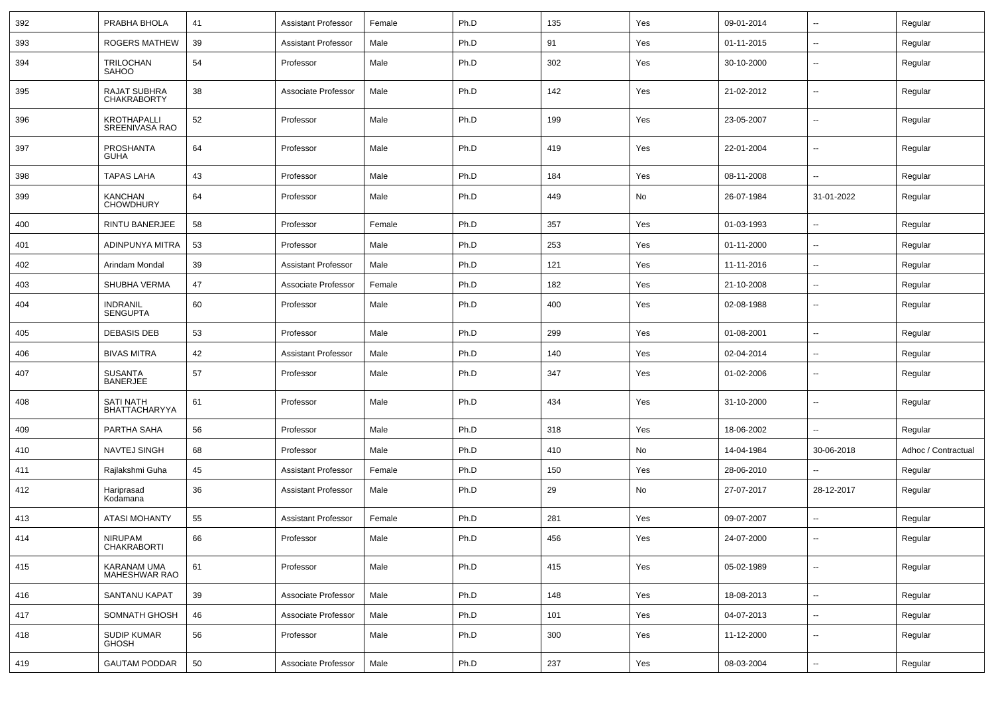| 392 | PRABHA BHOLA                         | 41 | <b>Assistant Professor</b> | Female | Ph.D | 135 | Yes | 09-01-2014 | ⊷.                       | Regular             |
|-----|--------------------------------------|----|----------------------------|--------|------|-----|-----|------------|--------------------------|---------------------|
| 393 | ROGERS MATHEW                        | 39 | <b>Assistant Professor</b> | Male   | Ph.D | 91  | Yes | 01-11-2015 | $\overline{\phantom{a}}$ | Regular             |
| 394 | TRILOCHAN<br><b>SAHOO</b>            | 54 | Professor                  | Male   | Ph.D | 302 | Yes | 30-10-2000 | --                       | Regular             |
| 395 | RAJAT SUBHRA<br><b>CHAKRABORTY</b>   | 38 | Associate Professor        | Male   | Ph.D | 142 | Yes | 21-02-2012 | $\overline{\phantom{a}}$ | Regular             |
| 396 | <b>KROTHAPALLI</b><br>SREENIVASA RAO | 52 | Professor                  | Male   | Ph.D | 199 | Yes | 23-05-2007 | --                       | Regular             |
| 397 | PROSHANTA<br><b>GUHA</b>             | 64 | Professor                  | Male   | Ph.D | 419 | Yes | 22-01-2004 | $\overline{\phantom{a}}$ | Regular             |
| 398 | <b>TAPAS LAHA</b>                    | 43 | Professor                  | Male   | Ph.D | 184 | Yes | 08-11-2008 | $\overline{\phantom{a}}$ | Regular             |
| 399 | <b>KANCHAN</b><br><b>CHOWDHURY</b>   | 64 | Professor                  | Male   | Ph.D | 449 | No  | 26-07-1984 | 31-01-2022               | Regular             |
| 400 | RINTU BANERJEE                       | 58 | Professor                  | Female | Ph.D | 357 | Yes | 01-03-1993 | --                       | Regular             |
| 401 | ADINPUNYA MITRA                      | 53 | Professor                  | Male   | Ph.D | 253 | Yes | 01-11-2000 | ⊷.                       | Regular             |
| 402 | Arindam Mondal                       | 39 | <b>Assistant Professor</b> | Male   | Ph.D | 121 | Yes | 11-11-2016 | ⊷.                       | Regular             |
| 403 | SHUBHA VERMA                         | 47 | Associate Professor        | Female | Ph.D | 182 | Yes | 21-10-2008 | ⊷.                       | Regular             |
| 404 | <b>INDRANIL</b><br><b>SENGUPTA</b>   | 60 | Professor                  | Male   | Ph.D | 400 | Yes | 02-08-1988 | $\overline{\phantom{a}}$ | Regular             |
| 405 | <b>DEBASIS DEB</b>                   | 53 | Professor                  | Male   | Ph.D | 299 | Yes | 01-08-2001 | $\overline{\phantom{a}}$ | Regular             |
| 406 | <b>BIVAS MITRA</b>                   | 42 | <b>Assistant Professor</b> | Male   | Ph.D | 140 | Yes | 02-04-2014 | $\overline{\phantom{a}}$ | Regular             |
| 407 | <b>SUSANTA</b><br><b>BANERJEE</b>    | 57 | Professor                  | Male   | Ph.D | 347 | Yes | 01-02-2006 | -−                       | Regular             |
| 408 | <b>SATI NATH</b><br>BHATTACHARYYA    | 61 | Professor                  | Male   | Ph.D | 434 | Yes | 31-10-2000 | --                       | Regular             |
| 409 | PARTHA SAHA                          | 56 | Professor                  | Male   | Ph.D | 318 | Yes | 18-06-2002 | $\overline{a}$           | Regular             |
| 410 | NAVTEJ SINGH                         | 68 | Professor                  | Male   | Ph.D | 410 | No  | 14-04-1984 | 30-06-2018               | Adhoc / Contractual |
| 411 | Rajlakshmi Guha                      | 45 | <b>Assistant Professor</b> | Female | Ph.D | 150 | Yes | 28-06-2010 | $\overline{\phantom{a}}$ | Regular             |
| 412 | Hariprasad<br>Kodamana               | 36 | <b>Assistant Professor</b> | Male   | Ph.D | 29  | No  | 27-07-2017 | 28-12-2017               | Regular             |
| 413 | <b>ATASI MOHANTY</b>                 | 55 | <b>Assistant Professor</b> | Female | Ph.D | 281 | Yes | 09-07-2007 | --                       | Regular             |
| 414 | <b>NIRUPAM</b><br><b>CHAKRABORTI</b> | 66 | Professor                  | Male   | Ph.D | 456 | Yes | 24-07-2000 | $\sim$                   | Regular             |
| 415 | KARANAM UMA<br>MAHESHWAR RAO         | 61 | Professor                  | Male   | Ph.D | 415 | Yes | 05-02-1989 | Ξ.                       | Regular             |
| 416 | SANTANU KAPAT                        | 39 | Associate Professor        | Male   | Ph.D | 148 | Yes | 18-08-2013 | $\sim$                   | Regular             |
| 417 | SOMNATH GHOSH                        | 46 | Associate Professor        | Male   | Ph.D | 101 | Yes | 04-07-2013 | $\overline{\phantom{a}}$ | Regular             |
| 418 | <b>SUDIP KUMAR</b><br><b>GHOSH</b>   | 56 | Professor                  | Male   | Ph.D | 300 | Yes | 11-12-2000 | $\overline{\phantom{a}}$ | Regular             |
| 419 | <b>GAUTAM PODDAR</b>                 | 50 | Associate Professor        | Male   | Ph.D | 237 | Yes | 08-03-2004 | ⊷.                       | Regular             |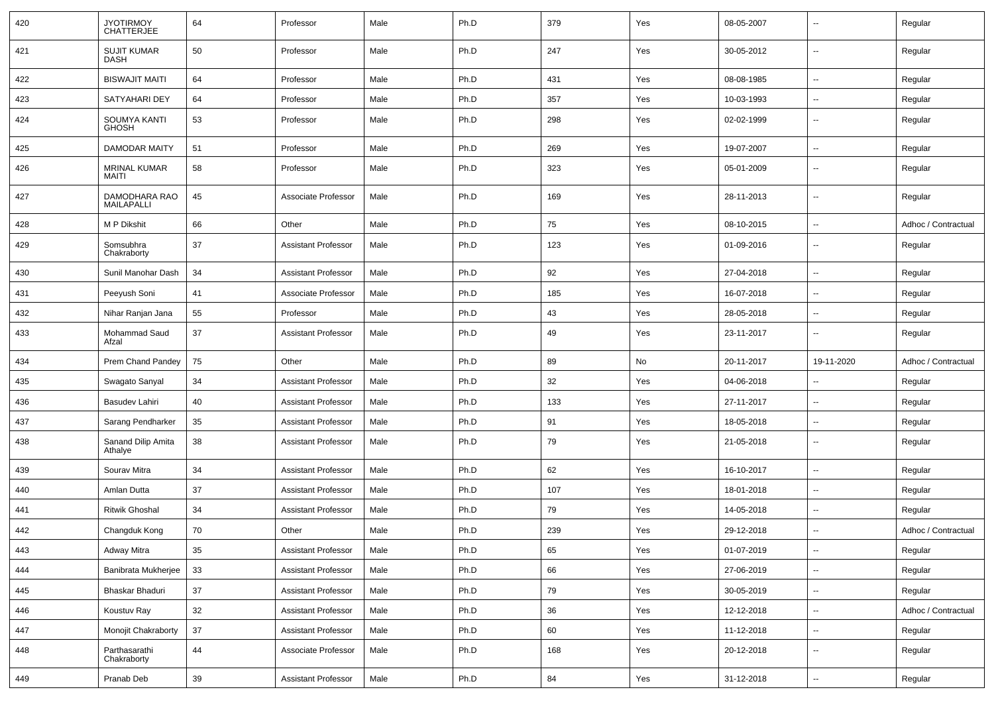| 420 | JYOTIRMOY<br>CHATTERJEE            | 64     | Professor                  | Male | Ph.D | 379 | Yes | 08-05-2007 | $\mathbf{u}$             | Regular             |
|-----|------------------------------------|--------|----------------------------|------|------|-----|-----|------------|--------------------------|---------------------|
| 421 | <b>SUJIT KUMAR</b><br>DASH         | 50     | Professor                  | Male | Ph.D | 247 | Yes | 30-05-2012 | $\sim$                   | Regular             |
| 422 | <b>BISWAJIT MAITI</b>              | 64     | Professor                  | Male | Ph.D | 431 | Yes | 08-08-1985 | $\sim$                   | Regular             |
| 423 | SATYAHARI DEY                      | 64     | Professor                  | Male | Ph.D | 357 | Yes | 10-03-1993 | $\sim$                   | Regular             |
| 424 | SOUMYA KANTI<br><b>GHOSH</b>       | 53     | Professor                  | Male | Ph.D | 298 | Yes | 02-02-1999 | $\overline{\phantom{a}}$ | Regular             |
| 425 | DAMODAR MAITY                      | 51     | Professor                  | Male | Ph.D | 269 | Yes | 19-07-2007 | $\overline{\phantom{a}}$ | Regular             |
| 426 | <b>MRINAL KUMAR</b><br>MAITI       | 58     | Professor                  | Male | Ph.D | 323 | Yes | 05-01-2009 | $\overline{\phantom{a}}$ | Regular             |
| 427 | DAMODHARA RAO<br><b>MAILAPALLI</b> | 45     | Associate Professor        | Male | Ph.D | 169 | Yes | 28-11-2013 | $\overline{\phantom{a}}$ | Regular             |
| 428 | M P Dikshit                        | 66     | Other                      | Male | Ph.D | 75  | Yes | 08-10-2015 | $\overline{\phantom{a}}$ | Adhoc / Contractual |
| 429 | Somsubhra<br>Chakraborty           | 37     | <b>Assistant Professor</b> | Male | Ph.D | 123 | Yes | 01-09-2016 | $\overline{\phantom{a}}$ | Regular             |
| 430 | Sunil Manohar Dash                 | 34     | <b>Assistant Professor</b> | Male | Ph.D | 92  | Yes | 27-04-2018 | $\mathbf{u}$             | Regular             |
| 431 | Peeyush Soni                       | 41     | Associate Professor        | Male | Ph.D | 185 | Yes | 16-07-2018 | $\mathbf{u}$             | Regular             |
| 432 | Nihar Ranjan Jana                  | 55     | Professor                  | Male | Ph.D | 43  | Yes | 28-05-2018 | $\sim$                   | Regular             |
| 433 | Mohammad Saud<br>Afzal             | 37     | <b>Assistant Professor</b> | Male | Ph.D | 49  | Yes | 23-11-2017 | $\sim$                   | Regular             |
|     |                                    |        |                            |      |      |     |     |            |                          |                     |
| 434 | Prem Chand Pandey                  | 75     | Other                      | Male | Ph.D | 89  | No  | 20-11-2017 | 19-11-2020               | Adhoc / Contractual |
| 435 | Swagato Sanyal                     | 34     | <b>Assistant Professor</b> | Male | Ph.D | 32  | Yes | 04-06-2018 | $\overline{\phantom{a}}$ | Regular             |
| 436 | Basudev Lahiri                     | 40     | <b>Assistant Professor</b> | Male | Ph.D | 133 | Yes | 27-11-2017 |                          | Regular             |
| 437 | Sarang Pendharker                  | 35     | <b>Assistant Professor</b> | Male | Ph.D | 91  | Yes | 18-05-2018 | $\overline{\phantom{a}}$ | Regular             |
| 438 | Sanand Dilip Amita<br>Athalye      | 38     | <b>Assistant Professor</b> | Male | Ph.D | 79  | Yes | 21-05-2018 | --                       | Regular             |
| 439 | Sourav Mitra                       | 34     | <b>Assistant Professor</b> | Male | Ph.D | 62  | Yes | 16-10-2017 | $\overline{\phantom{a}}$ | Regular             |
| 440 | Amlan Dutta                        | 37     | <b>Assistant Professor</b> | Male | Ph.D | 107 | Yes | 18-01-2018 | $\mathbf{u}$             | Regular             |
| 441 | <b>Ritwik Ghoshal</b>              | 34     | <b>Assistant Professor</b> | Male | Ph.D | 79  | Yes | 14-05-2018 | $\sim$                   | Regular             |
| 442 | Changduk Kong                      | 70     | Other                      | Male | Ph.D | 239 | Yes | 29-12-2018 |                          | Adhoc / Contractual |
| 443 | Adway Mitra                        | 35     | Assistant Professor        | Male | Ph.D | 65  | Yes | 01-07-2019 | $\overline{\phantom{a}}$ | Regular             |
| 444 | Banibrata Mukherjee                | 33     | <b>Assistant Professor</b> | Male | Ph.D | 66  | Yes | 27-06-2019 | $\sim$                   | Regular             |
| 445 | Bhaskar Bhaduri                    | 37     | <b>Assistant Professor</b> | Male | Ph.D | 79  | Yes | 30-05-2019 | $\sim$                   | Regular             |
| 446 | Koustuv Ray                        | 32     | <b>Assistant Professor</b> | Male | Ph.D | 36  | Yes | 12-12-2018 | $\sim$                   | Adhoc / Contractual |
| 447 | Monojit Chakraborty                | $37\,$ | <b>Assistant Professor</b> | Male | Ph.D | 60  | Yes | 11-12-2018 | $\sim$                   | Regular             |
| 448 | Parthasarathi<br>Chakraborty       | 44     | Associate Professor        | Male | Ph.D | 168 | Yes | 20-12-2018 | $\sim$                   | Regular             |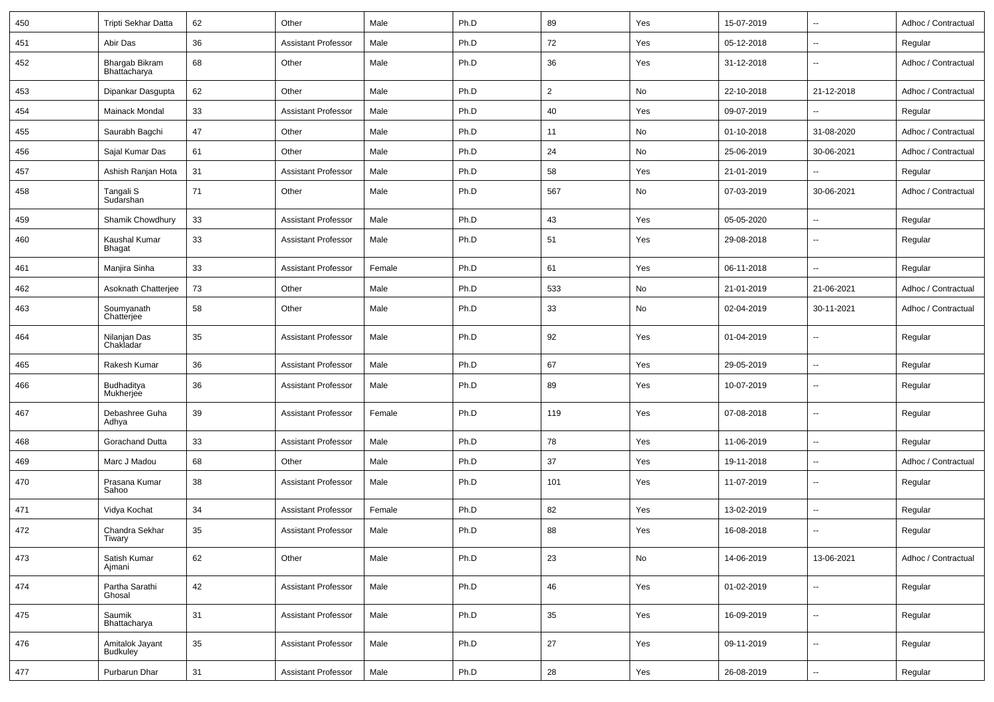| 450 | Tripti Sekhar Datta            | 62 | Other                      | Male   | Ph.D | 89             | Yes | 15-07-2019 | $\overline{\phantom{a}}$ | Adhoc / Contractual |
|-----|--------------------------------|----|----------------------------|--------|------|----------------|-----|------------|--------------------------|---------------------|
| 451 | Abir Das                       | 36 | <b>Assistant Professor</b> | Male   | Ph.D | 72             | Yes | 05-12-2018 | $\overline{\phantom{a}}$ | Regular             |
| 452 | Bhargab Bikram<br>Bhattacharya | 68 | Other                      | Male   | Ph.D | 36             | Yes | 31-12-2018 | $\overline{\phantom{a}}$ | Adhoc / Contractual |
| 453 | Dipankar Dasgupta              | 62 | Other                      | Male   | Ph.D | $\overline{2}$ | No  | 22-10-2018 | 21-12-2018               | Adhoc / Contractual |
| 454 | Mainack Mondal                 | 33 | <b>Assistant Professor</b> | Male   | Ph.D | 40             | Yes | 09-07-2019 | --                       | Regular             |
| 455 | Saurabh Bagchi                 | 47 | Other                      | Male   | Ph.D | 11             | No  | 01-10-2018 | 31-08-2020               | Adhoc / Contractual |
| 456 | Sajal Kumar Das                | 61 | Other                      | Male   | Ph.D | 24             | No  | 25-06-2019 | 30-06-2021               | Adhoc / Contractual |
| 457 | Ashish Ranjan Hota             | 31 | <b>Assistant Professor</b> | Male   | Ph.D | 58             | Yes | 21-01-2019 |                          | Regular             |
| 458 | Tangali S<br>Sudarshan         | 71 | Other                      | Male   | Ph.D | 567            | No  | 07-03-2019 | 30-06-2021               | Adhoc / Contractual |
| 459 | Shamik Chowdhury               | 33 | <b>Assistant Professor</b> | Male   | Ph.D | 43             | Yes | 05-05-2020 | $\overline{\phantom{a}}$ | Regular             |
| 460 | Kaushal Kumar<br><b>Bhagat</b> | 33 | <b>Assistant Professor</b> | Male   | Ph.D | 51             | Yes | 29-08-2018 | $\overline{\phantom{a}}$ | Regular             |
| 461 | Manjira Sinha                  | 33 | <b>Assistant Professor</b> | Female | Ph.D | 61             | Yes | 06-11-2018 | --                       | Regular             |
| 462 | Asoknath Chatterjee            | 73 | Other                      | Male   | Ph.D | 533            | No  | 21-01-2019 | 21-06-2021               | Adhoc / Contractual |
| 463 | Soumyanath<br>Chatterjee       | 58 | Other                      | Male   | Ph.D | 33             | No  | 02-04-2019 | 30-11-2021               | Adhoc / Contractual |
| 464 | Nilanjan Das<br>Chakladar      | 35 | <b>Assistant Professor</b> | Male   | Ph.D | 92             | Yes | 01-04-2019 | $\overline{\phantom{a}}$ | Regular             |
| 465 | Rakesh Kumar                   | 36 | <b>Assistant Professor</b> | Male   | Ph.D | 67             | Yes | 29-05-2019 | $\overline{\phantom{a}}$ | Regular             |
| 466 | Budhaditya<br>Mukherjee        | 36 | <b>Assistant Professor</b> | Male   | Ph.D | 89             | Yes | 10-07-2019 | $\overline{\phantom{a}}$ | Regular             |
| 467 | Debashree Guha<br>Adhya        | 39 | <b>Assistant Professor</b> | Female | Ph.D | 119            | Yes | 07-08-2018 | $\overline{\phantom{a}}$ | Regular             |
| 468 | Gorachand Dutta                | 33 | <b>Assistant Professor</b> | Male   | Ph.D | 78             | Yes | 11-06-2019 | $\overline{\phantom{a}}$ | Regular             |
| 469 | Marc J Madou                   | 68 | Other                      | Male   | Ph.D | 37             | Yes | 19-11-2018 | $\sim$                   | Adhoc / Contractual |
| 470 | Prasana Kumar<br>Sahoo         | 38 | <b>Assistant Professor</b> | Male   | Ph.D | 101            | Yes | 11-07-2019 | $\overline{\phantom{a}}$ | Regular             |
| 471 | Vidya Kochat                   | 34 | <b>Assistant Professor</b> | Female | Ph.D | 82             | Yes | 13-02-2019 | $\overline{\phantom{a}}$ | Regular             |
| 472 | Chandra Sekhar<br>Tiwary       | 35 | <b>Assistant Professor</b> | Male   | Ph.D | 88             | Yes | 16-08-2018 | --                       | Regular             |
| 473 | Satish Kumar<br>Ajmani         | 62 | Other                      | Male   | Ph.D | 23             | No  | 14-06-2019 | 13-06-2021               | Adhoc / Contractual |
| 474 | Partha Sarathi<br>Ghosal       | 42 | <b>Assistant Professor</b> | Male   | Ph.D | 46             | Yes | 01-02-2019 | $\overline{\phantom{a}}$ | Regular             |
| 475 | Saumik<br>Bhattacharya         | 31 | <b>Assistant Professor</b> | Male   | Ph.D | 35             | Yes | 16-09-2019 | $\overline{\phantom{a}}$ | Regular             |
| 476 | Amitalok Jayant<br>Budkuley    | 35 | <b>Assistant Professor</b> | Male   | Ph.D | 27             | Yes | 09-11-2019 | $\overline{\phantom{a}}$ | Regular             |
| 477 | Purbarun Dhar                  | 31 | <b>Assistant Professor</b> | Male   | Ph.D | 28             | Yes | 26-08-2019 | $\overline{\phantom{a}}$ | Regular             |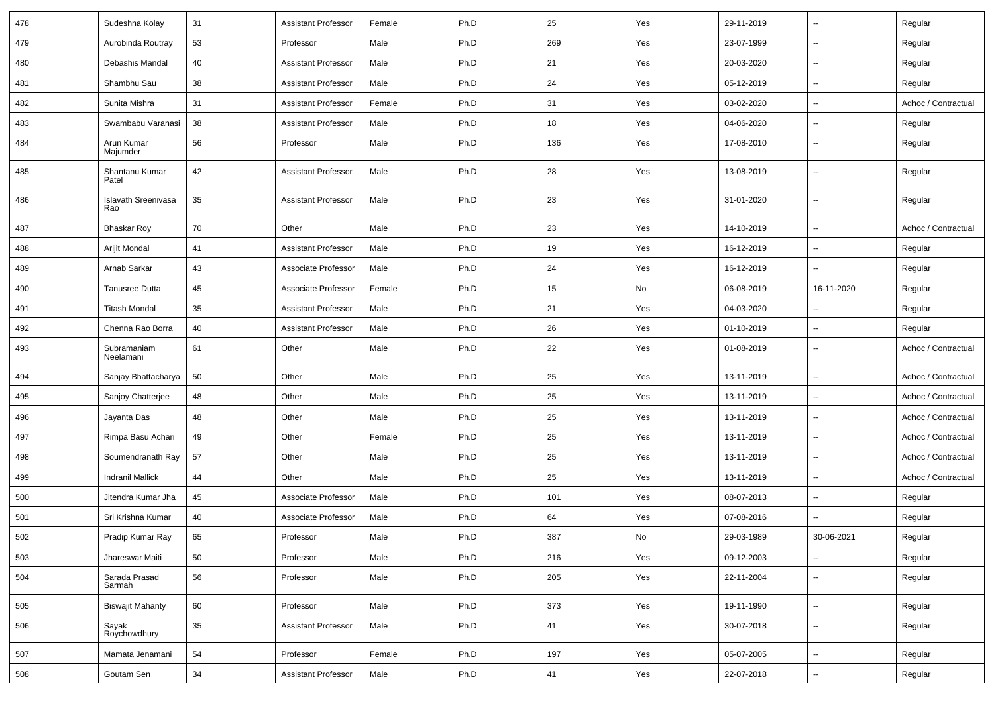| 478 | Sudeshna Kolay                    | 31 | <b>Assistant Professor</b> | Female | Ph.D | 25  | Yes | 29-11-2019 | $\sim$                   | Regular             |
|-----|-----------------------------------|----|----------------------------|--------|------|-----|-----|------------|--------------------------|---------------------|
| 479 | Aurobinda Routray                 | 53 | Professor                  | Male   | Ph.D | 269 | Yes | 23-07-1999 | $\sim$                   | Regular             |
| 480 | Debashis Mandal                   | 40 | <b>Assistant Professor</b> | Male   | Ph.D | 21  | Yes | 20-03-2020 | $\sim$                   | Regular             |
| 481 | Shambhu Sau                       | 38 | <b>Assistant Professor</b> | Male   | Ph.D | 24  | Yes | 05-12-2019 | $\overline{\phantom{a}}$ | Regular             |
| 482 | Sunita Mishra                     | 31 | <b>Assistant Professor</b> | Female | Ph.D | 31  | Yes | 03-02-2020 | $\overline{\phantom{a}}$ | Adhoc / Contractual |
| 483 | Swambabu Varanasi                 | 38 | <b>Assistant Professor</b> | Male   | Ph.D | 18  | Yes | 04-06-2020 | $\sim$                   | Regular             |
| 484 | Arun Kumar<br>Majumder            | 56 | Professor                  | Male   | Ph.D | 136 | Yes | 17-08-2010 | $\sim$                   | Regular             |
| 485 | Shantanu Kumar<br>Patel           | 42 | <b>Assistant Professor</b> | Male   | Ph.D | 28  | Yes | 13-08-2019 | $\sim$                   | Regular             |
| 486 | <b>Islavath Sreenivasa</b><br>Rao | 35 | <b>Assistant Professor</b> | Male   | Ph.D | 23  | Yes | 31-01-2020 | $\mathbf{u}$             | Regular             |
| 487 | <b>Bhaskar Roy</b>                | 70 | Other                      | Male   | Ph.D | 23  | Yes | 14-10-2019 | $\sim$                   | Adhoc / Contractual |
| 488 | Arijit Mondal                     | 41 | <b>Assistant Professor</b> | Male   | Ph.D | 19  | Yes | 16-12-2019 | $\sim$                   | Regular             |
| 489 | Arnab Sarkar                      | 43 | Associate Professor        | Male   | Ph.D | 24  | Yes | 16-12-2019 | $\sim$                   | Regular             |
| 490 | Tanusree Dutta                    | 45 | Associate Professor        | Female | Ph.D | 15  | No  | 06-08-2019 | 16-11-2020               | Regular             |
| 491 | <b>Titash Mondal</b>              | 35 | <b>Assistant Professor</b> | Male   | Ph.D | 21  | Yes | 04-03-2020 | $\overline{\phantom{a}}$ | Regular             |
| 492 | Chenna Rao Borra                  | 40 | <b>Assistant Professor</b> | Male   | Ph.D | 26  | Yes | 01-10-2019 | $\sim$                   | Regular             |
| 493 | Subramaniam<br>Neelamani          | 61 | Other                      | Male   | Ph.D | 22  | Yes | 01-08-2019 | $\sim$                   | Adhoc / Contractual |
| 494 | Sanjay Bhattacharya               | 50 | Other                      | Male   | Ph.D | 25  | Yes | 13-11-2019 | $\sim$                   | Adhoc / Contractual |
| 495 | Sanjoy Chatterjee                 | 48 | Other                      | Male   | Ph.D | 25  | Yes | 13-11-2019 | $\sim$                   | Adhoc / Contractual |
| 496 | Jayanta Das                       | 48 | Other                      | Male   | Ph.D | 25  | Yes | 13-11-2019 | $\sim$                   | Adhoc / Contractual |
| 497 | Rimpa Basu Achari                 | 49 | Other                      | Female | Ph.D | 25  | Yes | 13-11-2019 | $\mathbf{u}$             | Adhoc / Contractual |
| 498 | Soumendranath Ray                 | 57 | Other                      | Male   | Ph.D | 25  | Yes | 13-11-2019 | $\overline{\phantom{a}}$ | Adhoc / Contractual |
| 499 | <b>Indranil Mallick</b>           | 44 | Other                      | Male   | Ph.D | 25  | Yes | 13-11-2019 | $\sim$                   | Adhoc / Contractual |
| 500 | Jitendra Kumar Jha                | 45 | Associate Professor        | Male   | Ph.D | 101 | Yes | 08-07-2013 | $\sim$                   | Regular             |
| 501 | Sri Krishna Kumar                 | 40 | Associate Professor        | Male   | Ph.D | 64  | Yes | 07-08-2016 | $\sim$                   | Regular             |
| 502 | Pradip Kumar Ray                  | 65 | Professor                  | Male   | Ph.D | 387 | No  | 29-03-1989 | 30-06-2021               | Regular             |
| 503 | Jhareswar Maiti                   | 50 | Professor                  | Male   | Ph.D | 216 | Yes | 09-12-2003 | $\overline{\phantom{a}}$ | Regular             |
| 504 | Sarada Prasad<br>Sarmah           | 56 | Professor                  | Male   | Ph.D | 205 | Yes | 22-11-2004 | $\overline{\phantom{a}}$ | Regular             |
| 505 | <b>Biswajit Mahanty</b>           | 60 | Professor                  | Male   | Ph.D | 373 | Yes | 19-11-1990 | $\sim$                   | Regular             |
| 506 | Sayak<br>Roychowdhury             | 35 | Assistant Professor        | Male   | Ph.D | 41  | Yes | 30-07-2018 | $\overline{\phantom{a}}$ | Regular             |
| 507 | Mamata Jenamani                   | 54 | Professor                  | Female | Ph.D | 197 | Yes | 05-07-2005 | $\overline{\phantom{a}}$ | Regular             |
| 508 | Goutam Sen                        | 34 | <b>Assistant Professor</b> | Male   | Ph.D | 41  | Yes | 22-07-2018 | $\sim$                   | Regular             |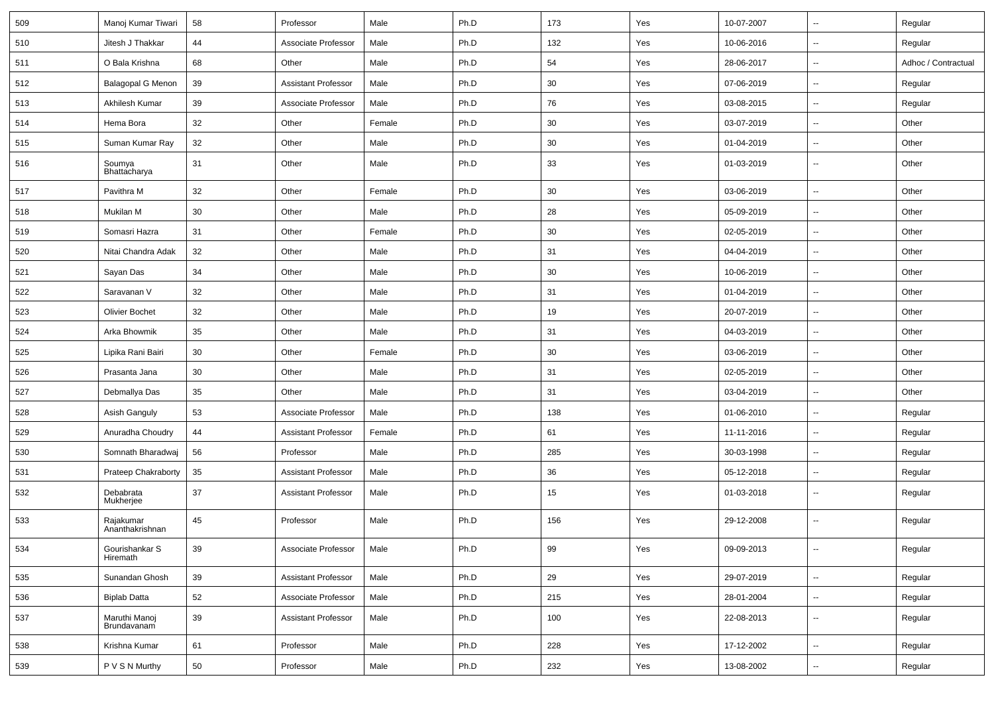| 509 | Manoj Kumar Tiwari                  | 58     | Professor                  | Male   | Ph.D | 173 | Yes | 10-07-2007 | $\overline{\phantom{a}}$ | Regular             |
|-----|-------------------------------------|--------|----------------------------|--------|------|-----|-----|------------|--------------------------|---------------------|
| 510 | Jitesh J Thakkar                    | 44     | Associate Professor        | Male   | Ph.D | 132 | Yes | 10-06-2016 | $\overline{\phantom{a}}$ | Regular             |
| 511 | O Bala Krishna                      | 68     | Other                      | Male   | Ph.D | 54  | Yes | 28-06-2017 | Ξ.                       | Adhoc / Contractual |
| 512 | <b>Balagopal G Menon</b>            | 39     | <b>Assistant Professor</b> | Male   | Ph.D | 30  | Yes | 07-06-2019 | $\overline{\phantom{a}}$ | Regular             |
| 513 | Akhilesh Kumar                      | 39     | Associate Professor        | Male   | Ph.D | 76  | Yes | 03-08-2015 | $\overline{\phantom{a}}$ | Regular             |
| 514 | Hema Bora                           | 32     | Other                      | Female | Ph.D | 30  | Yes | 03-07-2019 | Ξ.                       | Other               |
| 515 | Suman Kumar Ray                     | 32     | Other                      | Male   | Ph.D | 30  | Yes | 01-04-2019 | Щ,                       | Other               |
| 516 | Soumya<br>Bhattacharya              | 31     | Other                      | Male   | Ph.D | 33  | Yes | 01-03-2019 | $\overline{\phantom{a}}$ | Other               |
| 517 | Pavithra M                          | 32     | Other                      | Female | Ph.D | 30  | Yes | 03-06-2019 | Щ,                       | Other               |
| 518 | Mukilan M                           | 30     | Other                      | Male   | Ph.D | 28  | Yes | 05-09-2019 | Ξ.                       | Other               |
| 519 | Somasri Hazra                       | 31     | Other                      | Female | Ph.D | 30  | Yes | 02-05-2019 | $\overline{\phantom{a}}$ | Other               |
| 520 | Nitai Chandra Adak                  | 32     | Other                      | Male   | Ph.D | 31  | Yes | 04-04-2019 | $\overline{\phantom{a}}$ | Other               |
| 521 | Sayan Das                           | 34     | Other                      | Male   | Ph.D | 30  | Yes | 10-06-2019 | $\mathbf{u}$             | Other               |
| 522 | Saravanan V                         | 32     | Other                      | Male   | Ph.D | 31  | Yes | 01-04-2019 | Ξ.                       | Other               |
| 523 | <b>Olivier Bochet</b>               | 32     | Other                      | Male   | Ph.D | 19  | Yes | 20-07-2019 | $\overline{\phantom{a}}$ | Other               |
| 524 | Arka Bhowmik                        | 35     | Other                      | Male   | Ph.D | 31  | Yes | 04-03-2019 | Ξ.                       | Other               |
| 525 | Lipika Rani Bairi                   | 30     | Other                      | Female | Ph.D | 30  | Yes | 03-06-2019 | $\overline{\phantom{a}}$ | Other               |
| 526 | Prasanta Jana                       | 30     | Other                      | Male   | Ph.D | 31  | Yes | 02-05-2019 | $\overline{\phantom{a}}$ | Other               |
| 527 | Debmallya Das                       | 35     | Other                      | Male   | Ph.D | 31  | Yes | 03-04-2019 | Ξ.                       | Other               |
| 528 | Asish Ganguly                       | 53     | Associate Professor        | Male   | Ph.D | 138 | Yes | 01-06-2010 | Ξ.                       | Regular             |
| 529 | Anuradha Choudry                    | 44     | <b>Assistant Professor</b> | Female | Ph.D | 61  | Yes | 11-11-2016 | $\overline{\phantom{a}}$ | Regular             |
| 530 | Somnath Bharadwaj                   | 56     | Professor                  | Male   | Ph.D | 285 | Yes | 30-03-1998 | $\overline{\phantom{a}}$ | Regular             |
| 531 | Prateep Chakraborty                 | 35     | <b>Assistant Professor</b> | Male   | Ph.D | 36  | Yes | 05-12-2018 | $\overline{\phantom{a}}$ | Regular             |
| 532 | Debabrata<br>Mukherjee              | 37     | <b>Assistant Professor</b> | Male   | Ph.D | 15  | Yes | 01-03-2018 | $\overline{\phantom{a}}$ | Regular             |
| 533 | Rajakumar<br>Ananthakrishnan        | 45     | Professor                  | Male   | Ph.D | 156 | Yes | 29-12-2008 | $\overline{\phantom{a}}$ | Regular             |
| 534 | Gourishankar S<br>Hiremath          | $39\,$ | Associate Professor        | Male   | Ph.D | 99  | Yes | 09-09-2013 | Щ,                       | Regular             |
| 535 | Sunandan Ghosh                      | 39     | Assistant Professor        | Male   | Ph.D | 29  | Yes | 29-07-2019 | u.                       | Regular             |
| 536 | <b>Biplab Datta</b>                 | 52     | Associate Professor        | Male   | Ph.D | 215 | Yes | 28-01-2004 | Ц.                       | Regular             |
| 537 | Maruthi Manoj<br><b>Brundavanam</b> | 39     | <b>Assistant Professor</b> | Male   | Ph.D | 100 | Yes | 22-08-2013 | Ц.                       | Regular             |
| 538 | Krishna Kumar                       | 61     | Professor                  | Male   | Ph.D | 228 | Yes | 17-12-2002 | Щ,                       | Regular             |
| 539 | P V S N Murthy                      | 50     | Professor                  | Male   | Ph.D | 232 | Yes | 13-08-2002 | ₩,                       | Regular             |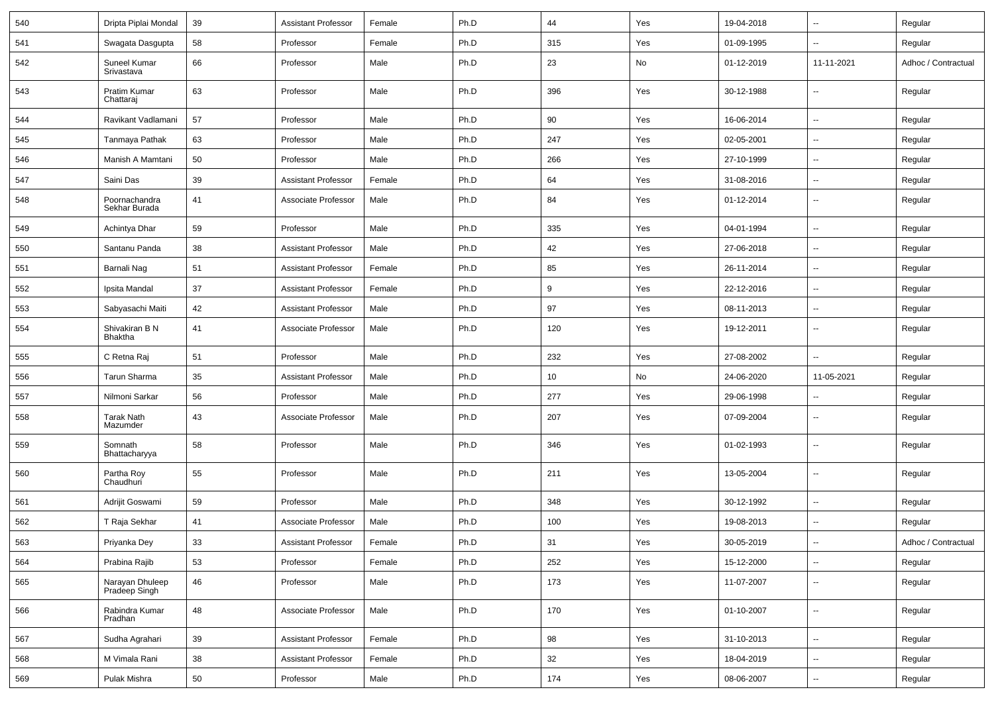| 540 | Dripta Piplai Mondal             | 39     | <b>Assistant Professor</b> | Female | Ph.D | 44  | Yes | 19-04-2018 | $\overline{\phantom{a}}$ | Regular             |
|-----|----------------------------------|--------|----------------------------|--------|------|-----|-----|------------|--------------------------|---------------------|
| 541 | Swagata Dasgupta                 | 58     | Professor                  | Female | Ph.D | 315 | Yes | 01-09-1995 | $\overline{\phantom{a}}$ | Regular             |
| 542 | Suneel Kumar<br>Srivastava       | 66     | Professor                  | Male   | Ph.D | 23  | No  | 01-12-2019 | 11-11-2021               | Adhoc / Contractual |
| 543 | Pratim Kumar<br>Chattaraj        | 63     | Professor                  | Male   | Ph.D | 396 | Yes | 30-12-1988 | $\overline{\phantom{a}}$ | Regular             |
| 544 | Ravikant Vadlamani               | 57     | Professor                  | Male   | Ph.D | 90  | Yes | 16-06-2014 | $\overline{\phantom{a}}$ | Regular             |
| 545 | Tanmaya Pathak                   | 63     | Professor                  | Male   | Ph.D | 247 | Yes | 02-05-2001 | $\overline{\phantom{a}}$ | Regular             |
| 546 | Manish A Mamtani                 | 50     | Professor                  | Male   | Ph.D | 266 | Yes | 27-10-1999 | $\sim$                   | Regular             |
| 547 | Saini Das                        | 39     | <b>Assistant Professor</b> | Female | Ph.D | 64  | Yes | 31-08-2016 | $\overline{\phantom{a}}$ | Regular             |
| 548 | Poornachandra<br>Sekhar Burada   | 41     | Associate Professor        | Male   | Ph.D | 84  | Yes | 01-12-2014 | $\overline{\phantom{a}}$ | Regular             |
| 549 | Achintya Dhar                    | 59     | Professor                  | Male   | Ph.D | 335 | Yes | 04-01-1994 | Щ,                       | Regular             |
| 550 | Santanu Panda                    | 38     | <b>Assistant Professor</b> | Male   | Ph.D | 42  | Yes | 27-06-2018 | $\sim$                   | Regular             |
| 551 | Barnali Nag                      | 51     | <b>Assistant Professor</b> | Female | Ph.D | 85  | Yes | 26-11-2014 | $\overline{\phantom{a}}$ | Regular             |
| 552 | Ipsita Mandal                    | 37     | <b>Assistant Professor</b> | Female | Ph.D | 9   | Yes | 22-12-2016 | $\overline{\phantom{a}}$ | Regular             |
| 553 | Sabyasachi Maiti                 | 42     | <b>Assistant Professor</b> | Male   | Ph.D | 97  | Yes | 08-11-2013 | $\sim$                   | Regular             |
| 554 | Shivakiran B N<br><b>Bhaktha</b> | 41     | Associate Professor        | Male   | Ph.D | 120 | Yes | 19-12-2011 | $\overline{\phantom{a}}$ | Regular             |
| 555 | C Retna Raj                      | 51     | Professor                  | Male   | Ph.D | 232 | Yes | 27-08-2002 | ÷.                       | Regular             |
| 556 | Tarun Sharma                     | 35     | <b>Assistant Professor</b> | Male   | Ph.D | 10  | No  | 24-06-2020 | 11-05-2021               | Regular             |
| 557 | Nilmoni Sarkar                   | 56     | Professor                  | Male   | Ph.D | 277 | Yes | 29-06-1998 | $\overline{\phantom{a}}$ | Regular             |
| 558 | Tarak Nath<br>Mazumder           | 43     | Associate Professor        | Male   | Ph.D | 207 | Yes | 07-09-2004 | $\overline{\phantom{a}}$ | Regular             |
| 559 | Somnath<br>Bhattacharyya         | 58     | Professor                  | Male   | Ph.D | 346 | Yes | 01-02-1993 | --                       | Regular             |
| 560 | Partha Roy<br>Chaudhuri          | 55     | Professor                  | Male   | Ph.D | 211 | Yes | 13-05-2004 | $\overline{\phantom{a}}$ | Regular             |
| 561 | Adrijit Goswami                  | 59     | Professor                  | Male   | Ph.D | 348 | Yes | 30-12-1992 | Ξ.                       | Regular             |
| 562 | T Raja Sekhar                    | 41     | Associate Professor        | Male   | Ph.D | 100 | Yes | 19-08-2013 | Ξ.                       | Regular             |
| 563 | Priyanka Dey                     | $33\,$ | Assistant Professor        | Female | Ph.D | 31  | Yes | 30-05-2019 |                          | Adhoc / Contractual |
| 564 | Prabina Rajib                    | 53     | Professor                  | Female | Ph.D | 252 | Yes | 15-12-2000 | Щ,                       | Regular             |
| 565 | Narayan Dhuleep<br>Pradeep Singh | 46     | Professor                  | Male   | Ph.D | 173 | Yes | 11-07-2007 | Щ,                       | Regular             |
| 566 | Rabindra Kumar<br>Pradhan        | 48     | Associate Professor        | Male   | Ph.D | 170 | Yes | 01-10-2007 | ц.                       | Regular             |
| 567 | Sudha Agrahari                   | 39     | <b>Assistant Professor</b> | Female | Ph.D | 98  | Yes | 31-10-2013 | ц.                       | Regular             |
| 568 | M Vimala Rani                    | 38     | <b>Assistant Professor</b> | Female | Ph.D | 32  | Yes | 18-04-2019 | $\sim$                   | Regular             |
| 569 | Pulak Mishra                     | 50     | Professor                  | Male   | Ph.D | 174 | Yes | 08-06-2007 | $\sim$                   | Regular             |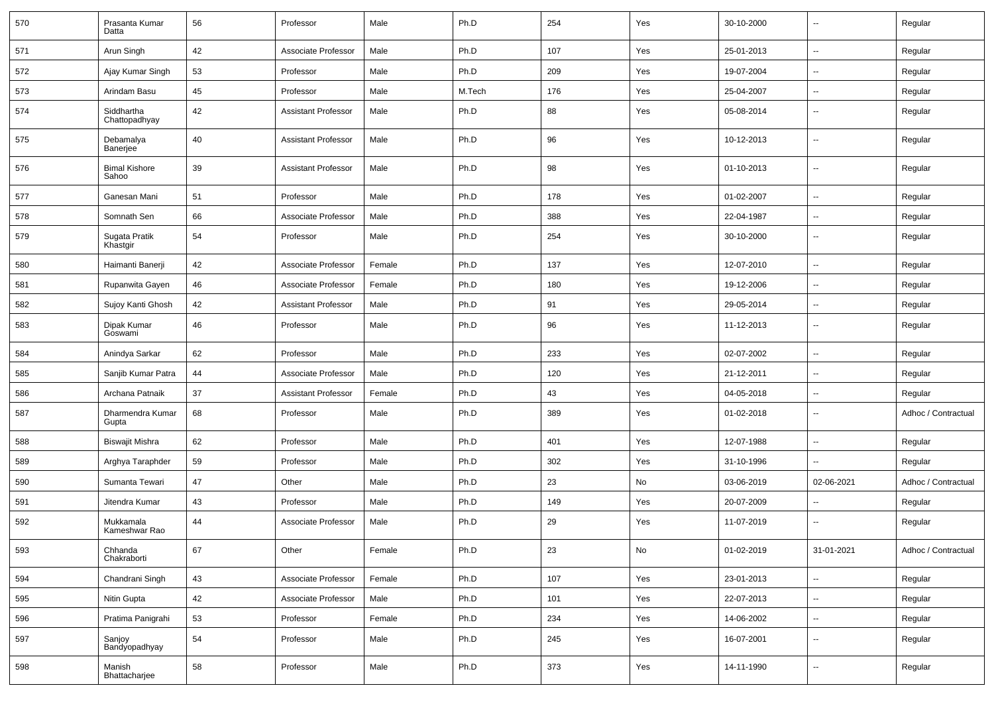| 570 | Prasanta Kumar<br>Datta            | 56 | Professor                  | Male   | Ph.D   | 254 | Yes | 30-10-2000 | --                       | Regular             |
|-----|------------------------------------|----|----------------------------|--------|--------|-----|-----|------------|--------------------------|---------------------|
| 571 | Arun Singh                         | 42 | Associate Professor        | Male   | Ph.D   | 107 | Yes | 25-01-2013 | $\overline{\phantom{a}}$ | Regular             |
| 572 | Ajay Kumar Singh                   | 53 | Professor                  | Male   | Ph.D   | 209 | Yes | 19-07-2004 | н.                       | Regular             |
| 573 | Arindam Basu                       | 45 | Professor                  | Male   | M.Tech | 176 | Yes | 25-04-2007 | -−                       | Regular             |
| 574 | Siddhartha<br>Chattopadhyay        | 42 | <b>Assistant Professor</b> | Male   | Ph.D   | 88  | Yes | 05-08-2014 | --                       | Regular             |
| 575 | Debamalya<br>Banerjee <sup>®</sup> | 40 | <b>Assistant Professor</b> | Male   | Ph.D   | 96  | Yes | 10-12-2013 | --                       | Regular             |
| 576 | <b>Bimal Kishore</b><br>Sahoo      | 39 | <b>Assistant Professor</b> | Male   | Ph.D   | 98  | Yes | 01-10-2013 | $\overline{a}$           | Regular             |
| 577 | Ganesan Mani                       | 51 | Professor                  | Male   | Ph.D   | 178 | Yes | 01-02-2007 | $\overline{\phantom{a}}$ | Regular             |
| 578 | Somnath Sen                        | 66 | Associate Professor        | Male   | Ph.D   | 388 | Yes | 22-04-1987 | --                       | Regular             |
| 579 | Sugata Pratik<br>Khastgir          | 54 | Professor                  | Male   | Ph.D   | 254 | Yes | 30-10-2000 | $\overline{\phantom{a}}$ | Regular             |
| 580 | Haimanti Banerji                   | 42 | Associate Professor        | Female | Ph.D   | 137 | Yes | 12-07-2010 | Ξ.                       | Regular             |
| 581 | Rupanwita Gayen                    | 46 | Associate Professor        | Female | Ph.D   | 180 | Yes | 19-12-2006 | ⊷.                       | Regular             |
| 582 | Sujoy Kanti Ghosh                  | 42 | <b>Assistant Professor</b> | Male   | Ph.D   | 91  | Yes | 29-05-2014 | -−                       | Regular             |
| 583 | Dipak Kumar<br>Goswami             | 46 | Professor                  | Male   | Ph.D   | 96  | Yes | 11-12-2013 | $\overline{\phantom{a}}$ | Regular             |
| 584 | Anindya Sarkar                     | 62 | Professor                  | Male   | Ph.D   | 233 | Yes | 02-07-2002 | $\overline{\phantom{a}}$ | Regular             |
| 585 | Sanjib Kumar Patra                 | 44 | Associate Professor        | Male   | Ph.D   | 120 | Yes | 21-12-2011 | --                       | Regular             |
| 586 | Archana Patnaik                    | 37 | <b>Assistant Professor</b> | Female | Ph.D   | 43  | Yes | 04-05-2018 | --                       | Regular             |
| 587 | Dharmendra Kumar<br>Gupta          | 68 | Professor                  | Male   | Ph.D   | 389 | Yes | 01-02-2018 | $\overline{\phantom{a}}$ | Adhoc / Contractual |
| 588 | <b>Biswajit Mishra</b>             | 62 | Professor                  | Male   | Ph.D   | 401 | Yes | 12-07-1988 | $\mathbf{u}$             | Regular             |
| 589 | Arghya Taraphder                   | 59 | Professor                  | Male   | Ph.D   | 302 | Yes | 31-10-1996 | $\overline{\phantom{a}}$ | Regular             |
| 590 | Sumanta Tewari                     | 47 | Other                      | Male   | Ph.D   | 23  | No  | 03-06-2019 | 02-06-2021               | Adhoc / Contractual |
| 591 | Jitendra Kumar                     | 43 | Professor                  | Male   | Ph.D   | 149 | Yes | 20-07-2009 | --                       | Regular             |
| 592 | Mukkamala<br>Kameshwar Rao         | 44 | Associate Professor        | Male   | Ph.D   | 29  | Yes | 11-07-2019 | --                       | Regular             |
| 593 | Chhanda<br>Chakraborti             | 67 | Other                      | Female | Ph.D   | 23  | No  | 01-02-2019 | 31-01-2021               | Adhoc / Contractual |
| 594 | Chandrani Singh                    | 43 | Associate Professor        | Female | Ph.D   | 107 | Yes | 23-01-2013 | н.                       | Regular             |
| 595 | Nitin Gupta                        | 42 | Associate Professor        | Male   | Ph.D   | 101 | Yes | 22-07-2013 | ш,                       | Regular             |
| 596 | Pratima Panigrahi                  | 53 | Professor                  | Female | Ph.D   | 234 | Yes | 14-06-2002 | н.                       | Regular             |
| 597 | Sanjoy<br>Bandyopadhyay            | 54 | Professor                  | Male   | Ph.D   | 245 | Yes | 16-07-2001 | $\sim$                   | Regular             |
| 598 | Manish<br>Bhattacharjee            | 58 | Professor                  | Male   | Ph.D   | 373 | Yes | 14-11-1990 | $\sim$                   | Regular             |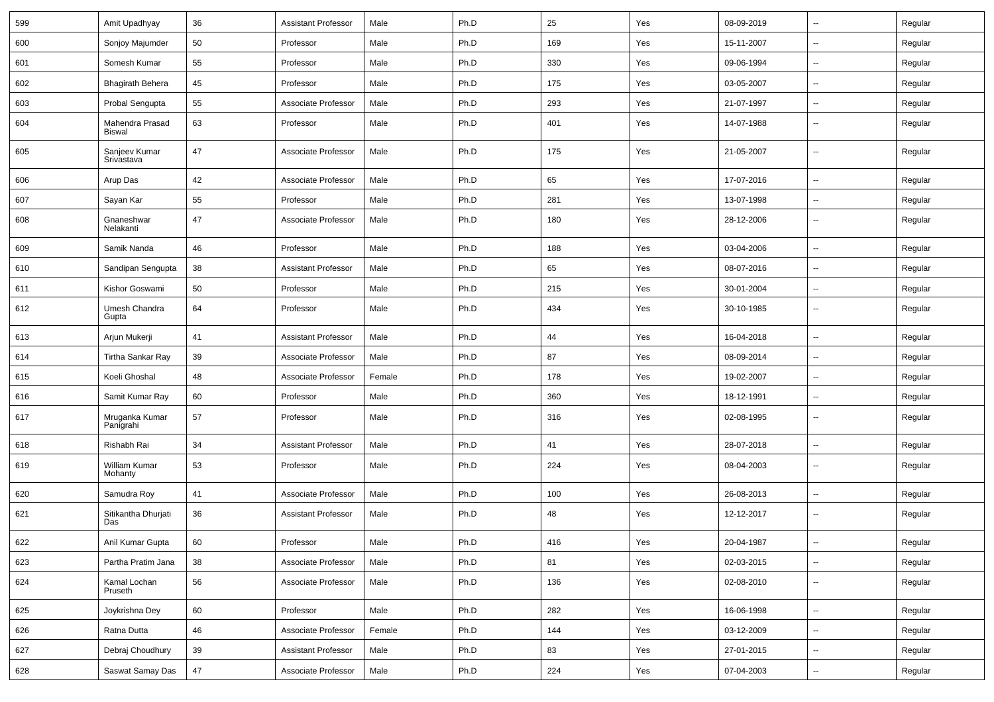| 599 | Amit Upadhyay                    | 36     | Assistant Professor        | Male   | Ph.D | 25  | Yes | 08-09-2019 | $\sim$                   | Regular |
|-----|----------------------------------|--------|----------------------------|--------|------|-----|-----|------------|--------------------------|---------|
| 600 | Sonjoy Majumder                  | 50     | Professor                  | Male   | Ph.D | 169 | Yes | 15-11-2007 | $\overline{\phantom{a}}$ | Regular |
| 601 | Somesh Kumar                     | 55     | Professor                  | Male   | Ph.D | 330 | Yes | 09-06-1994 | $\overline{\phantom{a}}$ | Regular |
| 602 | <b>Bhagirath Behera</b>          | 45     | Professor                  | Male   | Ph.D | 175 | Yes | 03-05-2007 | ۰.                       | Regular |
| 603 | Probal Sengupta                  | 55     | Associate Professor        | Male   | Ph.D | 293 | Yes | 21-07-1997 | $\overline{\phantom{a}}$ | Regular |
| 604 | Mahendra Prasad<br><b>Biswal</b> | 63     | Professor                  | Male   | Ph.D | 401 | Yes | 14-07-1988 | u.                       | Regular |
| 605 | Sanjeev Kumar<br>Srivastava      | 47     | Associate Professor        | Male   | Ph.D | 175 | Yes | 21-05-2007 | u.                       | Regular |
| 606 | Arup Das                         | 42     | Associate Professor        | Male   | Ph.D | 65  | Yes | 17-07-2016 | $\overline{\phantom{a}}$ | Regular |
| 607 | Sayan Kar                        | 55     | Professor                  | Male   | Ph.D | 281 | Yes | 13-07-1998 | $\sim$                   | Regular |
| 608 | Gnaneshwar<br>Nelakanti          | 47     | Associate Professor        | Male   | Ph.D | 180 | Yes | 28-12-2006 | --                       | Regular |
| 609 | Samik Nanda                      | 46     | Professor                  | Male   | Ph.D | 188 | Yes | 03-04-2006 | $\overline{\phantom{a}}$ | Regular |
| 610 | Sandipan Sengupta                | 38     | <b>Assistant Professor</b> | Male   | Ph.D | 65  | Yes | 08-07-2016 | $\overline{\phantom{a}}$ | Regular |
| 611 | Kishor Goswami                   | 50     | Professor                  | Male   | Ph.D | 215 | Yes | 30-01-2004 | $\overline{\phantom{a}}$ | Regular |
| 612 | Umesh Chandra<br>Gupta           | 64     | Professor                  | Male   | Ph.D | 434 | Yes | 30-10-1985 | --                       | Regular |
| 613 | Arjun Mukerji                    | 41     | <b>Assistant Professor</b> | Male   | Ph.D | 44  | Yes | 16-04-2018 | $\overline{\phantom{a}}$ | Regular |
| 614 | Tirtha Sankar Ray                | 39     | Associate Professor        | Male   | Ph.D | 87  | Yes | 08-09-2014 | $\overline{\phantom{a}}$ | Regular |
| 615 | Koeli Ghoshal                    | 48     | Associate Professor        | Female | Ph.D | 178 | Yes | 19-02-2007 | $\sim$                   | Regular |
| 616 | Samit Kumar Ray                  | 60     | Professor                  | Male   | Ph.D | 360 | Yes | 18-12-1991 | ⊷.                       | Regular |
| 617 | Mruganka Kumar<br>Panigrahi      | 57     | Professor                  | Male   | Ph.D | 316 | Yes | 02-08-1995 | ⊷.                       | Regular |
| 618 | Rishabh Rai                      | 34     | Assistant Professor        | Male   | Ph.D | 41  | Yes | 28-07-2018 | u.                       | Regular |
| 619 | William Kumar<br>Mohanty         | 53     | Professor                  | Male   | Ph.D | 224 | Yes | 08-04-2003 | --                       | Regular |
| 620 | Samudra Roy                      | 41     | Associate Professor        | Male   | Ph.D | 100 | Yes | 26-08-2013 | $\overline{a}$           | Regular |
| 621 | Sitikantha Dhurjati<br>Das       | 36     | <b>Assistant Professor</b> | Male   | Ph.D | 48  | Yes | 12-12-2017 | ۰.                       | Regular |
| 622 | Anil Kumar Gupta                 | 60     | Professor                  | Male   | Ph.D | 416 | Yes | 20-04-1987 |                          | Regular |
| 623 | Partha Pratim Jana               | 38     | Associate Professor        | Male   | Ph.D | 81  | Yes | 02-03-2015 | $\sim$                   | Regular |
| 624 | Kamal Lochan<br>Pruseth          | 56     | Associate Professor        | Male   | Ph.D | 136 | Yes | 02-08-2010 | $\sim$                   | Regular |
| 625 | Joykrishna Dey                   | 60     | Professor                  | Male   | Ph.D | 282 | Yes | 16-06-1998 | $\sim$                   | Regular |
| 626 | Ratna Dutta                      | 46     | Associate Professor        | Female | Ph.D | 144 | Yes | 03-12-2009 | $\sim$                   | Regular |
| 627 | Debraj Choudhury                 | 39     | <b>Assistant Professor</b> | Male   | Ph.D | 83  | Yes | 27-01-2015 | $\sim$                   | Regular |
| 628 | Saswat Samay Das                 | $47\,$ | Associate Professor        | Male   | Ph.D | 224 | Yes | 07-04-2003 | $\overline{\phantom{a}}$ | Regular |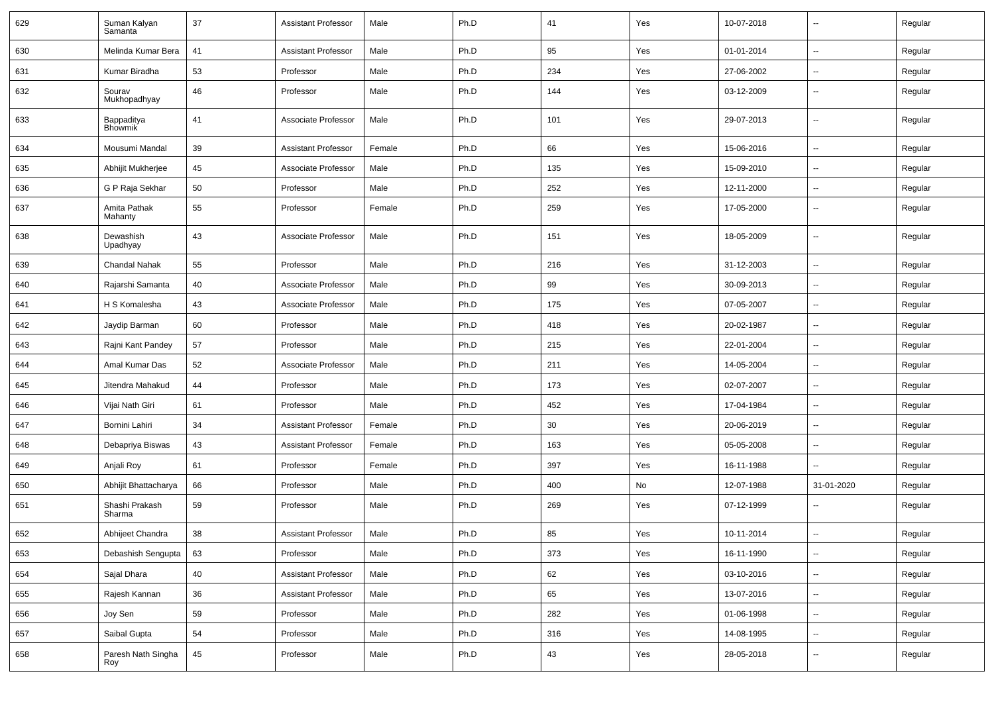| 629 | Suman Kalyan<br>Samanta      | 37 | <b>Assistant Professor</b> | Male   | Ph.D | 41  | Yes | 10-07-2018 | --                       | Regular |
|-----|------------------------------|----|----------------------------|--------|------|-----|-----|------------|--------------------------|---------|
| 630 | Melinda Kumar Bera           | 41 | <b>Assistant Professor</b> | Male   | Ph.D | 95  | Yes | 01-01-2014 | $\overline{\phantom{a}}$ | Regular |
| 631 | Kumar Biradha                | 53 | Professor                  | Male   | Ph.D | 234 | Yes | 27-06-2002 | н.                       | Regular |
| 632 | Sourav<br>Mukhopadhyay       | 46 | Professor                  | Male   | Ph.D | 144 | Yes | 03-12-2009 | $\overline{\phantom{a}}$ | Regular |
| 633 | Bappaditya<br><b>Bhowmik</b> | 41 | Associate Professor        | Male   | Ph.D | 101 | Yes | 29-07-2013 | $\overline{\phantom{a}}$ | Regular |
| 634 | Mousumi Mandal               | 39 | <b>Assistant Professor</b> | Female | Ph.D | 66  | Yes | 15-06-2016 | -−                       | Regular |
| 635 | Abhijit Mukherjee            | 45 | Associate Professor        | Male   | Ph.D | 135 | Yes | 15-09-2010 | $\overline{a}$           | Regular |
| 636 | G P Raja Sekhar              | 50 | Professor                  | Male   | Ph.D | 252 | Yes | 12-11-2000 | --                       | Regular |
| 637 | Amita Pathak<br>Mahanty      | 55 | Professor                  | Female | Ph.D | 259 | Yes | 17-05-2000 | $\sim$                   | Regular |
| 638 | Dewashish<br>Upadhyay        | 43 | Associate Professor        | Male   | Ph.D | 151 | Yes | 18-05-2009 | $\overline{\phantom{a}}$ | Regular |
| 639 | Chandal Nahak                | 55 | Professor                  | Male   | Ph.D | 216 | Yes | 31-12-2003 | Ξ.                       | Regular |
| 640 | Rajarshi Samanta             | 40 | Associate Professor        | Male   | Ph.D | 99  | Yes | 30-09-2013 | ⊷.                       | Regular |
| 641 | H S Komalesha                | 43 | Associate Professor        | Male   | Ph.D | 175 | Yes | 07-05-2007 | -−                       | Regular |
| 642 | Jaydip Barman                | 60 | Professor                  | Male   | Ph.D | 418 | Yes | 20-02-1987 | $\overline{\phantom{a}}$ | Regular |
| 643 | Rajni Kant Pandey            | 57 | Professor                  | Male   | Ph.D | 215 | Yes | 22-01-2004 | --                       | Regular |
| 644 | Amal Kumar Das               | 52 | Associate Professor        | Male   | Ph.D | 211 | Yes | 14-05-2004 | -−                       | Regular |
| 645 | Jitendra Mahakud             | 44 | Professor                  | Male   | Ph.D | 173 | Yes | 02-07-2007 | $\sim$                   | Regular |
| 646 | Vijai Nath Giri              | 61 | Professor                  | Male   | Ph.D | 452 | Yes | 17-04-1984 | $\overline{\phantom{a}}$ | Regular |
| 647 | Bornini Lahiri               | 34 | <b>Assistant Professor</b> | Female | Ph.D | 30  | Yes | 20-06-2019 | -−                       | Regular |
| 648 | Debapriya Biswas             | 43 | <b>Assistant Professor</b> | Female | Ph.D | 163 | Yes | 05-05-2008 | $\overline{a}$           | Regular |
| 649 | Anjali Roy                   | 61 | Professor                  | Female | Ph.D | 397 | Yes | 16-11-1988 | --                       | Regular |
| 650 | Abhijit Bhattacharya         | 66 | Professor                  | Male   | Ph.D | 400 | No  | 12-07-1988 | 31-01-2020               | Regular |
| 651 | Shashi Prakash<br>Sharma     | 59 | Professor                  | Male   | Ph.D | 269 | Yes | 07-12-1999 | $\overline{\phantom{a}}$ | Regular |
| 652 | Abhijeet Chandra             | 38 | <b>Assistant Professor</b> | Male   | Ph.D | 85  | Yes | 10-11-2014 | ۵.                       | Regular |
| 653 | Debashish Sengupta           | 63 | Professor                  | Male   | Ph.D | 373 | Yes | 16-11-1990 | $\sim$                   | Regular |
| 654 | Sajal Dhara                  | 40 | <b>Assistant Professor</b> | Male   | Ph.D | 62  | Yes | 03-10-2016 | $\sim$                   | Regular |
| 655 | Rajesh Kannan                | 36 | <b>Assistant Professor</b> | Male   | Ph.D | 65  | Yes | 13-07-2016 | $\overline{\phantom{a}}$ | Regular |
| 656 | Joy Sen                      | 59 | Professor                  | Male   | Ph.D | 282 | Yes | 01-06-1998 | $\sim$                   | Regular |
| 657 | Saibal Gupta                 | 54 | Professor                  | Male   | Ph.D | 316 | Yes | 14-08-1995 | $\overline{\phantom{a}}$ | Regular |
| 658 | Paresh Nath Singha<br>Roy    | 45 | Professor                  | Male   | Ph.D | 43  | Yes | 28-05-2018 | $\overline{\phantom{a}}$ | Regular |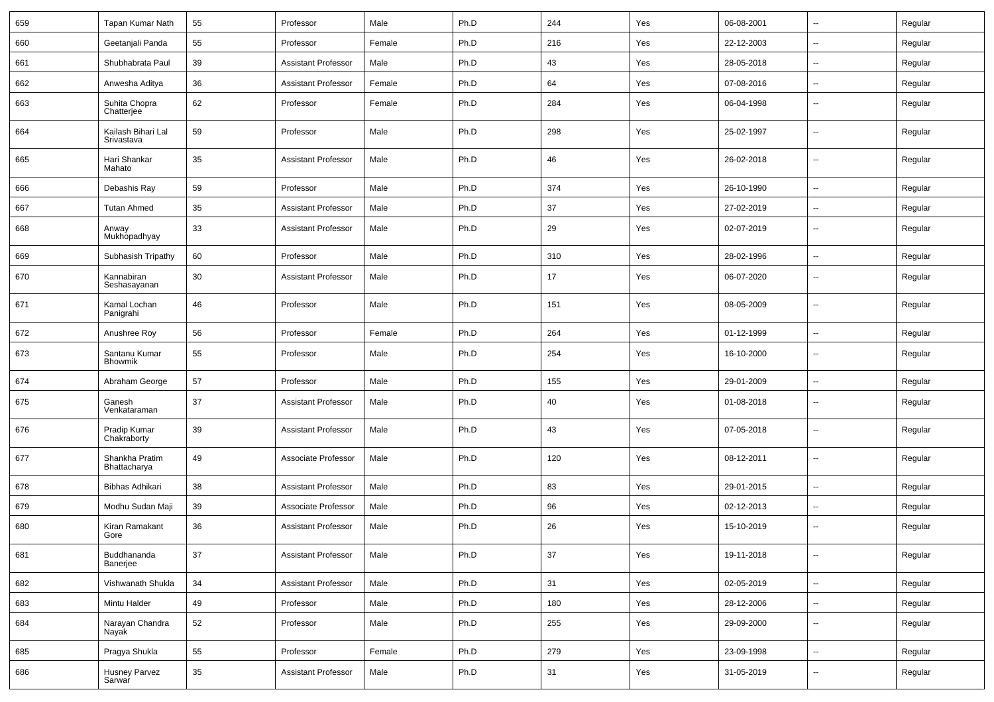| 659 | Tapan Kumar Nath                 | 55 | Professor                  | Male   | Ph.D | 244 | Yes | 06-08-2001 | $\sim$                   | Regular |
|-----|----------------------------------|----|----------------------------|--------|------|-----|-----|------------|--------------------------|---------|
| 660 | Geetanjali Panda                 | 55 | Professor                  | Female | Ph.D | 216 | Yes | 22-12-2003 | $\overline{\phantom{a}}$ | Regular |
| 661 | Shubhabrata Paul                 | 39 | <b>Assistant Professor</b> | Male   | Ph.D | 43  | Yes | 28-05-2018 | $\overline{\phantom{a}}$ | Regular |
| 662 | Anwesha Aditya                   | 36 | <b>Assistant Professor</b> | Female | Ph.D | 64  | Yes | 07-08-2016 | $\overline{\phantom{a}}$ | Regular |
| 663 | Suhita Chopra<br>Chatterjee      | 62 | Professor                  | Female | Ph.D | 284 | Yes | 06-04-1998 | --                       | Regular |
| 664 | Kailash Bihari Lal<br>Srivastava | 59 | Professor                  | Male   | Ph.D | 298 | Yes | 25-02-1997 | --                       | Regular |
| 665 | Hari Shankar<br>Mahato           | 35 | <b>Assistant Professor</b> | Male   | Ph.D | 46  | Yes | 26-02-2018 | --                       | Regular |
| 666 | Debashis Ray                     | 59 | Professor                  | Male   | Ph.D | 374 | Yes | 26-10-1990 | $\overline{\phantom{a}}$ | Regular |
| 667 | <b>Tutan Ahmed</b>               | 35 | <b>Assistant Professor</b> | Male   | Ph.D | 37  | Yes | 27-02-2019 | $\overline{\phantom{a}}$ | Regular |
| 668 | Anway<br>Mukhopadhyay            | 33 | <b>Assistant Professor</b> | Male   | Ph.D | 29  | Yes | 02-07-2019 | $\sim$                   | Regular |
| 669 | Subhasish Tripathy               | 60 | Professor                  | Male   | Ph.D | 310 | Yes | 28-02-1996 | $\sim$                   | Regular |
| 670 | Kannabiran<br>Seshasayanan       | 30 | <b>Assistant Professor</b> | Male   | Ph.D | 17  | Yes | 06-07-2020 | $\mathbf{u}$             | Regular |
| 671 | Kamal Lochan<br>Panigrahi        | 46 | Professor                  | Male   | Ph.D | 151 | Yes | 08-05-2009 | $\overline{\phantom{a}}$ | Regular |
| 672 | Anushree Roy                     | 56 | Professor                  | Female | Ph.D | 264 | Yes | 01-12-1999 | $\mathbf{u}$             | Regular |
| 673 | Santanu Kumar<br>Bhowmik         | 55 | Professor                  | Male   | Ph.D | 254 | Yes | 16-10-2000 | $\overline{\phantom{a}}$ | Regular |
| 674 | Abraham George                   | 57 | Professor                  | Male   | Ph.D | 155 | Yes | 29-01-2009 | $\overline{\phantom{a}}$ | Regular |
| 675 | Ganesh<br>Venkataraman           | 37 | <b>Assistant Professor</b> | Male   | Ph.D | 40  | Yes | 01-08-2018 | $\overline{\phantom{a}}$ | Regular |
| 676 | Pradip Kumar<br>Chakraborty      | 39 | <b>Assistant Professor</b> | Male   | Ph.D | 43  | Yes | 07-05-2018 | $\overline{\phantom{a}}$ | Regular |
| 677 | Shankha Pratim<br>Bhattacharya   | 49 | Associate Professor        | Male   | Ph.D | 120 | Yes | 08-12-2011 | $\overline{\phantom{a}}$ | Regular |
| 678 | Bibhas Adhikari                  | 38 | <b>Assistant Professor</b> | Male   | Ph.D | 83  | Yes | 29-01-2015 | $\overline{\phantom{a}}$ | Regular |
| 679 | Modhu Sudan Maji                 | 39 | Associate Professor        | Male   | Ph.D | 96  | Yes | 02-12-2013 | --                       | Regular |
| 680 | Kiran Ramakant<br>Gore           | 36 | <b>Assistant Professor</b> | Male   | Ph.D | 26  | Yes | 15-10-2019 | $\overline{\phantom{a}}$ | Regular |
| 681 | Buddhananda<br>Banerjee          | 37 | <b>Assistant Professor</b> | Male   | Ph.D | 37  | Yes | 19-11-2018 | $\sim$                   | Regular |
| 682 | Vishwanath Shukla                | 34 | <b>Assistant Professor</b> | Male   | Ph.D | 31  | Yes | 02-05-2019 | $\sim$                   | Regular |
| 683 | Mintu Halder                     | 49 | Professor                  | Male   | Ph.D | 180 | Yes | 28-12-2006 | $\sim$                   | Regular |
| 684 | Narayan Chandra<br>Navak         | 52 | Professor                  | Male   | Ph.D | 255 | Yes | 29-09-2000 | $\sim$                   | Regular |
| 685 | Pragya Shukla                    | 55 | Professor                  | Female | Ph.D | 279 | Yes | 23-09-1998 | $\sim$                   | Regular |
| 686 | Husney Parvez<br>Sarwar          | 35 | <b>Assistant Professor</b> | Male   | Ph.D | 31  | Yes | 31-05-2019 | $\sim$                   | Regular |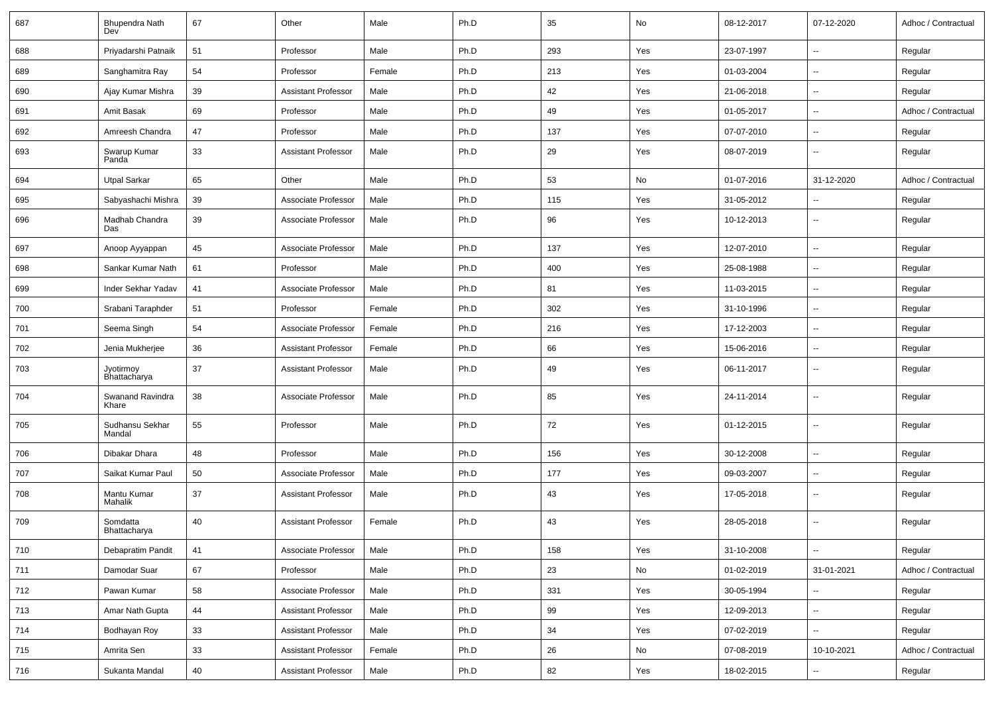| 687 | Bhupendra Nath<br>Dev <sup>j</sup> | 67 | Other                      | Male   | Ph.D | 35  | No  | 08-12-2017 | 07-12-2020               | Adhoc / Contractual |
|-----|------------------------------------|----|----------------------------|--------|------|-----|-----|------------|--------------------------|---------------------|
| 688 | Priyadarshi Patnaik                | 51 | Professor                  | Male   | Ph.D | 293 | Yes | 23-07-1997 | $\overline{\phantom{a}}$ | Regular             |
| 689 | Sanghamitra Ray                    | 54 | Professor                  | Female | Ph.D | 213 | Yes | 01-03-2004 | $\overline{\phantom{a}}$ | Regular             |
| 690 | Ajay Kumar Mishra                  | 39 | <b>Assistant Professor</b> | Male   | Ph.D | 42  | Yes | 21-06-2018 | Ξ.                       | Regular             |
| 691 | Amit Basak                         | 69 | Professor                  | Male   | Ph.D | 49  | Yes | 01-05-2017 | $\overline{\phantom{a}}$ | Adhoc / Contractual |
| 692 | Amreesh Chandra                    | 47 | Professor                  | Male   | Ph.D | 137 | Yes | 07-07-2010 | $\overline{\phantom{a}}$ | Regular             |
| 693 | Swarup Kumar<br>Panda              | 33 | <b>Assistant Professor</b> | Male   | Ph.D | 29  | Yes | 08-07-2019 | Ξ.                       | Regular             |
| 694 | <b>Utpal Sarkar</b>                | 65 | Other                      | Male   | Ph.D | 53  | No  | 01-07-2016 | 31-12-2020               | Adhoc / Contractual |
| 695 | Sabyashachi Mishra                 | 39 | Associate Professor        | Male   | Ph.D | 115 | Yes | 31-05-2012 | $\overline{\phantom{a}}$ | Regular             |
| 696 | Madhab Chandra<br>Das              | 39 | Associate Professor        | Male   | Ph.D | 96  | Yes | 10-12-2013 | $\overline{\phantom{a}}$ | Regular             |
| 697 | Anoop Ayyappan                     | 45 | Associate Professor        | Male   | Ph.D | 137 | Yes | 12-07-2010 | $\overline{\phantom{a}}$ | Regular             |
| 698 | Sankar Kumar Nath                  | 61 | Professor                  | Male   | Ph.D | 400 | Yes | 25-08-1988 | $\overline{\phantom{a}}$ | Regular             |
| 699 | Inder Sekhar Yadav                 | 41 | Associate Professor        | Male   | Ph.D | 81  | Yes | 11-03-2015 | $\overline{\phantom{a}}$ | Regular             |
| 700 | Srabani Taraphder                  | 51 | Professor                  | Female | Ph.D | 302 | Yes | 31-10-1996 | $\overline{\phantom{a}}$ | Regular             |
| 701 | Seema Singh                        | 54 | Associate Professor        | Female | Ph.D | 216 | Yes | 17-12-2003 | $\overline{\phantom{a}}$ | Regular             |
| 702 | Jenia Mukherjee                    | 36 | <b>Assistant Professor</b> | Female | Ph.D | 66  | Yes | 15-06-2016 | $\overline{\phantom{a}}$ | Regular             |
| 703 | Jyotirmoy<br>Bhattacharya          | 37 | <b>Assistant Professor</b> | Male   | Ph.D | 49  | Yes | 06-11-2017 | $\overline{\phantom{a}}$ | Regular             |
| 704 | Swanand Ravindra<br>Khare          | 38 | Associate Professor        | Male   | Ph.D | 85  | Yes | 24-11-2014 | $\overline{\phantom{a}}$ | Regular             |
| 705 | Sudhansu Sekhar<br>Mandal          | 55 | Professor                  | Male   | Ph.D | 72  | Yes | 01-12-2015 | $\overline{\phantom{a}}$ | Regular             |
| 706 | Dibakar Dhara                      | 48 | Professor                  | Male   | Ph.D | 156 | Yes | 30-12-2008 | $\overline{\phantom{a}}$ | Regular             |
| 707 | Saikat Kumar Paul                  | 50 | Associate Professor        | Male   | Ph.D | 177 | Yes | 09-03-2007 | $\overline{\phantom{a}}$ | Regular             |
| 708 | Mantu Kumar<br>Mahalik             | 37 | <b>Assistant Professor</b> | Male   | Ph.D | 43  | Yes | 17-05-2018 | $\overline{\phantom{a}}$ | Regular             |
| 709 | Somdatta<br>Bhattacharya           | 40 | <b>Assistant Professor</b> | Female | Ph.D | 43  | Yes | 28-05-2018 | $\overline{\phantom{a}}$ | Regular             |
| 710 | Debapratim Pandit                  | 41 | Associate Professor        | Male   | Ph.D | 158 | Yes | 31-10-2008 | $\overline{\phantom{a}}$ | Regular             |
| 711 | Damodar Suar                       | 67 | Professor                  | Male   | Ph.D | 23  | No  | 01-02-2019 | 31-01-2021               | Adhoc / Contractual |
| 712 | Pawan Kumar                        | 58 | Associate Professor        | Male   | Ph.D | 331 | Yes | 30-05-1994 | Щ,                       | Regular             |
| 713 | Amar Nath Gupta                    | 44 | <b>Assistant Professor</b> | Male   | Ph.D | 99  | Yes | 12-09-2013 | $\overline{\phantom{a}}$ | Regular             |
| 714 | Bodhayan Roy                       | 33 | Assistant Professor        | Male   | Ph.D | 34  | Yes | 07-02-2019 | Ξ.                       | Regular             |
| 715 | Amrita Sen                         | 33 | <b>Assistant Professor</b> | Female | Ph.D | 26  | No  | 07-08-2019 | 10-10-2021               | Adhoc / Contractual |
| 716 | Sukanta Mandal                     | 40 | <b>Assistant Professor</b> | Male   | Ph.D | 82  | Yes | 18-02-2015 | --                       | Regular             |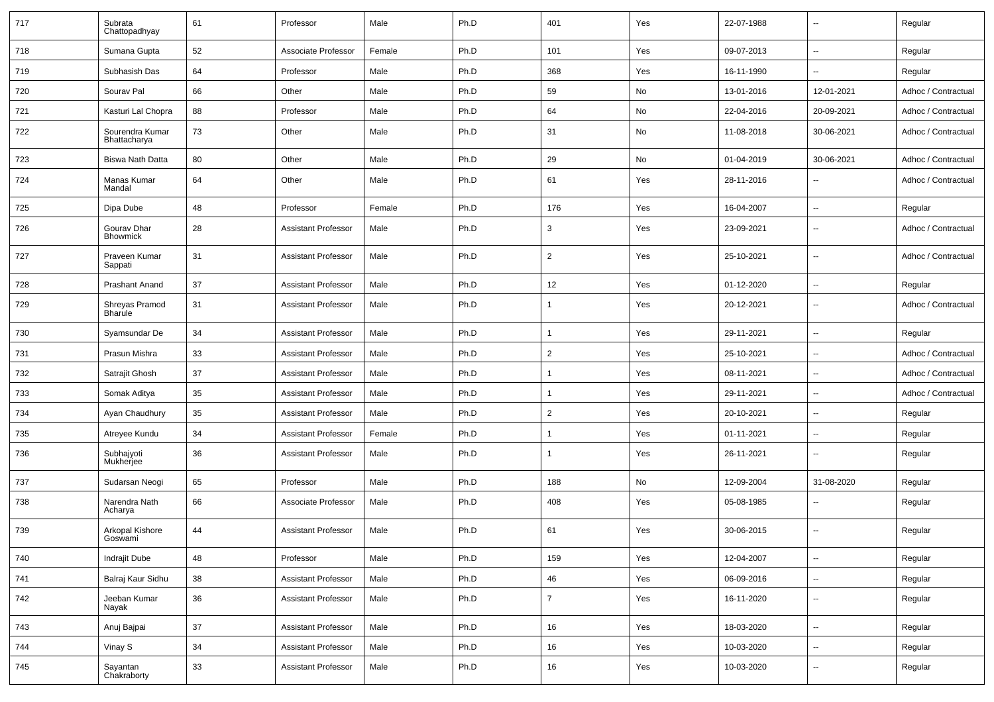| 717 | Subrata<br>Chattopadhyay         | 61 | Professor                  | Male   | Ph.D | 401            | Yes | 22-07-1988 | $\overline{\phantom{a}}$ | Regular             |
|-----|----------------------------------|----|----------------------------|--------|------|----------------|-----|------------|--------------------------|---------------------|
| 718 | Sumana Gupta                     | 52 | Associate Professor        | Female | Ph.D | 101            | Yes | 09-07-2013 | $\overline{\phantom{a}}$ | Regular             |
| 719 | Subhasish Das                    | 64 | Professor                  | Male   | Ph.D | 368            | Yes | 16-11-1990 | $\overline{\phantom{a}}$ | Regular             |
| 720 | Sourav Pal                       | 66 | Other                      | Male   | Ph.D | 59             | No  | 13-01-2016 | 12-01-2021               | Adhoc / Contractual |
| 721 | Kasturi Lal Chopra               | 88 | Professor                  | Male   | Ph.D | 64             | No  | 22-04-2016 | 20-09-2021               | Adhoc / Contractual |
| 722 | Sourendra Kumar<br>Bhattacharya  | 73 | Other                      | Male   | Ph.D | 31             | No  | 11-08-2018 | 30-06-2021               | Adhoc / Contractual |
| 723 | Biswa Nath Datta                 | 80 | Other                      | Male   | Ph.D | 29             | No  | 01-04-2019 | 30-06-2021               | Adhoc / Contractual |
| 724 | Manas Kumar<br>Mandal            | 64 | Other                      | Male   | Ph.D | 61             | Yes | 28-11-2016 | $\overline{\phantom{a}}$ | Adhoc / Contractual |
| 725 | Dipa Dube                        | 48 | Professor                  | Female | Ph.D | 176            | Yes | 16-04-2007 | $\sim$                   | Regular             |
| 726 | Gourav Dhar<br><b>Bhowmick</b>   | 28 | <b>Assistant Professor</b> | Male   | Ph.D | 3              | Yes | 23-09-2021 | $\overline{\phantom{a}}$ | Adhoc / Contractual |
| 727 | Praveen Kumar<br>Sappati         | 31 | <b>Assistant Professor</b> | Male   | Ph.D | 2              | Yes | 25-10-2021 | $\overline{\phantom{a}}$ | Adhoc / Contractual |
| 728 | <b>Prashant Anand</b>            | 37 | <b>Assistant Professor</b> | Male   | Ph.D | 12             | Yes | 01-12-2020 | $\overline{\phantom{a}}$ | Regular             |
| 729 | Shreyas Pramod<br><b>Bharule</b> | 31 | <b>Assistant Professor</b> | Male   | Ph.D | 1              | Yes | 20-12-2021 | $\overline{\phantom{a}}$ | Adhoc / Contractual |
| 730 | Syamsundar De                    | 34 | <b>Assistant Professor</b> | Male   | Ph.D | 1              | Yes | 29-11-2021 | $\overline{\phantom{a}}$ | Regular             |
| 731 | Prasun Mishra                    | 33 | <b>Assistant Professor</b> | Male   | Ph.D | $\overline{2}$ | Yes | 25-10-2021 | $\mathbf{u}$             | Adhoc / Contractual |
| 732 | Satrajit Ghosh                   | 37 | <b>Assistant Professor</b> | Male   | Ph.D |                | Yes | 08-11-2021 | $\overline{\phantom{a}}$ | Adhoc / Contractual |
| 733 | Somak Aditya                     | 35 | <b>Assistant Professor</b> | Male   | Ph.D | 1              | Yes | 29-11-2021 | $\overline{\phantom{a}}$ | Adhoc / Contractual |
| 734 | Ayan Chaudhury                   | 35 | <b>Assistant Professor</b> | Male   | Ph.D | 2              | Yes | 20-10-2021 | $\sim$                   | Regular             |
| 735 | Atreyee Kundu                    | 34 | <b>Assistant Professor</b> | Female | Ph.D |                | Yes | 01-11-2021 | $\overline{\phantom{a}}$ | Regular             |
| 736 | Subhajyoti<br>Mukherjee          | 36 | <b>Assistant Professor</b> | Male   | Ph.D | 1              | Yes | 26-11-2021 | $\overline{\phantom{a}}$ | Regular             |
| 737 | Sudarsan Neogi                   | 65 | Professor                  | Male   | Ph.D | 188            | No  | 12-09-2004 | 31-08-2020               | Regular             |
| 738 | Narendra Nath<br>Acharya         | 66 | Associate Professor        | Male   | Ph.D | 408            | Yes | 05-08-1985 | $\overline{\phantom{a}}$ | Regular             |
| 739 | Arkopal Kishore<br>Goswami       | 44 | <b>Assistant Professor</b> | Male   | Ph.D | 61             | Yes | 30-06-2015 | $\mathbf{u}$             | Regular             |
| 740 | Indrajit Dube                    | 48 | Professor                  | Male   | Ph.D | 159            | Yes | 12-04-2007 | Ξ.                       | Regular             |
| 741 | Balraj Kaur Sidhu                | 38 | <b>Assistant Professor</b> | Male   | Ph.D | 46             | Yes | 06-09-2016 | Ξ.                       | Regular             |
| 742 | Jeeban Kumar<br>Nayak            | 36 | <b>Assistant Professor</b> | Male   | Ph.D | $\overline{7}$ | Yes | 16-11-2020 | $\overline{\phantom{a}}$ | Regular             |
| 743 | Anuj Bajpai                      | 37 | <b>Assistant Professor</b> | Male   | Ph.D | 16             | Yes | 18-03-2020 | $\overline{\phantom{a}}$ | Regular             |
| 744 | Vinay S                          | 34 | <b>Assistant Professor</b> | Male   | Ph.D | 16             | Yes | 10-03-2020 | Ξ.                       | Regular             |
| 745 | Sayantan<br>Chakraborty          | 33 | <b>Assistant Professor</b> | Male   | Ph.D | 16             | Yes | 10-03-2020 | $\overline{\phantom{a}}$ | Regular             |